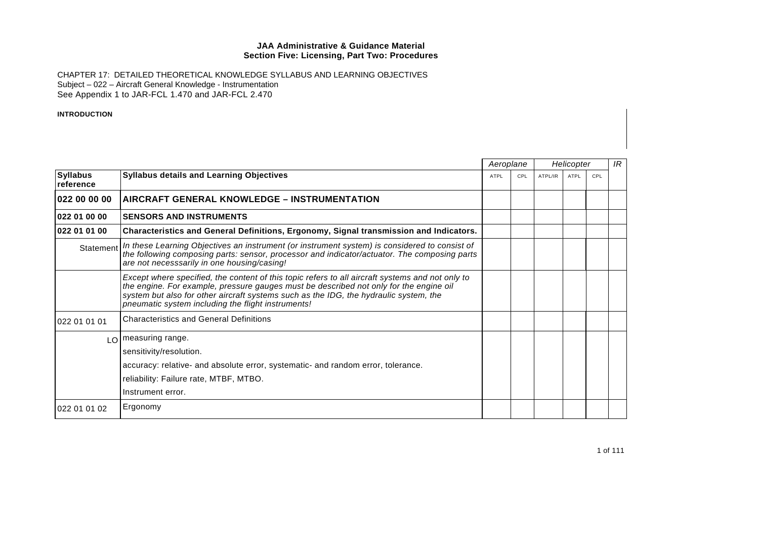#### CHAPTER 17: DETAILED THEORETICAL KNOWLEDGE SYLLABUS AND LEARNING OBJECTIVES Subject – 022 – Aircraft General Knowledge - Instrumentation See Appendix 1 to JAR-FCL 1.470 and JAR-FCL 2.470

#### **INTRODUCTION**

|                              |                                                                                                                                                                                                                                                                                                                                           |             | Aeroplane |         | Helicopter |     |  |  |
|------------------------------|-------------------------------------------------------------------------------------------------------------------------------------------------------------------------------------------------------------------------------------------------------------------------------------------------------------------------------------------|-------------|-----------|---------|------------|-----|--|--|
| <b>Syllabus</b><br>reference | <b>Syllabus details and Learning Objectives</b>                                                                                                                                                                                                                                                                                           | <b>ATPL</b> | CPL       | ATPL/IR | ATPL       | CPL |  |  |
| 022 00 00 00                 | AIRCRAFT GENERAL KNOWLEDGE – INSTRUMENTATION                                                                                                                                                                                                                                                                                              |             |           |         |            |     |  |  |
| 022 01 00 00                 | <b>SENSORS AND INSTRUMENTS</b>                                                                                                                                                                                                                                                                                                            |             |           |         |            |     |  |  |
| 022 01 01 00                 | <b>Characteristics and General Definitions, Ergonomy, Signal transmission and Indicators.</b>                                                                                                                                                                                                                                             |             |           |         |            |     |  |  |
| Statement                    | In these Learning Objectives an instrument (or instrument system) is considered to consist of<br>the following composing parts: sensor, processor and indicator/actuator. The composing parts<br>are not necesssarily in one housing/casing!                                                                                              |             |           |         |            |     |  |  |
|                              | Except where specified, the content of this topic refers to all aircraft systems and not only to<br>the engine. For example, pressure gauges must be described not only for the engine oil<br>system but also for other aircraft systems such as the IDG, the hydraulic system, the<br>pneumatic system including the flight instruments! |             |           |         |            |     |  |  |
| 022 01 01 01                 | <b>Characteristics and General Definitions</b>                                                                                                                                                                                                                                                                                            |             |           |         |            |     |  |  |
|                              | LO   measuring range.<br>sensitivity/resolution.<br>accuracy: relative- and absolute error, systematic- and random error, tolerance.<br>reliability: Failure rate, MTBF, MTBO.<br>Instrument error.                                                                                                                                       |             |           |         |            |     |  |  |
| 022 01 01 02                 | Ergonomy                                                                                                                                                                                                                                                                                                                                  |             |           |         |            |     |  |  |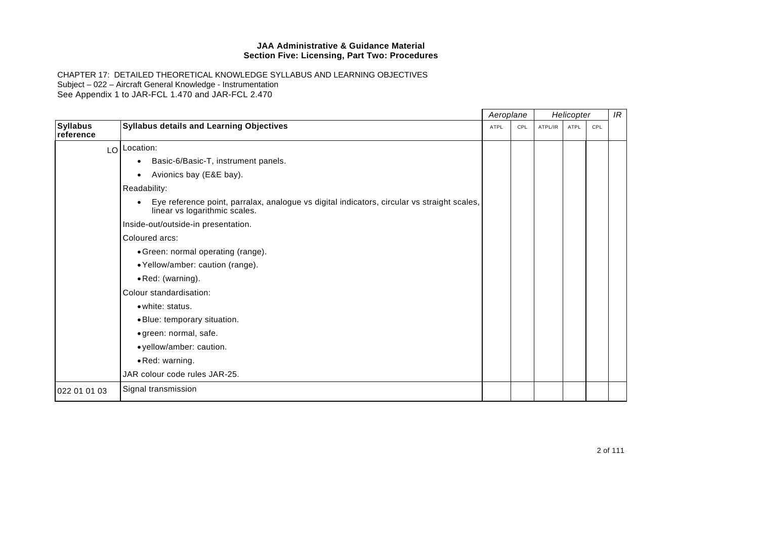|                              |                                                                                                                              |      | Aeroplane |         | Helicopter |     |  |  | IR |
|------------------------------|------------------------------------------------------------------------------------------------------------------------------|------|-----------|---------|------------|-----|--|--|----|
| <b>Syllabus</b><br>reference | <b>Syllabus details and Learning Objectives</b>                                                                              | ATPL | CPL       | ATPL/IR | ATPL       | CPL |  |  |    |
|                              | LO Location:                                                                                                                 |      |           |         |            |     |  |  |    |
|                              | Basic-6/Basic-T, instrument panels.<br>$\bullet$                                                                             |      |           |         |            |     |  |  |    |
|                              | Avionics bay (E&E bay).<br>$\bullet$                                                                                         |      |           |         |            |     |  |  |    |
|                              | Readability:                                                                                                                 |      |           |         |            |     |  |  |    |
|                              | Eye reference point, parralax, analogue vs digital indicators, circular vs straight scales,<br>linear vs logarithmic scales. |      |           |         |            |     |  |  |    |
|                              | Inside-out/outside-in presentation.                                                                                          |      |           |         |            |     |  |  |    |
|                              | Coloured arcs:                                                                                                               |      |           |         |            |     |  |  |    |
|                              | • Green: normal operating (range).                                                                                           |      |           |         |            |     |  |  |    |
|                              | • Yellow/amber: caution (range).                                                                                             |      |           |         |            |     |  |  |    |
|                              | • Red: (warning).                                                                                                            |      |           |         |            |     |  |  |    |
|                              | Colour standardisation:                                                                                                      |      |           |         |            |     |  |  |    |
|                              | • white: status.                                                                                                             |      |           |         |            |     |  |  |    |
|                              | · Blue: temporary situation.                                                                                                 |      |           |         |            |     |  |  |    |
|                              | · green: normal, safe.                                                                                                       |      |           |         |            |     |  |  |    |
|                              | · yellow/amber: caution.                                                                                                     |      |           |         |            |     |  |  |    |
|                              | · Red: warning.                                                                                                              |      |           |         |            |     |  |  |    |
|                              | JAR colour code rules JAR-25.                                                                                                |      |           |         |            |     |  |  |    |
| 022 01 01 03                 | Signal transmission                                                                                                          |      |           |         |            |     |  |  |    |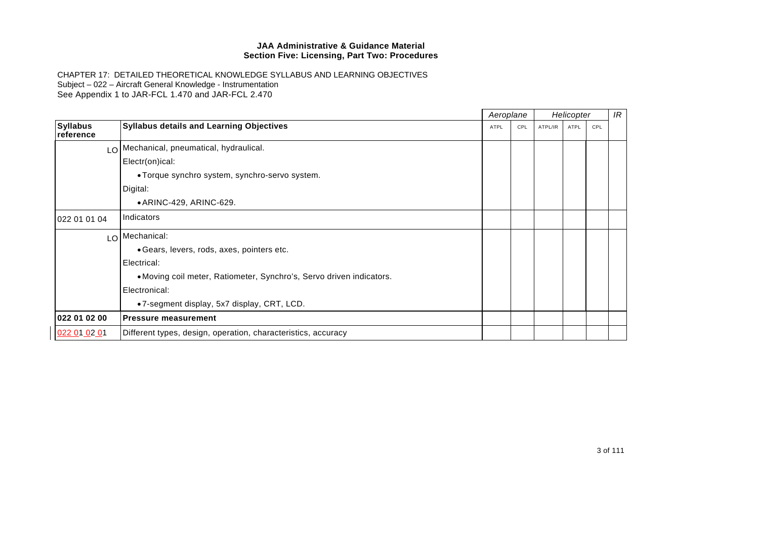|                              |                                                                      |             | Aeroplane | Helicopter |      | IR  |  |
|------------------------------|----------------------------------------------------------------------|-------------|-----------|------------|------|-----|--|
| <b>Syllabus</b><br>reference | <b>Syllabus details and Learning Objectives</b>                      | <b>ATPL</b> | CPL       | ATPL/IR    | ATPL | CPL |  |
|                              | LO   Mechanical, pneumatical, hydraulical.                           |             |           |            |      |     |  |
|                              | Electr(on)ical:                                                      |             |           |            |      |     |  |
|                              | • Torque synchro system, synchro-servo system.                       |             |           |            |      |     |  |
|                              | Digital:                                                             |             |           |            |      |     |  |
|                              | • ARINC-429, ARINC-629.                                              |             |           |            |      |     |  |
| 022 01 01 04                 | Indicators                                                           |             |           |            |      |     |  |
|                              | LO Mechanical:                                                       |             |           |            |      |     |  |
|                              | • Gears, levers, rods, axes, pointers etc.                           |             |           |            |      |     |  |
|                              | Electrical:                                                          |             |           |            |      |     |  |
|                              | • Moving coil meter, Ratiometer, Synchro's, Servo driven indicators. |             |           |            |      |     |  |
|                              | Electronical:                                                        |             |           |            |      |     |  |
|                              | •7-segment display, 5x7 display, CRT, LCD.                           |             |           |            |      |     |  |
| 022 01 02 00                 | <b>Pressure measurement</b>                                          |             |           |            |      |     |  |
| 022 01 02 01                 | Different types, design, operation, characteristics, accuracy        |             |           |            |      |     |  |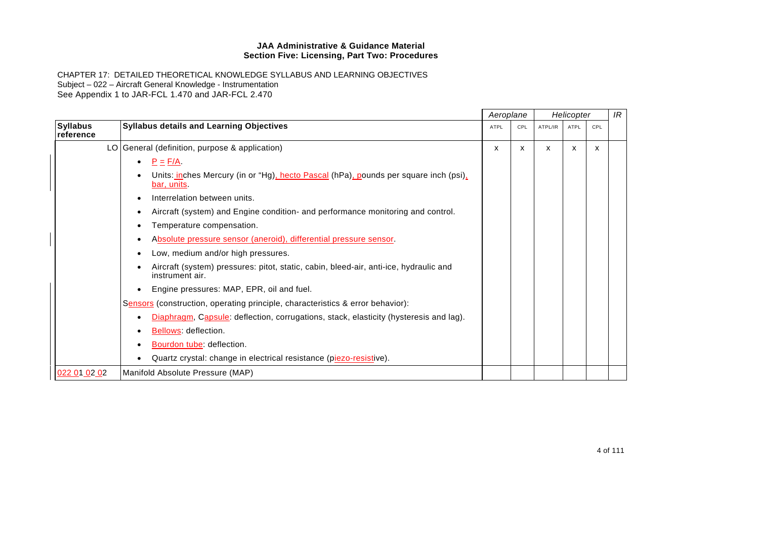|                              |                                                                                                          | Aeroplane   |     |         | Helicopter |     | IR |
|------------------------------|----------------------------------------------------------------------------------------------------------|-------------|-----|---------|------------|-----|----|
| <b>Syllabus</b><br>reference | <b>Syllabus details and Learning Objectives</b>                                                          | <b>ATPL</b> | CPL | ATPL/IR | ATPL       | CPL |    |
|                              | LO General (definition, purpose & application)                                                           | X           | X   | x       | X          | X   |    |
|                              | $P = F/A$<br>$\bullet$                                                                                   |             |     |         |            |     |    |
|                              | Units: inches Mercury (in or "Hg), hecto Pascal (hPa), pounds per square inch (psi),<br>bar, units.      |             |     |         |            |     |    |
|                              | Interrelation between units.                                                                             |             |     |         |            |     |    |
|                              | Aircraft (system) and Engine condition- and performance monitoring and control.<br>٠                     |             |     |         |            |     |    |
|                              | Temperature compensation.                                                                                |             |     |         |            |     |    |
|                              | Absolute pressure sensor (aneroid), differential pressure sensor.<br>٠                                   |             |     |         |            |     |    |
|                              | Low, medium and/or high pressures.                                                                       |             |     |         |            |     |    |
|                              | Aircraft (system) pressures: pitot, static, cabin, bleed-air, anti-ice, hydraulic and<br>instrument air. |             |     |         |            |     |    |
|                              | Engine pressures: MAP, EPR, oil and fuel.                                                                |             |     |         |            |     |    |
|                              | Sensors (construction, operating principle, characteristics & error behavior):                           |             |     |         |            |     |    |
|                              | Diaphragm, Capsule: deflection, corrugations, stack, elasticity (hysteresis and lag).<br>$\bullet$       |             |     |         |            |     |    |
|                              | Bellows: deflection.                                                                                     |             |     |         |            |     |    |
|                              | Bourdon tube: deflection.                                                                                |             |     |         |            |     |    |
|                              | Quartz crystal: change in electrical resistance (piezo-resistive).                                       |             |     |         |            |     |    |
| 022 01 02 02                 | Manifold Absolute Pressure (MAP)                                                                         |             |     |         |            |     |    |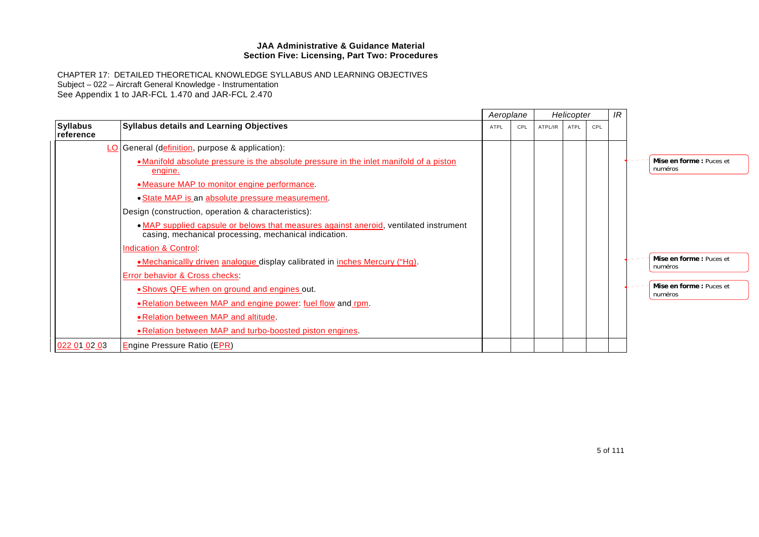|                              |                                                                                                                                                | Aeroplane |     |         |      |     | Helicopter |                                    | IR |  |
|------------------------------|------------------------------------------------------------------------------------------------------------------------------------------------|-----------|-----|---------|------|-----|------------|------------------------------------|----|--|
| <b>Syllabus</b><br>reference | <b>Syllabus details and Learning Objectives</b>                                                                                                | ATPL      | CPL | ATPL/IR | ATPL | CPL |            |                                    |    |  |
| LO                           | General (definition, purpose & application):                                                                                                   |           |     |         |      |     |            |                                    |    |  |
|                              | • Manifold absolute pressure is the absolute pressure in the inlet manifold of a piston<br>engine.                                             |           |     |         |      |     |            | Mise en forme: Puces et<br>numéros |    |  |
|                              | • Measure MAP to monitor engine performance.                                                                                                   |           |     |         |      |     |            |                                    |    |  |
|                              | • State MAP is an absolute pressure measurement.                                                                                               |           |     |         |      |     |            |                                    |    |  |
|                              | Design (construction, operation & characteristics):                                                                                            |           |     |         |      |     |            |                                    |    |  |
|                              | • MAP supplied capsule or belows that measures against aneroid, ventilated instrument<br>casing, mechanical processing, mechanical indication. |           |     |         |      |     |            |                                    |    |  |
|                              | <b>Indication &amp; Control:</b>                                                                                                               |           |     |         |      |     |            |                                    |    |  |
|                              | <b>•Mechanicallly driven analogue display calibrated in inches Mercury ("Hg).</b>                                                              |           |     |         |      |     |            | Mise en forme: Puces et<br>numéros |    |  |
|                              | Error behavior & Cross checks.                                                                                                                 |           |     |         |      |     |            |                                    |    |  |
|                              | . Shows QFE when on ground and engines out.                                                                                                    |           |     |         |      |     |            | Mise en forme: Puces et<br>numéros |    |  |
|                              | . Relation between MAP and engine power: fuel flow and rpm.                                                                                    |           |     |         |      |     |            |                                    |    |  |
|                              | . Relation between MAP and altitude.                                                                                                           |           |     |         |      |     |            |                                    |    |  |
|                              | • Relation between MAP and turbo-boosted piston engines.                                                                                       |           |     |         |      |     |            |                                    |    |  |
| 022 01 02 03                 | <b>Engine Pressure Ratio (EPR)</b>                                                                                                             |           |     |         |      |     |            |                                    |    |  |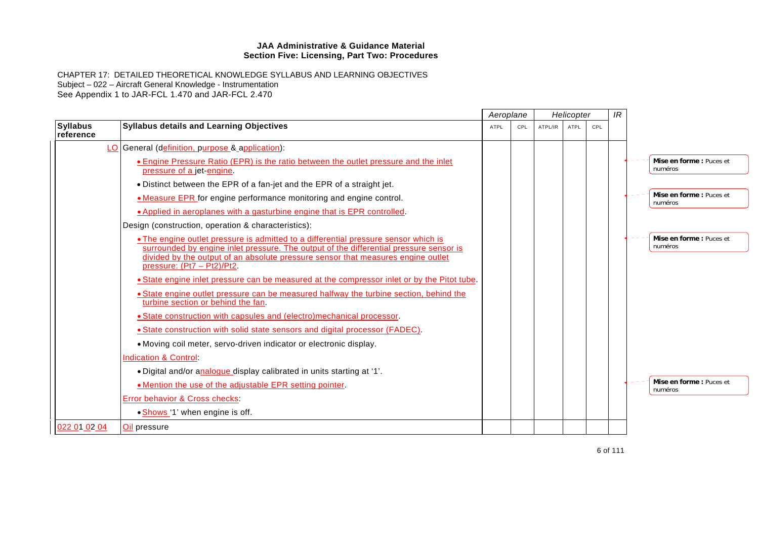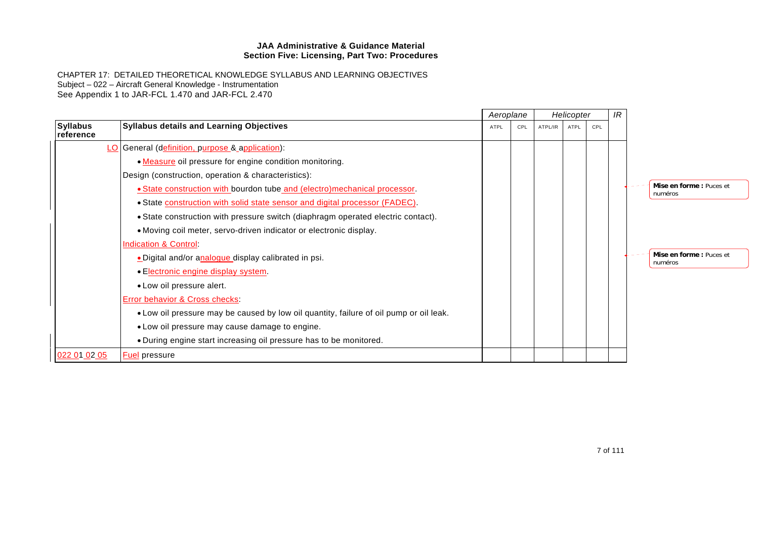|                              |                                                                                        | Aeroplane |     |         |      | Helicopter |  |                                    |  |  |
|------------------------------|----------------------------------------------------------------------------------------|-----------|-----|---------|------|------------|--|------------------------------------|--|--|
| <b>Syllabus</b><br>reference | <b>Syllabus details and Learning Objectives</b>                                        | ATPL      | CPL | ATPL/IR | ATPL | CPL        |  |                                    |  |  |
|                              | LO General (definition, purpose & application):                                        |           |     |         |      |            |  |                                    |  |  |
|                              | . Measure oil pressure for engine condition monitoring.                                |           |     |         |      |            |  |                                    |  |  |
|                              | Design (construction, operation & characteristics):                                    |           |     |         |      |            |  |                                    |  |  |
|                              | . State construction with bourdon tube and (electro)mechanical processor.              |           |     |         |      |            |  | Mise en forme: Puces et<br>numéros |  |  |
|                              | . State construction with solid state sensor and digital processor (FADEC).            |           |     |         |      |            |  |                                    |  |  |
|                              | • State construction with pressure switch (diaphragm operated electric contact).       |           |     |         |      |            |  |                                    |  |  |
|                              | • Moving coil meter, servo-driven indicator or electronic display.                     |           |     |         |      |            |  |                                    |  |  |
|                              | <b>Indication &amp; Control:</b>                                                       |           |     |         |      |            |  |                                    |  |  |
|                              | .Digital and/or analogue display calibrated in psi.                                    |           |     |         |      |            |  | Mise en forme: Puces et<br>numéros |  |  |
|                              | • Electronic engine display system.                                                    |           |     |         |      |            |  |                                    |  |  |
|                              | • Low oil pressure alert.                                                              |           |     |         |      |            |  |                                    |  |  |
|                              | <b>Error behavior &amp; Cross checks.</b>                                              |           |     |         |      |            |  |                                    |  |  |
|                              | • Low oil pressure may be caused by low oil quantity, failure of oil pump or oil leak. |           |     |         |      |            |  |                                    |  |  |
|                              | • Low oil pressure may cause damage to engine.                                         |           |     |         |      |            |  |                                    |  |  |
|                              | . During engine start increasing oil pressure has to be monitored.                     |           |     |         |      |            |  |                                    |  |  |
| 022 01 02 05                 | <b>Fuel pressure</b>                                                                   |           |     |         |      |            |  |                                    |  |  |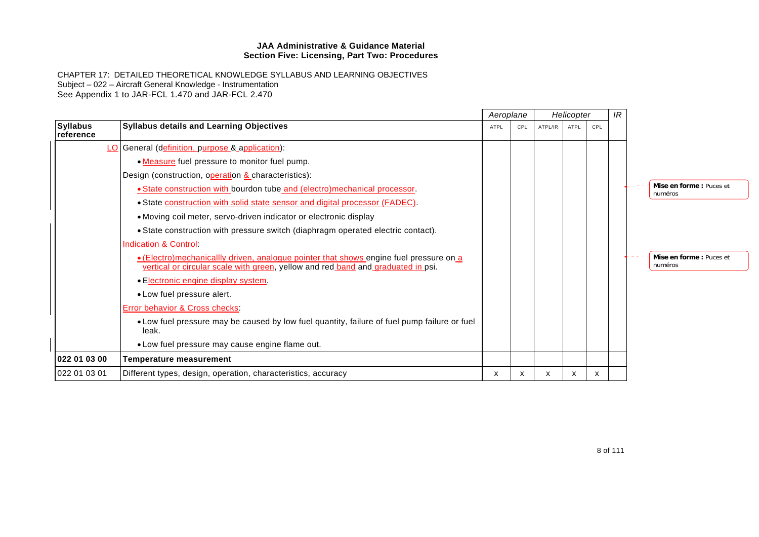|                              |                                                                                                                                                                            |      | Aeroplane                 |         | Helicopter |     | IR |                                    |
|------------------------------|----------------------------------------------------------------------------------------------------------------------------------------------------------------------------|------|---------------------------|---------|------------|-----|----|------------------------------------|
| <b>Syllabus</b><br>reference | <b>Syllabus details and Learning Objectives</b>                                                                                                                            | ATPL | CPL                       | ATPL/IR | ATPL       | CPL |    |                                    |
|                              | LO General (definition, purpose & application):                                                                                                                            |      |                           |         |            |     |    |                                    |
|                              | . Measure fuel pressure to monitor fuel pump.                                                                                                                              |      |                           |         |            |     |    |                                    |
|                              | Design (construction, operation & characteristics):                                                                                                                        |      |                           |         |            |     |    |                                    |
|                              | . State construction with bourdon tube and (electro)mechanical processor.                                                                                                  |      |                           |         |            |     |    | Mise en forme: Puces et<br>numéros |
|                              | • State construction with solid state sensor and digital processor (FADEC).                                                                                                |      |                           |         |            |     |    |                                    |
|                              | • Moving coil meter, servo-driven indicator or electronic display                                                                                                          |      |                           |         |            |     |    |                                    |
|                              | • State construction with pressure switch (diaphragm operated electric contact).                                                                                           |      |                           |         |            |     |    |                                    |
|                              | <b>Indication &amp; Control:</b>                                                                                                                                           |      |                           |         |            |     |    |                                    |
|                              | • (Electro)mechanicallly driven, analogue pointer that shows engine fuel pressure on a<br>vertical or circular scale with green, yellow and red band and graduated in psi. |      |                           |         |            |     |    | Mise en forme: Puces et<br>numéros |
|                              | • Electronic engine display system.                                                                                                                                        |      |                           |         |            |     |    |                                    |
|                              | • Low fuel pressure alert.                                                                                                                                                 |      |                           |         |            |     |    |                                    |
|                              | <b>Error behavior &amp; Cross checks:</b>                                                                                                                                  |      |                           |         |            |     |    |                                    |
|                              | • Low fuel pressure may be caused by low fuel quantity, failure of fuel pump failure or fuel<br>leak.                                                                      |      |                           |         |            |     |    |                                    |
|                              | • Low fuel pressure may cause engine flame out.                                                                                                                            |      |                           |         |            |     |    |                                    |
| 022 01 03 00                 | <b>Temperature measurement</b>                                                                                                                                             |      |                           |         |            |     |    |                                    |
| 022 01 03 01                 | Different types, design, operation, characteristics, accuracy                                                                                                              | X    | $\boldsymbol{\mathsf{x}}$ | x       | x          | X   |    |                                    |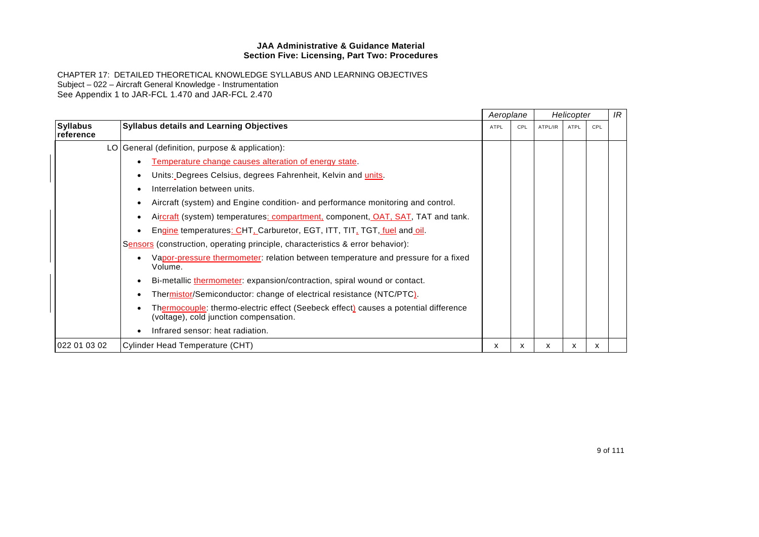|                              |                                                                                                                               | Aeroplane   |     | Helicopter |      |     | IR |
|------------------------------|-------------------------------------------------------------------------------------------------------------------------------|-------------|-----|------------|------|-----|----|
| <b>Syllabus</b><br>reference | <b>Syllabus details and Learning Objectives</b>                                                                               | <b>ATPL</b> | CPL | ATPL/IR    | ATPL | CPL |    |
|                              | LO General (definition, purpose & application):                                                                               |             |     |            |      |     |    |
|                              | Temperature change causes alteration of energy state.                                                                         |             |     |            |      |     |    |
|                              | Units: Degrees Celsius, degrees Fahrenheit, Kelvin and <i>units</i> .<br>$\bullet$                                            |             |     |            |      |     |    |
|                              | Interrelation between units.                                                                                                  |             |     |            |      |     |    |
|                              | Aircraft (system) and Engine condition- and performance monitoring and control.<br>٠                                          |             |     |            |      |     |    |
|                              | Aircraft (system) temperatures: compartment, component, OAT, SAT, TAT and tank.                                               |             |     |            |      |     |    |
|                              | Engine temperatures: CHT, Carburetor, EGT, ITT, TIT, TGT, fuel and oil.                                                       |             |     |            |      |     |    |
|                              | Sensors (construction, operating principle, characteristics & error behavior):                                                |             |     |            |      |     |    |
|                              | Vapor-pressure thermometer: relation between temperature and pressure for a fixed<br>Volume.                                  |             |     |            |      |     |    |
|                              | Bi-metallic thermometer: expansion/contraction, spiral wound or contact.                                                      |             |     |            |      |     |    |
|                              | Thermistor/Semiconductor: change of electrical resistance (NTC/PTC).<br>$\bullet$                                             |             |     |            |      |     |    |
|                              | Thermocouple: thermo-electric effect (Seebeck effect) causes a potential difference<br>(voltage), cold junction compensation. |             |     |            |      |     |    |
|                              | Infrared sensor: heat radiation.                                                                                              |             |     |            |      |     |    |
| 022 01 03 02                 | Cylinder Head Temperature (CHT)                                                                                               | x           | x   | х          | x    | x   |    |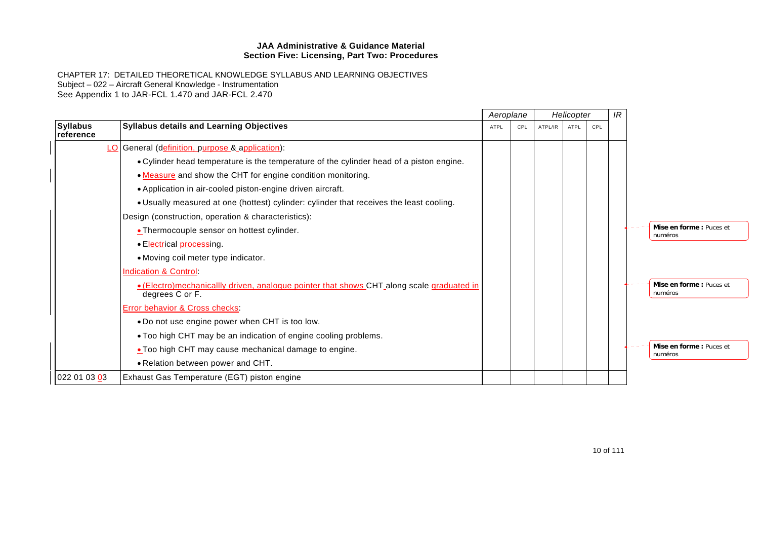|                              |                                                                                                               | Aeroplane<br>Helicopter |     |         |      |     |  |                                    |  |  |  |  |  |  |
|------------------------------|---------------------------------------------------------------------------------------------------------------|-------------------------|-----|---------|------|-----|--|------------------------------------|--|--|--|--|--|--|
| <b>Syllabus</b><br>reference | <b>Syllabus details and Learning Objectives</b>                                                               | ATPL                    | CPL | ATPL/IR | ATPL | CPL |  |                                    |  |  |  |  |  |  |
|                              | LO General (definition, purpose & application):                                                               |                         |     |         |      |     |  |                                    |  |  |  |  |  |  |
|                              | . Cylinder head temperature is the temperature of the cylinder head of a piston engine.                       |                         |     |         |      |     |  |                                    |  |  |  |  |  |  |
|                              | . Measure and show the CHT for engine condition monitoring.                                                   |                         |     |         |      |     |  |                                    |  |  |  |  |  |  |
|                              | • Application in air-cooled piston-engine driven aircraft.                                                    |                         |     |         |      |     |  |                                    |  |  |  |  |  |  |
|                              | . Usually measured at one (hottest) cylinder: cylinder that receives the least cooling.                       |                         |     |         |      |     |  |                                    |  |  |  |  |  |  |
|                              | Design (construction, operation & characteristics):                                                           |                         |     |         |      |     |  |                                    |  |  |  |  |  |  |
|                              | • Thermocouple sensor on hottest cylinder.                                                                    |                         |     |         |      |     |  | Mise en forme: Puces et<br>numéros |  |  |  |  |  |  |
|                              | ● E <u>lectr</u> ical <u>process</u> ing.                                                                     |                         |     |         |      |     |  |                                    |  |  |  |  |  |  |
|                              | • Moving coil meter type indicator.                                                                           |                         |     |         |      |     |  |                                    |  |  |  |  |  |  |
|                              | Indication & Control:                                                                                         |                         |     |         |      |     |  |                                    |  |  |  |  |  |  |
|                              | • (Electro) mechanicallly driven, analogue pointer that shows CHT along scale graduated in<br>degrees C or F. |                         |     |         |      |     |  | Mise en forme: Puces et<br>numéros |  |  |  |  |  |  |
|                              | Error behavior & Cross checks:                                                                                |                         |     |         |      |     |  |                                    |  |  |  |  |  |  |
|                              | . Do not use engine power when CHT is too low.                                                                |                         |     |         |      |     |  |                                    |  |  |  |  |  |  |
|                              | . Too high CHT may be an indication of engine cooling problems.                                               |                         |     |         |      |     |  |                                    |  |  |  |  |  |  |
|                              | . Too high CHT may cause mechanical damage to engine.                                                         |                         |     |         |      |     |  | Mise en forme: Puces et<br>numéros |  |  |  |  |  |  |
|                              | • Relation between power and CHT.                                                                             |                         |     |         |      |     |  |                                    |  |  |  |  |  |  |
| 022 01 03 03                 | Exhaust Gas Temperature (EGT) piston engine                                                                   |                         |     |         |      |     |  |                                    |  |  |  |  |  |  |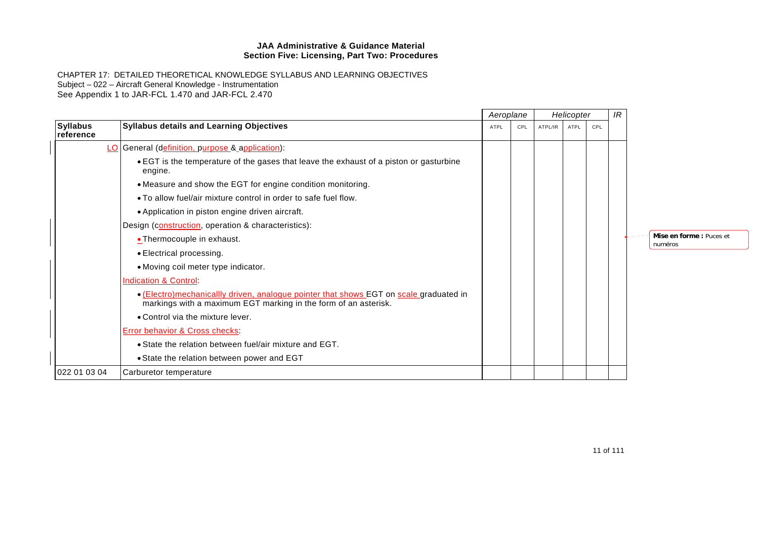|                              |                                                                                                                                                            |      | Aeroplane |         | Helicopter |     | IR |                                    |
|------------------------------|------------------------------------------------------------------------------------------------------------------------------------------------------------|------|-----------|---------|------------|-----|----|------------------------------------|
| <b>Syllabus</b><br>reference | <b>Syllabus details and Learning Objectives</b>                                                                                                            | ATPL | CPL       | ATPL/IR | ATPL       | CPL |    |                                    |
|                              | LO General (definition, purpose & application):                                                                                                            |      |           |         |            |     |    |                                    |
|                              | • EGT is the temperature of the gases that leave the exhaust of a piston or gasturbine<br>engine.                                                          |      |           |         |            |     |    |                                    |
|                              | • Measure and show the EGT for engine condition monitoring.                                                                                                |      |           |         |            |     |    |                                    |
|                              | • To allow fuel/air mixture control in order to safe fuel flow.                                                                                            |      |           |         |            |     |    |                                    |
|                              | • Application in piston engine driven aircraft.                                                                                                            |      |           |         |            |     |    |                                    |
|                              | Design (construction, operation & characteristics):                                                                                                        |      |           |         |            |     |    |                                    |
|                              | • Thermocouple in exhaust.                                                                                                                                 |      |           |         |            |     |    | Mise en forme: Puces et<br>numéros |
|                              | • Electrical processing.                                                                                                                                   |      |           |         |            |     |    |                                    |
|                              | • Moving coil meter type indicator.                                                                                                                        |      |           |         |            |     |    |                                    |
|                              | <b>Indication &amp; Control:</b>                                                                                                                           |      |           |         |            |     |    |                                    |
|                              | • (Electro) mechanicallly driven, analogue pointer that shows EGT on scale graduated in<br>markings with a maximum EGT marking in the form of an asterisk. |      |           |         |            |     |    |                                    |
|                              | • Control via the mixture lever.                                                                                                                           |      |           |         |            |     |    |                                    |
|                              | <b>Error behavior &amp; Cross checks:</b>                                                                                                                  |      |           |         |            |     |    |                                    |
|                              | • State the relation between fuel/air mixture and EGT.                                                                                                     |      |           |         |            |     |    |                                    |
|                              | • State the relation between power and EGT                                                                                                                 |      |           |         |            |     |    |                                    |
| 022 01 03 04                 | Carburetor temperature                                                                                                                                     |      |           |         |            |     |    |                                    |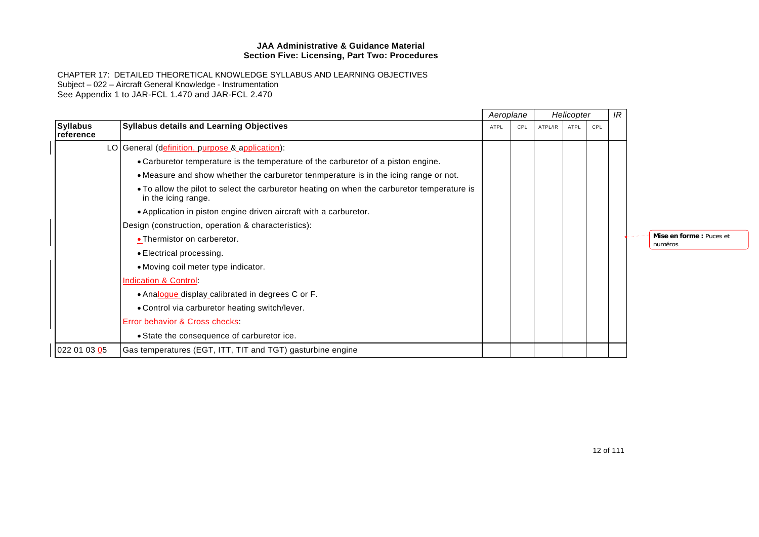|                              |                                                                                                                    |      | Aeroplane |         | Helicopter |     |  |                                    |  |  |  |  |  |  |  |  | IR |  |
|------------------------------|--------------------------------------------------------------------------------------------------------------------|------|-----------|---------|------------|-----|--|------------------------------------|--|--|--|--|--|--|--|--|----|--|
| <b>Syllabus</b><br>reference | <b>Syllabus details and Learning Objectives</b>                                                                    | ATPL | CPL       | ATPL/IR | ATPL       | CPL |  |                                    |  |  |  |  |  |  |  |  |    |  |
|                              | LO General (definition, purpose & application):                                                                    |      |           |         |            |     |  |                                    |  |  |  |  |  |  |  |  |    |  |
|                              | • Carburetor temperature is the temperature of the carburetor of a piston engine.                                  |      |           |         |            |     |  |                                    |  |  |  |  |  |  |  |  |    |  |
|                              | . Measure and show whether the carburetor tenmperature is in the icing range or not.                               |      |           |         |            |     |  |                                    |  |  |  |  |  |  |  |  |    |  |
|                              | . To allow the pilot to select the carburetor heating on when the carburetor temperature is<br>in the icing range. |      |           |         |            |     |  |                                    |  |  |  |  |  |  |  |  |    |  |
|                              | • Application in piston engine driven aircraft with a carburetor.                                                  |      |           |         |            |     |  |                                    |  |  |  |  |  |  |  |  |    |  |
|                              | Design (construction, operation & characteristics):                                                                |      |           |         |            |     |  |                                    |  |  |  |  |  |  |  |  |    |  |
|                              | • Thermistor on carberetor.                                                                                        |      |           |         |            |     |  | Mise en forme: Puces et<br>numéros |  |  |  |  |  |  |  |  |    |  |
|                              | • Electrical processing.                                                                                           |      |           |         |            |     |  |                                    |  |  |  |  |  |  |  |  |    |  |
|                              | • Moving coil meter type indicator.                                                                                |      |           |         |            |     |  |                                    |  |  |  |  |  |  |  |  |    |  |
|                              | <b>Indication &amp; Control:</b>                                                                                   |      |           |         |            |     |  |                                    |  |  |  |  |  |  |  |  |    |  |
|                              | • Analogue display calibrated in degrees C or F.                                                                   |      |           |         |            |     |  |                                    |  |  |  |  |  |  |  |  |    |  |
|                              | . Control via carburetor heating switch/lever.                                                                     |      |           |         |            |     |  |                                    |  |  |  |  |  |  |  |  |    |  |
|                              | <b>Error behavior &amp; Cross checks.</b>                                                                          |      |           |         |            |     |  |                                    |  |  |  |  |  |  |  |  |    |  |
|                              | • State the consequence of carburetor ice.                                                                         |      |           |         |            |     |  |                                    |  |  |  |  |  |  |  |  |    |  |
| 022 01 03 05                 | Gas temperatures (EGT, ITT, TIT and TGT) gasturbine engine                                                         |      |           |         |            |     |  |                                    |  |  |  |  |  |  |  |  |    |  |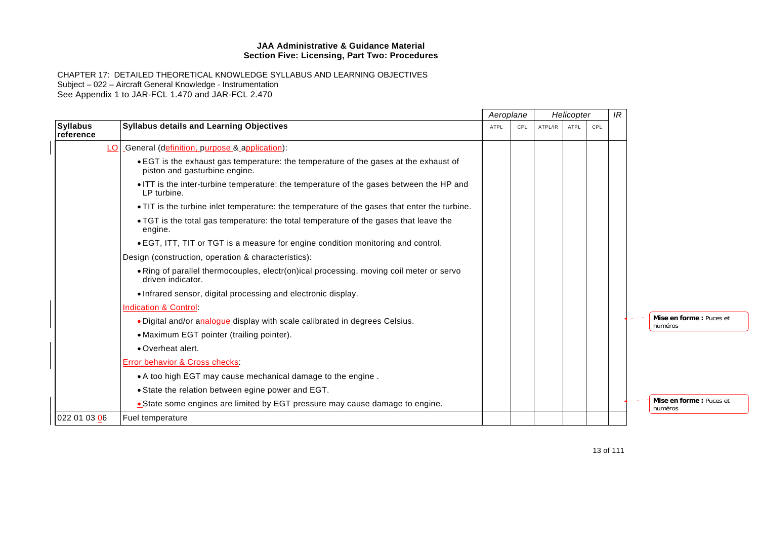|                              |                                                                                                                       | Aeroplane<br>Helicopter |     |         |      |     |  |                                     |  |  |  |  |  |  |  |  |  |
|------------------------------|-----------------------------------------------------------------------------------------------------------------------|-------------------------|-----|---------|------|-----|--|-------------------------------------|--|--|--|--|--|--|--|--|--|
| <b>Syllabus</b><br>reference | <b>Syllabus details and Learning Objectives</b>                                                                       | <b>ATPL</b>             | CPL | ATPL/IR | ATPL | CPL |  |                                     |  |  |  |  |  |  |  |  |  |
| LO <sub>1</sub>              | _General (definition, purpose & application):                                                                         |                         |     |         |      |     |  |                                     |  |  |  |  |  |  |  |  |  |
|                              | • EGT is the exhaust gas temperature: the temperature of the gases at the exhaust of<br>piston and gasturbine engine. |                         |     |         |      |     |  |                                     |  |  |  |  |  |  |  |  |  |
|                              | • ITT is the inter-turbine temperature: the temperature of the gases between the HP and<br>LP turbine.                |                         |     |         |      |     |  |                                     |  |  |  |  |  |  |  |  |  |
|                              | . TIT is the turbine inlet temperature: the temperature of the gases that enter the turbine.                          |                         |     |         |      |     |  |                                     |  |  |  |  |  |  |  |  |  |
|                              | • TGT is the total gas temperature: the total temperature of the gases that leave the<br>engine.                      |                         |     |         |      |     |  |                                     |  |  |  |  |  |  |  |  |  |
|                              | • EGT, ITT, TIT or TGT is a measure for engine condition monitoring and control.                                      |                         |     |         |      |     |  |                                     |  |  |  |  |  |  |  |  |  |
|                              | Design (construction, operation & characteristics):                                                                   |                         |     |         |      |     |  |                                     |  |  |  |  |  |  |  |  |  |
|                              | . Ring of parallel thermocouples, electr(on)ical processing, moving coil meter or servo<br>driven indicator.          |                         |     |         |      |     |  |                                     |  |  |  |  |  |  |  |  |  |
|                              | • Infrared sensor, digital processing and electronic display.                                                         |                         |     |         |      |     |  |                                     |  |  |  |  |  |  |  |  |  |
|                              | Indication & Control:                                                                                                 |                         |     |         |      |     |  |                                     |  |  |  |  |  |  |  |  |  |
|                              | . Digital and/or analogue display with scale calibrated in degrees Celsius.                                           |                         |     |         |      |     |  | Mise en forme: Puces et<br>numéros  |  |  |  |  |  |  |  |  |  |
|                              | • Maximum EGT pointer (trailing pointer).                                                                             |                         |     |         |      |     |  |                                     |  |  |  |  |  |  |  |  |  |
|                              | • Overheat alert.                                                                                                     |                         |     |         |      |     |  |                                     |  |  |  |  |  |  |  |  |  |
|                              | Error behavior & Cross checks:                                                                                        |                         |     |         |      |     |  |                                     |  |  |  |  |  |  |  |  |  |
|                              | • A too high EGT may cause mechanical damage to the engine.                                                           |                         |     |         |      |     |  |                                     |  |  |  |  |  |  |  |  |  |
|                              | • State the relation between egine power and EGT.                                                                     |                         |     |         |      |     |  |                                     |  |  |  |  |  |  |  |  |  |
|                              | • State some engines are limited by EGT pressure may cause damage to engine.                                          |                         |     |         |      |     |  | Mise en forme : Puces et<br>numéros |  |  |  |  |  |  |  |  |  |
| 022 01 03 06                 | Fuel temperature                                                                                                      |                         |     |         |      |     |  |                                     |  |  |  |  |  |  |  |  |  |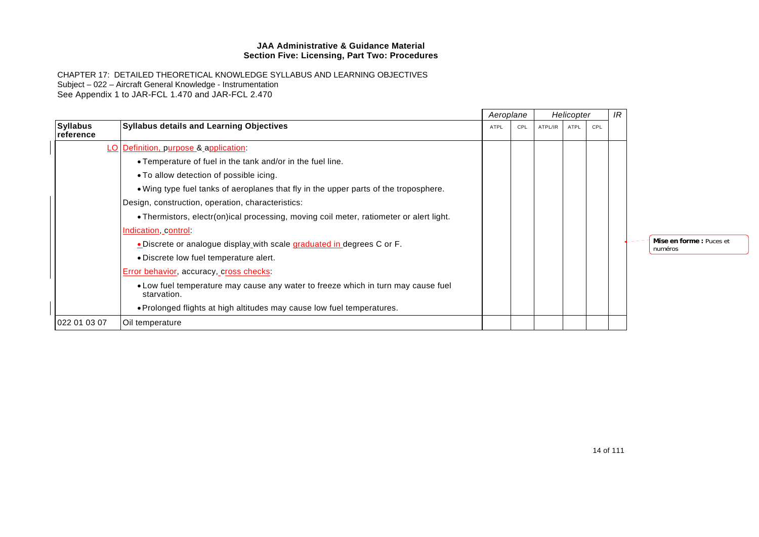|                              |                                                                                                  | Aeroplane |     |         |      |     |  | Helicopter                         |  |  |
|------------------------------|--------------------------------------------------------------------------------------------------|-----------|-----|---------|------|-----|--|------------------------------------|--|--|
| <b>Syllabus</b><br>reference | <b>Syllabus details and Learning Objectives</b>                                                  | ATPL      | CPL | ATPL/IR | ATPL | CPL |  |                                    |  |  |
|                              | LO Definition, purpose & application:                                                            |           |     |         |      |     |  |                                    |  |  |
|                              | • Temperature of fuel in the tank and/or in the fuel line.                                       |           |     |         |      |     |  |                                    |  |  |
|                              | • To allow detection of possible icing.                                                          |           |     |         |      |     |  |                                    |  |  |
|                              | . Wing type fuel tanks of aeroplanes that fly in the upper parts of the troposphere.             |           |     |         |      |     |  |                                    |  |  |
|                              | Design, construction, operation, characteristics:                                                |           |     |         |      |     |  |                                    |  |  |
|                              | . Thermistors, electr(on)ical processing, moving coil meter, ratiometer or alert light.          |           |     |         |      |     |  |                                    |  |  |
|                              | Indication, control:                                                                             |           |     |         |      |     |  |                                    |  |  |
|                              | . Discrete or analogue display with scale graduated in degrees C or F.                           |           |     |         |      |     |  | Mise en forme: Puces et<br>numéros |  |  |
|                              | . Discrete low fuel temperature alert.                                                           |           |     |         |      |     |  |                                    |  |  |
|                              | Error behavior, accuracy, cross checks:                                                          |           |     |         |      |     |  |                                    |  |  |
|                              | • Low fuel temperature may cause any water to freeze which in turn may cause fuel<br>starvation. |           |     |         |      |     |  |                                    |  |  |
|                              | • Prolonged flights at high altitudes may cause low fuel temperatures.                           |           |     |         |      |     |  |                                    |  |  |
| 022 01 03 07                 | Oil temperature                                                                                  |           |     |         |      |     |  |                                    |  |  |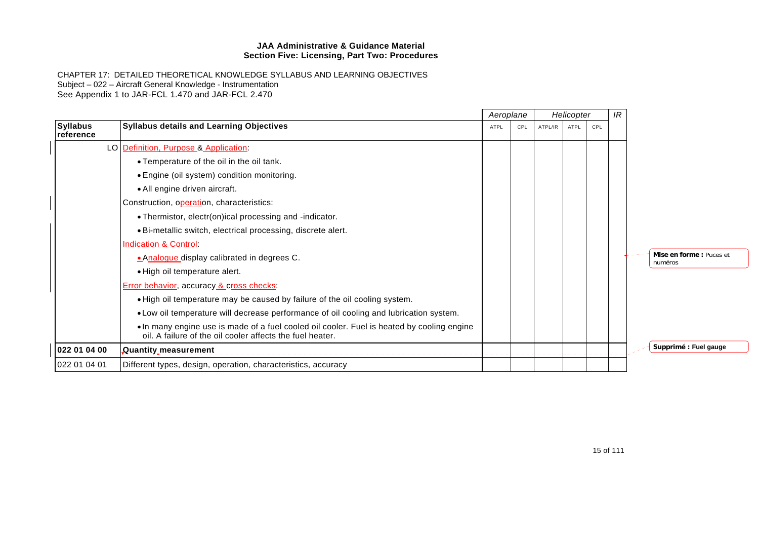|                              |                                                                                                                                                         | Aeroplane<br>Helicopter |     |         |      |     |  |                                     |  |  |
|------------------------------|---------------------------------------------------------------------------------------------------------------------------------------------------------|-------------------------|-----|---------|------|-----|--|-------------------------------------|--|--|
| <b>Syllabus</b><br>reference | <b>Syllabus details and Learning Objectives</b>                                                                                                         | ATPL                    | CPL | ATPL/IR | ATPL | CPL |  |                                     |  |  |
|                              | LO Definition, Purpose & Application:                                                                                                                   |                         |     |         |      |     |  |                                     |  |  |
|                              | • Temperature of the oil in the oil tank.                                                                                                               |                         |     |         |      |     |  |                                     |  |  |
|                              | • Engine (oil system) condition monitoring.                                                                                                             |                         |     |         |      |     |  |                                     |  |  |
|                              | • All engine driven aircraft.                                                                                                                           |                         |     |         |      |     |  |                                     |  |  |
|                              | Construction, operation, characteristics:                                                                                                               |                         |     |         |      |     |  |                                     |  |  |
|                              | • Thermistor, electr(on)ical processing and -indicator.                                                                                                 |                         |     |         |      |     |  |                                     |  |  |
|                              | . Bi-metallic switch, electrical processing, discrete alert.                                                                                            |                         |     |         |      |     |  |                                     |  |  |
|                              | Indication & Control:                                                                                                                                   |                         |     |         |      |     |  |                                     |  |  |
|                              | . Analogue display calibrated in degrees C.                                                                                                             |                         |     |         |      |     |  | Mise en forme : Puces et<br>numéros |  |  |
|                              | • High oil temperature alert.                                                                                                                           |                         |     |         |      |     |  |                                     |  |  |
|                              | <b>Error behavior</b> , accuracy & cross checks:                                                                                                        |                         |     |         |      |     |  |                                     |  |  |
|                              | . High oil temperature may be caused by failure of the oil cooling system.                                                                              |                         |     |         |      |     |  |                                     |  |  |
|                              | . Low oil temperature will decrease performance of oil cooling and lubrication system.                                                                  |                         |     |         |      |     |  |                                     |  |  |
|                              | . In many engine use is made of a fuel cooled oil cooler. Fuel is heated by cooling engine<br>oil. A failure of the oil cooler affects the fuel heater. |                         |     |         |      |     |  |                                     |  |  |
| 022 01 04 00                 | <b>Quantity measurement</b>                                                                                                                             |                         |     |         |      |     |  | Supprimé : Fuel gauge               |  |  |
| 022 01 04 01                 | Different types, design, operation, characteristics, accuracy                                                                                           |                         |     |         |      |     |  |                                     |  |  |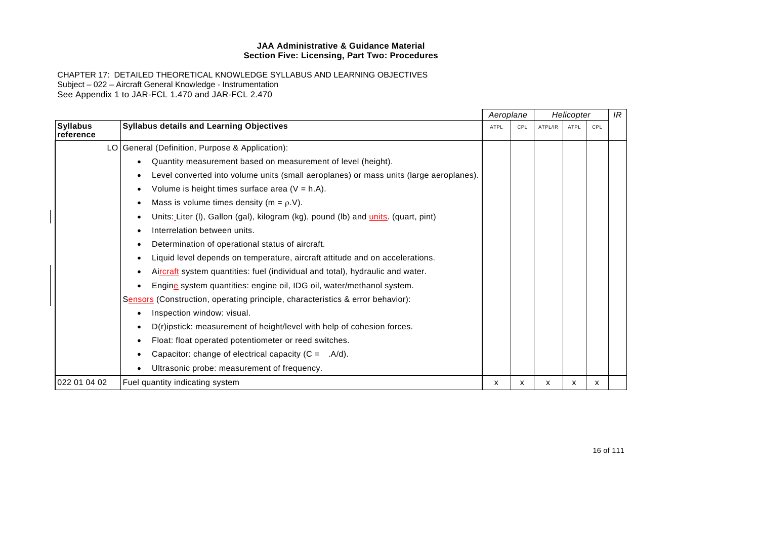|                              |                                                                                            | Aeroplane   |     |         |      | Helicopter |  |  | IR |
|------------------------------|--------------------------------------------------------------------------------------------|-------------|-----|---------|------|------------|--|--|----|
| <b>Syllabus</b><br>reference | <b>Syllabus details and Learning Objectives</b>                                            | <b>ATPL</b> | CPL | ATPL/IR | ATPL | CPL        |  |  |    |
|                              | LO General (Definition, Purpose & Application):                                            |             |     |         |      |            |  |  |    |
|                              | Quantity measurement based on measurement of level (height).<br>$\bullet$                  |             |     |         |      |            |  |  |    |
|                              | Level converted into volume units (small aeroplanes) or mass units (large aeroplanes).     |             |     |         |      |            |  |  |    |
|                              | Volume is height times surface area $(V = h.A)$ .                                          |             |     |         |      |            |  |  |    |
|                              | Mass is volume times density ( $m = \rho.V$ ).                                             |             |     |         |      |            |  |  |    |
|                              | Units: Liter (I), Gallon (gal), kilogram (kg), pound (lb) and <i>units</i> . (quart, pint) |             |     |         |      |            |  |  |    |
|                              | Interrelation between units.                                                               |             |     |         |      |            |  |  |    |
|                              | Determination of operational status of aircraft.                                           |             |     |         |      |            |  |  |    |
|                              | Liquid level depends on temperature, aircraft attitude and on accelerations.               |             |     |         |      |            |  |  |    |
|                              | Aircraft system quantities: fuel (individual and total), hydraulic and water.              |             |     |         |      |            |  |  |    |
|                              | Engine system quantities: engine oil, IDG oil, water/methanol system.                      |             |     |         |      |            |  |  |    |
|                              | Sensors (Construction, operating principle, characteristics & error behavior):             |             |     |         |      |            |  |  |    |
|                              | Inspection window: visual.<br>$\bullet$                                                    |             |     |         |      |            |  |  |    |
|                              | D(r)ipstick: measurement of height/level with help of cohesion forces.                     |             |     |         |      |            |  |  |    |
|                              | Float: float operated potentiometer or reed switches.                                      |             |     |         |      |            |  |  |    |
|                              | Capacitor: change of electrical capacity $(C = A/d)$ .                                     |             |     |         |      |            |  |  |    |
|                              | Ultrasonic probe: measurement of frequency.                                                |             |     |         |      |            |  |  |    |
| 022 01 04 02                 | Fuel quantity indicating system                                                            | х           | x   | x       | X    | x          |  |  |    |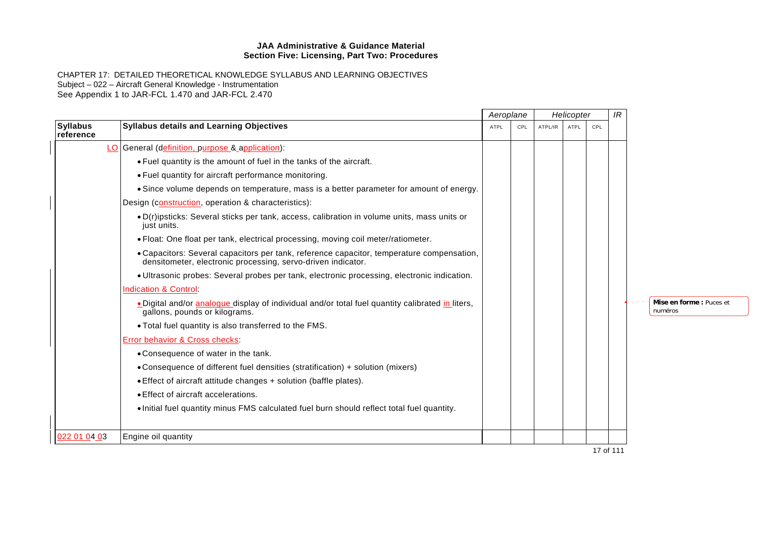|                              |                                                                                                                                                           | Aeroplane   |     |         | Helicopter  |     | IR |                                     |  |
|------------------------------|-----------------------------------------------------------------------------------------------------------------------------------------------------------|-------------|-----|---------|-------------|-----|----|-------------------------------------|--|
| <b>Syllabus</b><br>reference | <b>Syllabus details and Learning Objectives</b>                                                                                                           | <b>ATPL</b> | CPL | ATPL/IR | <b>ATPL</b> | CPL |    |                                     |  |
|                              | LO General (definition, purpose & application):                                                                                                           |             |     |         |             |     |    |                                     |  |
|                              | • Fuel quantity is the amount of fuel in the tanks of the aircraft.                                                                                       |             |     |         |             |     |    |                                     |  |
|                              | • Fuel quantity for aircraft performance monitoring.                                                                                                      |             |     |         |             |     |    |                                     |  |
|                              | • Since volume depends on temperature, mass is a better parameter for amount of energy.                                                                   |             |     |         |             |     |    |                                     |  |
|                              | Design (construction, operation & characteristics):                                                                                                       |             |     |         |             |     |    |                                     |  |
|                              | • D(r)ipsticks: Several sticks per tank, access, calibration in volume units, mass units or<br>just units.                                                |             |     |         |             |     |    |                                     |  |
|                              | . Float: One float per tank, electrical processing, moving coil meter/ratiometer.                                                                         |             |     |         |             |     |    |                                     |  |
|                              | • Capacitors: Several capacitors per tank, reference capacitor, temperature compensation,<br>densitometer, electronic processing, servo-driven indicator. |             |     |         |             |     |    |                                     |  |
|                              | . Ultrasonic probes: Several probes per tank, electronic processing, electronic indication.                                                               |             |     |         |             |     |    |                                     |  |
|                              | <b>Indication &amp; Control:</b>                                                                                                                          |             |     |         |             |     |    |                                     |  |
|                              | . Digital and/or analogue display of individual and/or total fuel quantity calibrated in liters,<br>gallons, pounds or kilograms.                         |             |     |         |             |     |    | Mise en forme : Puces et<br>numéros |  |
|                              | • Total fuel quantity is also transferred to the FMS.                                                                                                     |             |     |         |             |     |    |                                     |  |
|                              | <b>Error behavior &amp; Cross checks:</b>                                                                                                                 |             |     |         |             |     |    |                                     |  |
|                              | • Consequence of water in the tank.                                                                                                                       |             |     |         |             |     |    |                                     |  |
|                              | • Consequence of different fuel densities (stratification) + solution (mixers)                                                                            |             |     |         |             |     |    |                                     |  |
|                              | • Effect of aircraft attitude changes + solution (baffle plates).                                                                                         |             |     |         |             |     |    |                                     |  |
|                              | • Effect of aircraft accelerations.                                                                                                                       |             |     |         |             |     |    |                                     |  |
|                              | . Initial fuel quantity minus FMS calculated fuel burn should reflect total fuel quantity.                                                                |             |     |         |             |     |    |                                     |  |
|                              |                                                                                                                                                           |             |     |         |             |     |    |                                     |  |
| 022 01 04 03                 | Engine oil quantity                                                                                                                                       |             |     |         |             |     |    |                                     |  |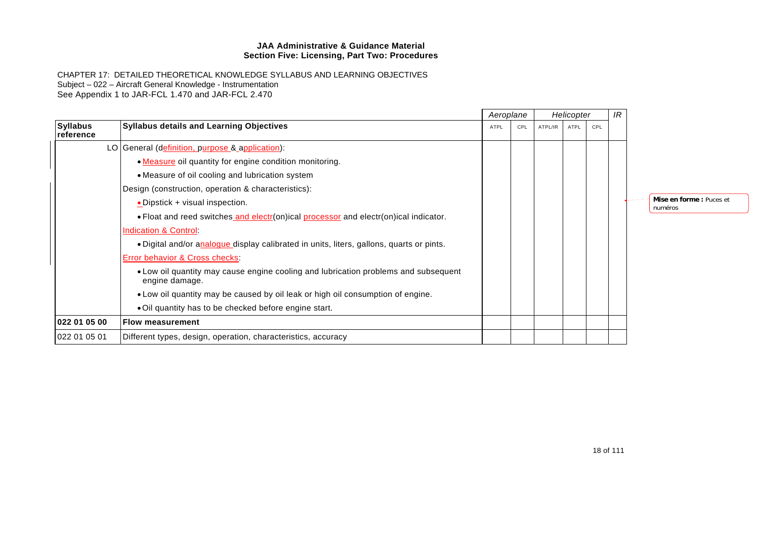|                              |                                                                                                       | Aeroplane |     |         | Helicopter |     | IR |                                    |
|------------------------------|-------------------------------------------------------------------------------------------------------|-----------|-----|---------|------------|-----|----|------------------------------------|
| <b>Syllabus</b><br>reference | <b>Syllabus details and Learning Objectives</b>                                                       | ATPL      | CPL | ATPL/IR | ATPL       | CPL |    |                                    |
|                              | LO General (definition, purpose & application):                                                       |           |     |         |            |     |    |                                    |
|                              | • Measure oil quantity for engine condition monitoring.                                               |           |     |         |            |     |    |                                    |
|                              | • Measure of oil cooling and lubrication system                                                       |           |     |         |            |     |    |                                    |
|                              | Design (construction, operation & characteristics):                                                   |           |     |         |            |     |    |                                    |
|                              | • Dipstick + visual inspection.                                                                       |           |     |         |            |     |    | Mise en forme: Puces et<br>numéros |
|                              | . Float and reed switches and electr(on)ical processor and electr(on)ical indicator.                  |           |     |         |            |     |    |                                    |
|                              | Indication & Control:                                                                                 |           |     |         |            |     |    |                                    |
|                              | . Digital and/or analogue display calibrated in units, liters, gallons, quarts or pints.              |           |     |         |            |     |    |                                    |
|                              | <b>Error behavior &amp; Cross checks:</b>                                                             |           |     |         |            |     |    |                                    |
|                              | • Low oil quantity may cause engine cooling and lubrication problems and subsequent<br>engine damage. |           |     |         |            |     |    |                                    |
|                              | • Low oil quantity may be caused by oil leak or high oil consumption of engine.                       |           |     |         |            |     |    |                                    |
|                              | • Oil quantity has to be checked before engine start.                                                 |           |     |         |            |     |    |                                    |
| 022 01 05 00                 | <b>Flow measurement</b>                                                                               |           |     |         |            |     |    |                                    |
| 022 01 05 01                 | Different types, design, operation, characteristics, accuracy                                         |           |     |         |            |     |    |                                    |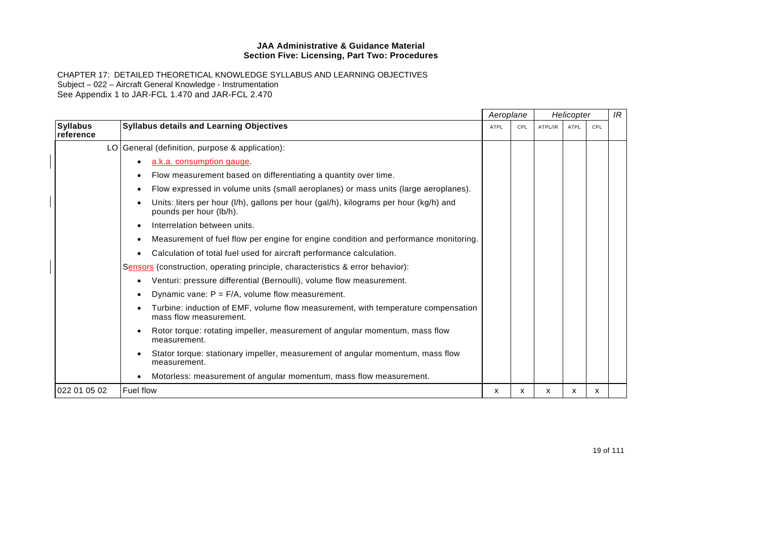|                              |                                                                                                                  | Aeroplane |     | Helicopter |             |     | IR |
|------------------------------|------------------------------------------------------------------------------------------------------------------|-----------|-----|------------|-------------|-----|----|
| <b>Syllabus</b><br>reference | <b>Syllabus details and Learning Objectives</b>                                                                  | ATPL      | CPL | ATPL/IR    | <b>ATPL</b> | CPL |    |
|                              | LO General (definition, purpose & application):                                                                  |           |     |            |             |     |    |
|                              | a.k.a. consumption gauge.                                                                                        |           |     |            |             |     |    |
|                              | Flow measurement based on differentiating a quantity over time.                                                  |           |     |            |             |     |    |
|                              | Flow expressed in volume units (small aeroplanes) or mass units (large aeroplanes).<br>$\bullet$                 |           |     |            |             |     |    |
|                              | Units: liters per hour (I/h), gallons per hour (gal/h), kilograms per hour (kg/h) and<br>pounds per hour (lb/h). |           |     |            |             |     |    |
|                              | Interrelation between units.                                                                                     |           |     |            |             |     |    |
|                              | Measurement of fuel flow per engine for engine condition and performance monitoring.                             |           |     |            |             |     |    |
|                              | Calculation of total fuel used for aircraft performance calculation.                                             |           |     |            |             |     |    |
|                              | Sensors (construction, operating principle, characteristics & error behavior):                                   |           |     |            |             |     |    |
|                              | Venturi: pressure differential (Bernoulli), volume flow measurement.<br>$\bullet$                                |           |     |            |             |     |    |
|                              | Dynamic vane: $P = F/A$ , volume flow measurement.<br>$\bullet$                                                  |           |     |            |             |     |    |
|                              | Turbine: induction of EMF, volume flow measurement, with temperature compensation<br>mass flow measurement.      |           |     |            |             |     |    |
|                              | Rotor torque: rotating impeller, measurement of angular momentum, mass flow<br>measurement.                      |           |     |            |             |     |    |
|                              | Stator torque: stationary impeller, measurement of angular momentum, mass flow<br>measurement.                   |           |     |            |             |     |    |
|                              | Motorless: measurement of angular momentum, mass flow measurement.                                               |           |     |            |             |     |    |
| 022 01 05 02                 | <b>Fuel flow</b>                                                                                                 | х         | x   | х          | x           | x   |    |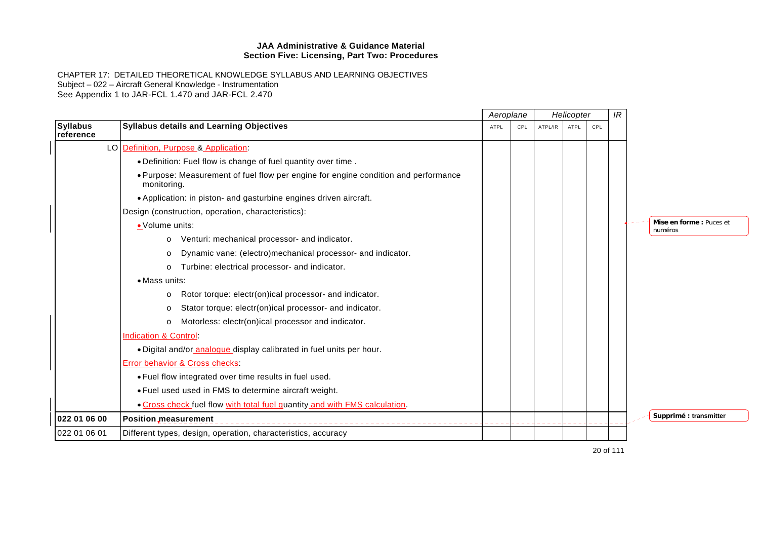| <b>Syllabus</b><br><b>Syllabus details and Learning Objectives</b><br>ATPL<br>reference            | CPL | ATPL/IR | <b>ATPL</b> | CPL |  |                                     |
|----------------------------------------------------------------------------------------------------|-----|---------|-------------|-----|--|-------------------------------------|
|                                                                                                    |     |         |             |     |  |                                     |
| LO Definition, Purpose & Application:                                                              |     |         |             |     |  |                                     |
| . Definition: Fuel flow is change of fuel quantity over time.                                      |     |         |             |     |  |                                     |
| . Purpose: Measurement of fuel flow per engine for engine condition and performance<br>monitoring. |     |         |             |     |  |                                     |
| • Application: in piston- and gasturbine engines driven aircraft.                                  |     |         |             |     |  |                                     |
| Design (construction, operation, characteristics):                                                 |     |         |             |     |  |                                     |
| · Volume units:                                                                                    |     |         |             |     |  | Mise en forme : Puces et<br>numéros |
| Venturi: mechanical processor- and indicator.<br>$\circ$                                           |     |         |             |     |  |                                     |
| Dynamic vane: (electro)mechanical processor- and indicator.<br>$\circ$                             |     |         |             |     |  |                                     |
| Turbine: electrical processor- and indicator.<br>$\circ$                                           |     |         |             |     |  |                                     |
| • Mass units:                                                                                      |     |         |             |     |  |                                     |
| Rotor torque: electr(on)ical processor- and indicator.<br>$\circ$                                  |     |         |             |     |  |                                     |
| Stator torque: electr(on)ical processor- and indicator.<br>$\circ$                                 |     |         |             |     |  |                                     |
| Motorless: electr(on)ical processor and indicator.                                                 |     |         |             |     |  |                                     |
| <b>Indication &amp; Control:</b>                                                                   |     |         |             |     |  |                                     |
| . Digital and/or analogue display calibrated in fuel units per hour.                               |     |         |             |     |  |                                     |
| <b>Error behavior &amp; Cross checks:</b>                                                          |     |         |             |     |  |                                     |
| . Fuel flow integrated over time results in fuel used.                                             |     |         |             |     |  |                                     |
| . Fuel used used in FMS to determine aircraft weight.                                              |     |         |             |     |  |                                     |
| . Cross check fuel flow with total fuel quantity and with FMS calculation.                         |     |         |             |     |  |                                     |
| 022 01 06 00<br><b>Position measurement</b>                                                        |     |         |             |     |  | Supprimé : transmitter              |
| 022 01 06 01<br>Different types, design, operation, characteristics, accuracy                      |     |         |             |     |  |                                     |

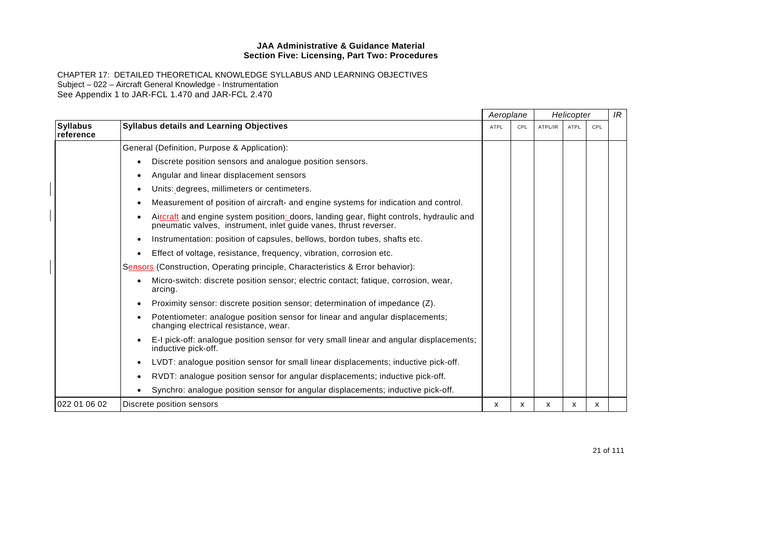|                              |                                                                                                                                                               | Aeroplane   |            | Helicopter |      |     | IR |
|------------------------------|---------------------------------------------------------------------------------------------------------------------------------------------------------------|-------------|------------|------------|------|-----|----|
| <b>Syllabus</b><br>reference | <b>Syllabus details and Learning Objectives</b>                                                                                                               | <b>ATPL</b> | <b>CPL</b> | ATPL/IR    | ATPL | CPL |    |
|                              | General (Definition, Purpose & Application):                                                                                                                  |             |            |            |      |     |    |
|                              | Discrete position sensors and analogue position sensors.                                                                                                      |             |            |            |      |     |    |
|                              | Angular and linear displacement sensors                                                                                                                       |             |            |            |      |     |    |
|                              | Units: degrees, millimeters or centimeters.                                                                                                                   |             |            |            |      |     |    |
|                              | Measurement of position of aircraft- and engine systems for indication and control.                                                                           |             |            |            |      |     |    |
|                              | Aircraft and engine system position: doors, landing gear, flight controls, hydraulic and<br>pneumatic valves, instrument, inlet guide vanes, thrust reverser. |             |            |            |      |     |    |
|                              | Instrumentation: position of capsules, bellows, bordon tubes, shafts etc.                                                                                     |             |            |            |      |     |    |
|                              | Effect of voltage, resistance, frequency, vibration, corrosion etc.                                                                                           |             |            |            |      |     |    |
|                              | Sensors (Construction, Operating principle, Characteristics & Error behavior):                                                                                |             |            |            |      |     |    |
|                              | Micro-switch: discrete position sensor; electric contact; fatique, corrosion, wear,<br>arcing.                                                                |             |            |            |      |     |    |
|                              | Proximity sensor: discrete position sensor; determination of impedance (Z).                                                                                   |             |            |            |      |     |    |
|                              | Potentiometer: analogue position sensor for linear and angular displacements;<br>changing electrical resistance, wear.                                        |             |            |            |      |     |    |
|                              | E-I pick-off: analogue position sensor for very small linear and angular displacements;<br>inductive pick-off.                                                |             |            |            |      |     |    |
|                              | LVDT: analogue position sensor for small linear displacements; inductive pick-off.                                                                            |             |            |            |      |     |    |
|                              | RVDT: analogue position sensor for angular displacements; inductive pick-off.                                                                                 |             |            |            |      |     |    |
|                              | Synchro: analogue position sensor for angular displacements; inductive pick-off.                                                                              |             |            |            |      |     |    |
| 022 01 06 02                 | Discrete position sensors                                                                                                                                     | X           | X          | X          | x    | x   |    |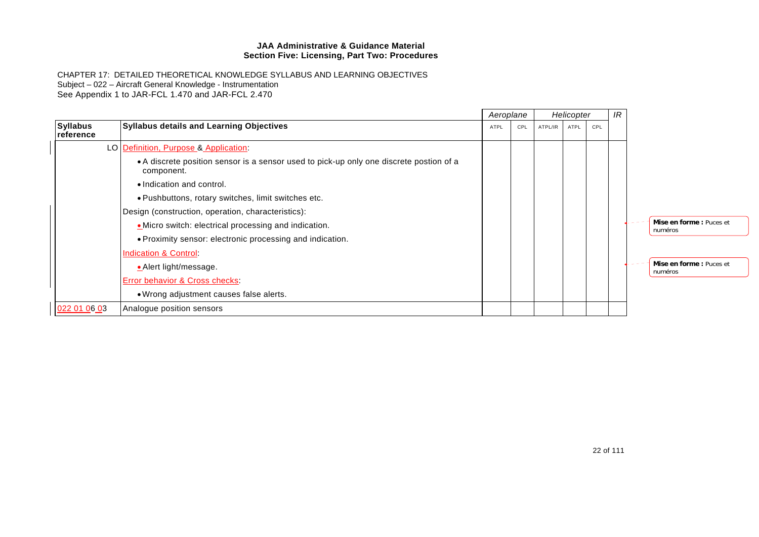|                              |                                                                                                       | Aeroplane |     | Helicopter |             |     | IR |                                     |
|------------------------------|-------------------------------------------------------------------------------------------------------|-----------|-----|------------|-------------|-----|----|-------------------------------------|
| <b>Syllabus</b><br>reference | <b>Syllabus details and Learning Objectives</b>                                                       | ATPL      | CPL | ATPL/IR    | <b>ATPL</b> | CPL |    |                                     |
|                              | LO Definition, Purpose & Application.                                                                 |           |     |            |             |     |    |                                     |
|                              | • A discrete position sensor is a sensor used to pick-up only one discrete postion of a<br>component. |           |     |            |             |     |    |                                     |
|                              | • Indication and control.                                                                             |           |     |            |             |     |    |                                     |
|                              | . Pushbuttons, rotary switches, limit switches etc.                                                   |           |     |            |             |     |    |                                     |
|                              | Design (construction, operation, characteristics):                                                    |           |     |            |             |     |    |                                     |
|                              | . Micro switch: electrical processing and indication.                                                 |           |     |            |             |     |    | Mise en forme: Puces et<br>numéros  |
|                              | . Proximity sensor: electronic processing and indication.                                             |           |     |            |             |     |    |                                     |
|                              | Indication & Control:                                                                                 |           |     |            |             |     |    |                                     |
|                              | · Alert light/message.                                                                                |           |     |            |             |     |    | Mise en forme : Puces et<br>numéros |
|                              | <b>Error behavior &amp; Cross checks:</b>                                                             |           |     |            |             |     |    |                                     |
|                              | . Wrong adjustment causes false alerts.                                                               |           |     |            |             |     |    |                                     |
| 022 01 06 03                 | Analogue position sensors                                                                             |           |     |            |             |     |    |                                     |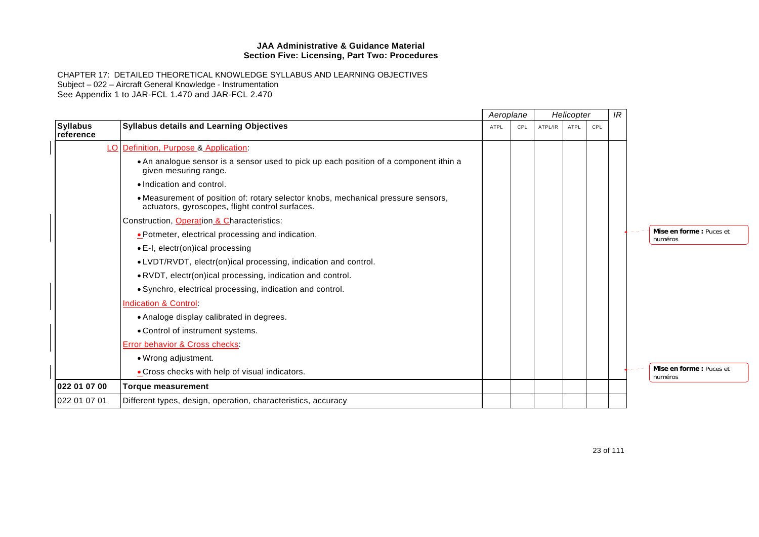|                              |                                                                                                                                      | Aeroplane<br>Helicopter |     |         |             |     |  |                                     |  |  |  |  |  |
|------------------------------|--------------------------------------------------------------------------------------------------------------------------------------|-------------------------|-----|---------|-------------|-----|--|-------------------------------------|--|--|--|--|--|
| <b>Syllabus</b><br>reference | <b>Syllabus details and Learning Objectives</b>                                                                                      | ATPL                    | CPL | ATPL/IR | <b>ATPL</b> | CPL |  |                                     |  |  |  |  |  |
|                              | LO Definition, Purpose & Application:                                                                                                |                         |     |         |             |     |  |                                     |  |  |  |  |  |
|                              | • An analogue sensor is a sensor used to pick up each position of a component ithin a<br>given mesuring range.                       |                         |     |         |             |     |  |                                     |  |  |  |  |  |
|                              | • Indication and control.                                                                                                            |                         |     |         |             |     |  |                                     |  |  |  |  |  |
|                              | • Measurement of position of: rotary selector knobs, mechanical pressure sensors,<br>actuators, gyroscopes, flight control surfaces. |                         |     |         |             |     |  |                                     |  |  |  |  |  |
|                              | Construction, Operation & Characteristics:                                                                                           |                         |     |         |             |     |  |                                     |  |  |  |  |  |
|                              | • Potmeter, electrical processing and indication.                                                                                    |                         |     |         |             |     |  | Mise en forme: Puces et<br>numéros  |  |  |  |  |  |
|                              | • E-I, electr(on)ical processing                                                                                                     |                         |     |         |             |     |  |                                     |  |  |  |  |  |
|                              | • LVDT/RVDT, electr(on)ical processing, indication and control.                                                                      |                         |     |         |             |     |  |                                     |  |  |  |  |  |
|                              | • RVDT, electr(on)ical processing, indication and control.                                                                           |                         |     |         |             |     |  |                                     |  |  |  |  |  |
|                              | • Synchro, electrical processing, indication and control.                                                                            |                         |     |         |             |     |  |                                     |  |  |  |  |  |
|                              | <b>Indication &amp; Control:</b>                                                                                                     |                         |     |         |             |     |  |                                     |  |  |  |  |  |
|                              | • Analoge display calibrated in degrees.                                                                                             |                         |     |         |             |     |  |                                     |  |  |  |  |  |
|                              | • Control of instrument systems.                                                                                                     |                         |     |         |             |     |  |                                     |  |  |  |  |  |
|                              | <b>Error behavior &amp; Cross checks:</b>                                                                                            |                         |     |         |             |     |  |                                     |  |  |  |  |  |
|                              | • Wrong adjustment.                                                                                                                  |                         |     |         |             |     |  |                                     |  |  |  |  |  |
|                              | . Cross checks with help of visual indicators.                                                                                       |                         |     |         |             |     |  | Mise en forme : Puces et<br>numéros |  |  |  |  |  |
| 022 01 07 00                 | <b>Torque measurement</b>                                                                                                            |                         |     |         |             |     |  |                                     |  |  |  |  |  |
| 022 01 07 01                 | Different types, design, operation, characteristics, accuracy                                                                        |                         |     |         |             |     |  |                                     |  |  |  |  |  |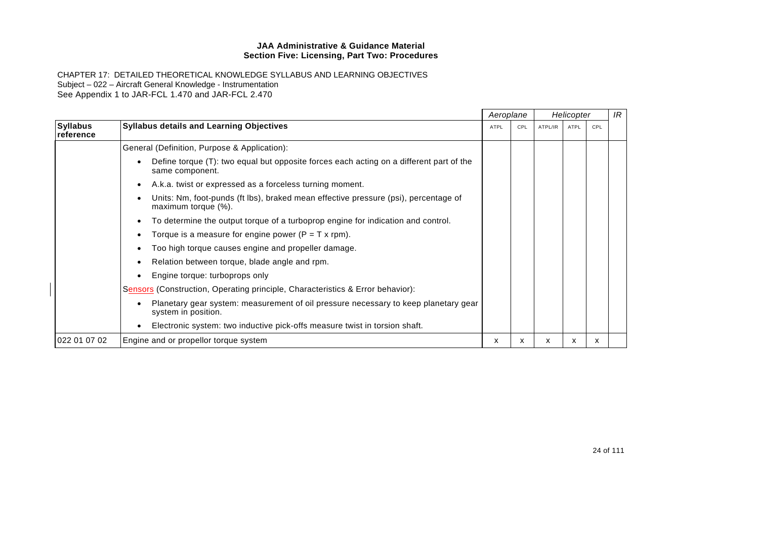|                              |                                                                                                            | Aeroplane |     |         | Helicopter  |     | IR |
|------------------------------|------------------------------------------------------------------------------------------------------------|-----------|-----|---------|-------------|-----|----|
| <b>Syllabus</b><br>reference | <b>Syllabus details and Learning Objectives</b>                                                            | ATPL      | CPL | ATPL/IR | <b>ATPL</b> | CPL |    |
|                              | General (Definition, Purpose & Application):                                                               |           |     |         |             |     |    |
|                              | Define torque (T): two equal but opposite forces each acting on a different part of the<br>same component. |           |     |         |             |     |    |
|                              | A.k.a. twist or expressed as a forceless turning moment.                                                   |           |     |         |             |     |    |
|                              | Units: Nm, foot-punds (ft lbs), braked mean effective pressure (psi), percentage of<br>maximum torque (%). |           |     |         |             |     |    |
|                              | To determine the output torque of a turboprop engine for indication and control.                           |           |     |         |             |     |    |
|                              | Torque is a measure for engine power ( $P = T \times r$ rpm).                                              |           |     |         |             |     |    |
|                              | Too high torque causes engine and propeller damage.                                                        |           |     |         |             |     |    |
|                              | Relation between torque, blade angle and rpm.                                                              |           |     |         |             |     |    |
|                              | Engine torque: turboprops only                                                                             |           |     |         |             |     |    |
|                              | Sensors (Construction, Operating principle, Characteristics & Error behavior):                             |           |     |         |             |     |    |
|                              | Planetary gear system: measurement of oil pressure necessary to keep planetary gear<br>system in position. |           |     |         |             |     |    |
|                              | Electronic system: two inductive pick-offs measure twist in torsion shaft.                                 |           |     |         |             |     |    |
| 022 01 07 02                 | Engine and or propellor torque system                                                                      | X         | х   | x       | x           | x   |    |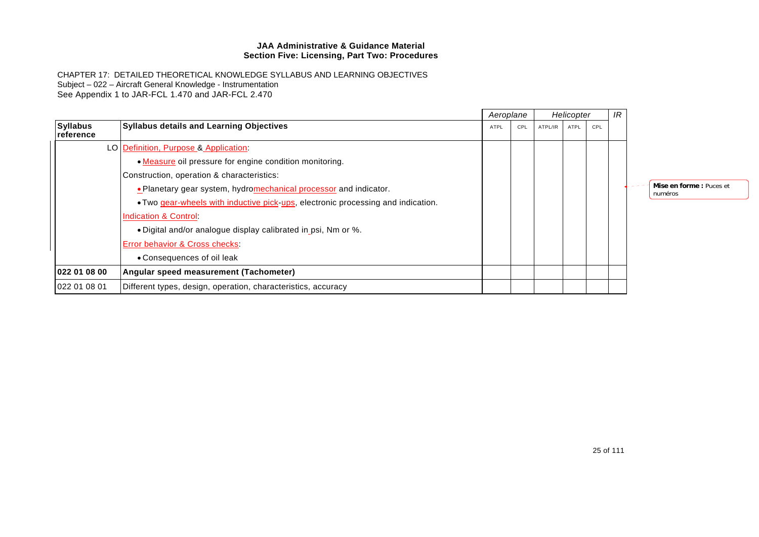|                               |                                                                                  |      | Aeroplane |         | Helicopter  |     | IR |                                    |
|-------------------------------|----------------------------------------------------------------------------------|------|-----------|---------|-------------|-----|----|------------------------------------|
| <b>Syllabus</b><br>∣reference | <b>Syllabus details and Learning Objectives</b>                                  | ATPL | CPL       | ATPL/IR | <b>ATPL</b> | CPL |    |                                    |
|                               | LO Definition, Purpose & Application:                                            |      |           |         |             |     |    |                                    |
|                               | • Measure oil pressure for engine condition monitoring.                          |      |           |         |             |     |    |                                    |
|                               | Construction, operation & characteristics:                                       |      |           |         |             |     |    |                                    |
|                               | . Planetary gear system, hydromechanical processor and indicator.                |      |           |         |             |     |    | Mise en forme: Puces et<br>numéros |
|                               | • Two gear-wheels with inductive pick-ups, electronic processing and indication. |      |           |         |             |     |    |                                    |
|                               | Indication & Control:                                                            |      |           |         |             |     |    |                                    |
|                               | • Digital and/or analogue display calibrated in psi, Nm or %.                    |      |           |         |             |     |    |                                    |
|                               | Error behavior & Cross checks:                                                   |      |           |         |             |     |    |                                    |
|                               | • Consequences of oil leak                                                       |      |           |         |             |     |    |                                    |
| 022 01 08 00                  | Angular speed measurement (Tachometer)                                           |      |           |         |             |     |    |                                    |
| 022 01 08 01                  | Different types, design, operation, characteristics, accuracy                    |      |           |         |             |     |    |                                    |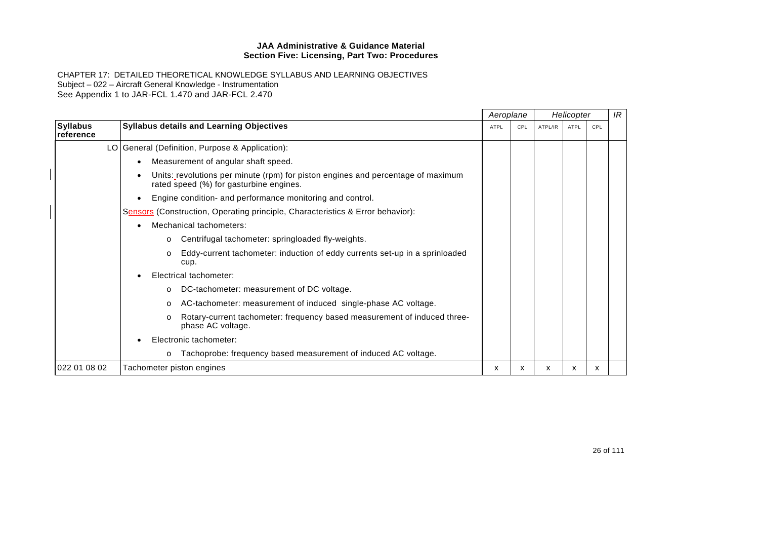|                              |                                                                                                                             | Aeroplane |     |         | Helicopter |     | IR |
|------------------------------|-----------------------------------------------------------------------------------------------------------------------------|-----------|-----|---------|------------|-----|----|
| <b>Syllabus</b><br>reference | <b>Syllabus details and Learning Objectives</b>                                                                             | ATPL      | CPL | ATPL/IR | ATPL       | CPL |    |
|                              | LO General (Definition, Purpose & Application):                                                                             |           |     |         |            |     |    |
|                              | Measurement of angular shaft speed.                                                                                         |           |     |         |            |     |    |
|                              | Units: revolutions per minute (rpm) for piston engines and percentage of maximum<br>rated speed (%) for gasturbine engines. |           |     |         |            |     |    |
|                              | Engine condition- and performance monitoring and control.                                                                   |           |     |         |            |     |    |
|                              | Sensors (Construction, Operating principle, Characteristics & Error behavior):                                              |           |     |         |            |     |    |
|                              | Mechanical tachometers:                                                                                                     |           |     |         |            |     |    |
|                              | Centrifugal tachometer: springloaded fly-weights.<br>$\circ$                                                                |           |     |         |            |     |    |
|                              | Eddy-current tachometer: induction of eddy currents set-up in a sprinloaded<br>$\Omega$<br>cup.                             |           |     |         |            |     |    |
|                              | Electrical tachometer:                                                                                                      |           |     |         |            |     |    |
|                              | DC-tachometer: measurement of DC voltage.<br>$\circ$                                                                        |           |     |         |            |     |    |
|                              | AC-tachometer: measurement of induced single-phase AC voltage.<br>$\circ$                                                   |           |     |         |            |     |    |
|                              | Rotary-current tachometer: frequency based measurement of induced three-<br>$\circ$<br>phase AC voltage.                    |           |     |         |            |     |    |
|                              | Electronic tachometer:                                                                                                      |           |     |         |            |     |    |
|                              | Tachoprobe: frequency based measurement of induced AC voltage.<br>$\circ$                                                   |           |     |         |            |     |    |
| 022 01 08 02                 | Tachometer piston engines                                                                                                   | X         | x   | х       | X          | X   |    |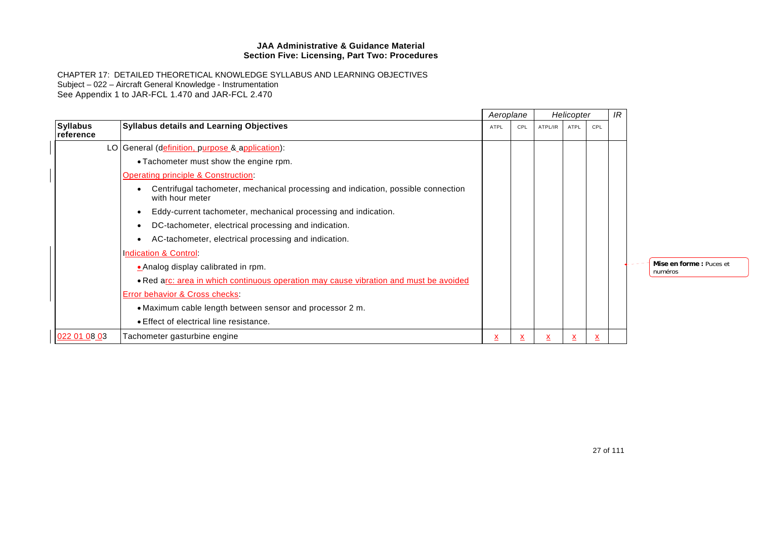|                              |                                                                                                      | Aeroplane<br>Helicopter |     |         |      |     | IR |                                    |
|------------------------------|------------------------------------------------------------------------------------------------------|-------------------------|-----|---------|------|-----|----|------------------------------------|
| <b>Syllabus</b><br>reference | <b>Syllabus details and Learning Objectives</b>                                                      | ATPL                    | CPL | ATPL/IR | ATPL | CPL |    |                                    |
|                              | LO General (definition, purpose & application):                                                      |                         |     |         |      |     |    |                                    |
|                              | • Tachometer must show the engine rpm.                                                               |                         |     |         |      |     |    |                                    |
|                              | <b>Operating principle &amp; Construction:</b>                                                       |                         |     |         |      |     |    |                                    |
|                              | Centrifugal tachometer, mechanical processing and indication, possible connection<br>with hour meter |                         |     |         |      |     |    |                                    |
|                              | Eddy-current tachometer, mechanical processing and indication.<br>$\bullet$                          |                         |     |         |      |     |    |                                    |
|                              | DC-tachometer, electrical processing and indication.<br>$\bullet$                                    |                         |     |         |      |     |    |                                    |
|                              | AC-tachometer, electrical processing and indication.                                                 |                         |     |         |      |     |    |                                    |
|                              | Indication & Control:                                                                                |                         |     |         |      |     |    |                                    |
|                              | . Analog display calibrated in rpm.                                                                  |                         |     |         |      |     |    | Mise en forme: Puces et<br>numéros |
|                              | . Red arc: area in which continuous operation may cause vibration and must be avoided                |                         |     |         |      |     |    |                                    |
|                              | Error behavior & Cross checks:                                                                       |                         |     |         |      |     |    |                                    |
|                              | • Maximum cable length between sensor and processor 2 m.                                             |                         |     |         |      |     |    |                                    |
|                              | • Effect of electrical line resistance.                                                              |                         |     |         |      |     |    |                                    |
| 022 01 08 03                 | Tachometer gasturbine engine                                                                         | x.                      |     | ᄉ       | х    | x   |    |                                    |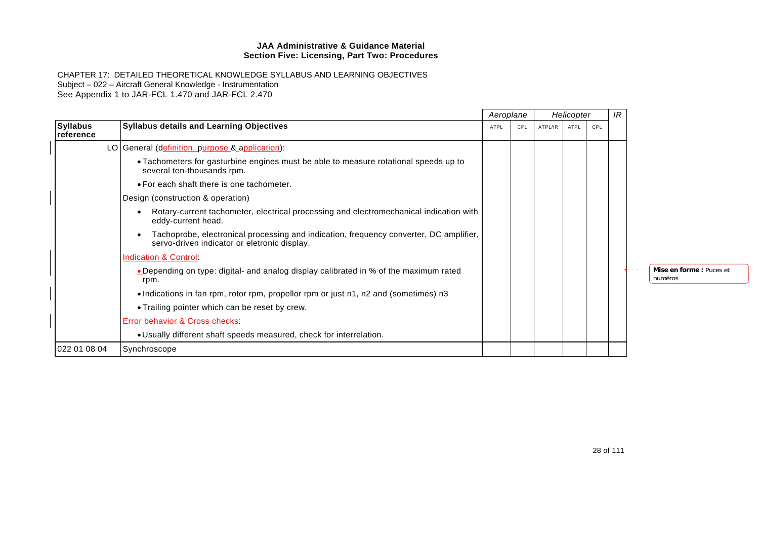|                              |                                                                                                                                        | Aeroplane |     | Helicopter |      |     |  |                                    |  | IR |  |
|------------------------------|----------------------------------------------------------------------------------------------------------------------------------------|-----------|-----|------------|------|-----|--|------------------------------------|--|----|--|
| <b>Syllabus</b><br>reference | <b>Syllabus details and Learning Objectives</b>                                                                                        | ATPL      | CPL | ATPL/IR    | ATPL | CPL |  |                                    |  |    |  |
|                              | LO General (definition, purpose & application):                                                                                        |           |     |            |      |     |  |                                    |  |    |  |
|                              | • Tachometers for gasturbine engines must be able to measure rotational speeds up to<br>several ten-thousands rpm.                     |           |     |            |      |     |  |                                    |  |    |  |
|                              | • For each shaft there is one tachometer.                                                                                              |           |     |            |      |     |  |                                    |  |    |  |
|                              | Design (construction & operation)                                                                                                      |           |     |            |      |     |  |                                    |  |    |  |
|                              | Rotary-current tachometer, electrical processing and electromechanical indication with<br>eddy-current head.                           |           |     |            |      |     |  |                                    |  |    |  |
|                              | Tachoprobe, electronical processing and indication, frequency converter, DC amplifier,<br>servo-driven indicator or eletronic display. |           |     |            |      |     |  |                                    |  |    |  |
|                              | <b>Indication &amp; Control:</b>                                                                                                       |           |     |            |      |     |  |                                    |  |    |  |
|                              | • Depending on type: digital- and analog display calibrated in % of the maximum rated<br>rpm.                                          |           |     |            |      |     |  | Mise en forme: Puces et<br>numéros |  |    |  |
|                              | . Indications in fan rpm, rotor rpm, propellor rpm or just n1, n2 and (sometimes) n3                                                   |           |     |            |      |     |  |                                    |  |    |  |
|                              | • Trailing pointer which can be reset by crew.                                                                                         |           |     |            |      |     |  |                                    |  |    |  |
|                              | Error behavior & Cross checks:                                                                                                         |           |     |            |      |     |  |                                    |  |    |  |
|                              | • Usually different shaft speeds measured, check for interrelation.                                                                    |           |     |            |      |     |  |                                    |  |    |  |
| 022 01 08 04                 | Synchroscope                                                                                                                           |           |     |            |      |     |  |                                    |  |    |  |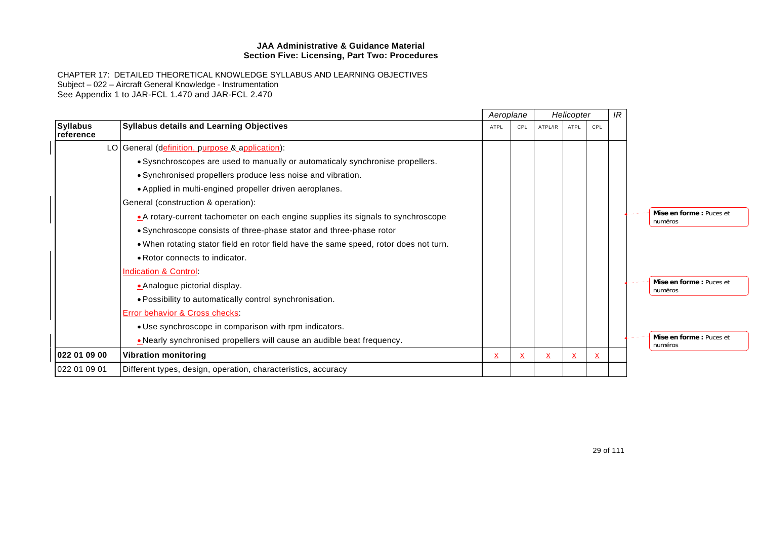|                              |                                                                                       | IR<br>Aeroplane<br>Helicopter |                 |         |      |                         |  |                                    |  |  |
|------------------------------|---------------------------------------------------------------------------------------|-------------------------------|-----------------|---------|------|-------------------------|--|------------------------------------|--|--|
| <b>Syllabus</b><br>reference | <b>Syllabus details and Learning Objectives</b>                                       | ATPL                          | CPL             | ATPL/IR | ATPL | CPL                     |  |                                    |  |  |
|                              | LO General (definition, purpose & application):                                       |                               |                 |         |      |                         |  |                                    |  |  |
|                              | . Sysnchroscopes are used to manually or automaticaly synchronise propellers.         |                               |                 |         |      |                         |  |                                    |  |  |
|                              | • Synchronised propellers produce less noise and vibration.                           |                               |                 |         |      |                         |  |                                    |  |  |
|                              | • Applied in multi-engined propeller driven aeroplanes.                               |                               |                 |         |      |                         |  |                                    |  |  |
|                              | General (construction & operation):                                                   |                               |                 |         |      |                         |  |                                    |  |  |
|                              | • A rotary-current tachometer on each engine supplies its signals to synchroscope     |                               |                 |         |      |                         |  | Mise en forme: Puces et<br>numéros |  |  |
|                              | • Synchroscope consists of three-phase stator and three-phase rotor                   |                               |                 |         |      |                         |  |                                    |  |  |
|                              | . When rotating stator field en rotor field have the same speed, rotor does not turn. |                               |                 |         |      |                         |  |                                    |  |  |
|                              | • Rotor connects to indicator.                                                        |                               |                 |         |      |                         |  |                                    |  |  |
|                              | Indication & Control:                                                                 |                               |                 |         |      |                         |  |                                    |  |  |
|                              | • Analogue pictorial display.                                                         |                               |                 |         |      |                         |  | Mise en forme: Puces et<br>numéros |  |  |
|                              | • Possibility to automatically control synchronisation.                               |                               |                 |         |      |                         |  |                                    |  |  |
|                              | <b>Error behavior &amp; Cross checks:</b>                                             |                               |                 |         |      |                         |  |                                    |  |  |
|                              | • Use synchroscope in comparison with rpm indicators.                                 |                               |                 |         |      |                         |  |                                    |  |  |
|                              | . Nearly synchronised propellers will cause an audible beat frequency.                |                               |                 |         |      |                         |  | Mise en forme: Puces et<br>numéros |  |  |
| 022 01 09 00                 | <b>Vibration monitoring</b>                                                           | X                             | $\underline{x}$ | x       | x    | $\overline{\mathbf{x}}$ |  |                                    |  |  |
| 022 01 09 01                 | Different types, design, operation, characteristics, accuracy                         |                               |                 |         |      |                         |  |                                    |  |  |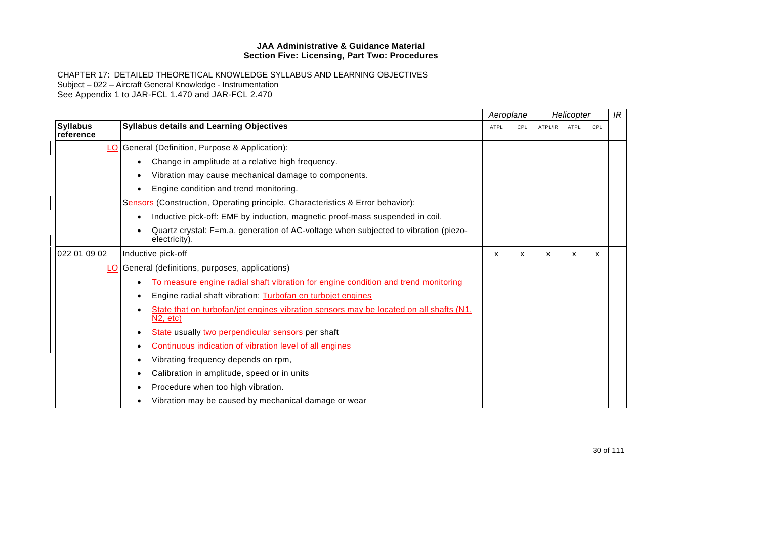|                              |                                                                                                                   |      | Aeroplane |         | Helicopter  |     |  |  | IR |
|------------------------------|-------------------------------------------------------------------------------------------------------------------|------|-----------|---------|-------------|-----|--|--|----|
| <b>Syllabus</b><br>reference | <b>Syllabus details and Learning Objectives</b>                                                                   | ATPL | CPL       | ATPL/IR | <b>ATPL</b> | CPL |  |  |    |
|                              | LO General (Definition, Purpose & Application):                                                                   |      |           |         |             |     |  |  |    |
|                              | Change in amplitude at a relative high frequency.<br>$\bullet$                                                    |      |           |         |             |     |  |  |    |
|                              | Vibration may cause mechanical damage to components.<br>$\bullet$                                                 |      |           |         |             |     |  |  |    |
|                              | Engine condition and trend monitoring.                                                                            |      |           |         |             |     |  |  |    |
|                              | Sensors (Construction, Operating principle, Characteristics & Error behavior):                                    |      |           |         |             |     |  |  |    |
|                              | Inductive pick-off: EMF by induction, magnetic proof-mass suspended in coil.<br>$\bullet$                         |      |           |         |             |     |  |  |    |
|                              | Quartz crystal: F=m.a, generation of AC-voltage when subjected to vibration (piezo-<br>$\bullet$<br>electricity). |      |           |         |             |     |  |  |    |
| 022 01 09 02                 | Inductive pick-off                                                                                                | x    | x         | X       | x           | x   |  |  |    |
|                              | LO General (definitions, purposes, applications)                                                                  |      |           |         |             |     |  |  |    |
|                              | To measure engine radial shaft vibration for engine condition and trend monitoring                                |      |           |         |             |     |  |  |    |
|                              | Engine radial shaft vibration: Turbofan en turbojet engines<br>$\bullet$                                          |      |           |         |             |     |  |  |    |
|                              | State that on turbofan/jet engines vibration sensors may be located on all shafts (N1,<br>$\bullet$<br>N2, etc.   |      |           |         |             |     |  |  |    |
|                              | State usually two perpendicular sensors per shaft<br>٠                                                            |      |           |         |             |     |  |  |    |
|                              | Continuous indication of vibration level of all engines<br>$\bullet$                                              |      |           |         |             |     |  |  |    |
|                              | Vibrating frequency depends on rpm,<br>$\bullet$                                                                  |      |           |         |             |     |  |  |    |
|                              | Calibration in amplitude, speed or in units<br>$\bullet$                                                          |      |           |         |             |     |  |  |    |
|                              | Procedure when too high vibration.<br>$\bullet$                                                                   |      |           |         |             |     |  |  |    |
|                              | Vibration may be caused by mechanical damage or wear                                                              |      |           |         |             |     |  |  |    |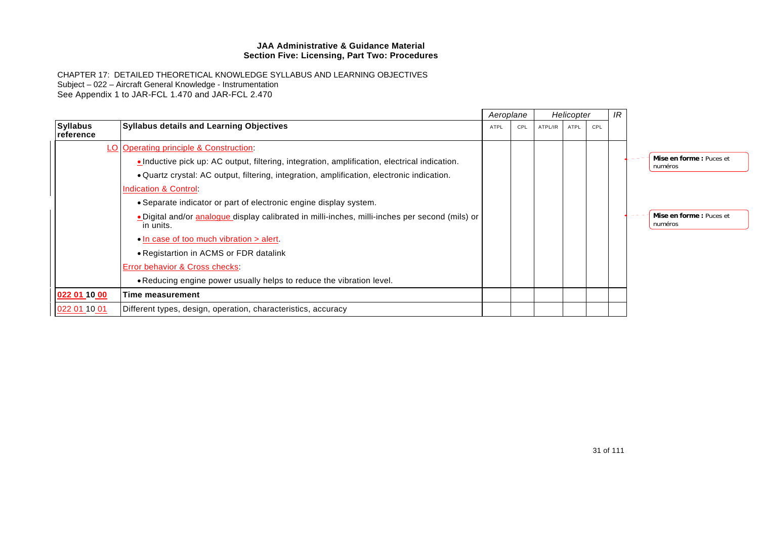|                              |                                                                                                              | Aeroplane |     |         | Helicopter |     | IR |                                    |
|------------------------------|--------------------------------------------------------------------------------------------------------------|-----------|-----|---------|------------|-----|----|------------------------------------|
| <b>Syllabus</b><br>reference | <b>Syllabus details and Learning Objectives</b>                                                              | ATPL      | CPL | ATPL/IR | ATPL       | CPL |    |                                    |
|                              | <b>LO Operating principle &amp; Construction:</b>                                                            |           |     |         |            |     |    |                                    |
|                              | <b>•</b> Inductive pick up: AC output, filtering, integration, amplification, electrical indication.         |           |     |         |            |     |    | Mise en forme: Puces et<br>numéros |
|                              | • Quartz crystal: AC output, filtering, integration, amplification, electronic indication.                   |           |     |         |            |     |    |                                    |
|                              | Indication & Control:                                                                                        |           |     |         |            |     |    |                                    |
|                              | • Separate indicator or part of electronic engine display system.                                            |           |     |         |            |     |    |                                    |
|                              | · Digital and/or analogue display calibrated in milli-inches, milli-inches per second (mils) or<br>in units. |           |     |         |            |     |    | Mise en forme: Puces et<br>numéros |
|                              | $\bullet$ In case of too much vibration $>$ alert.                                                           |           |     |         |            |     |    |                                    |
|                              | • Registartion in ACMS or FDR datalink                                                                       |           |     |         |            |     |    |                                    |
|                              | <b>Error behavior &amp; Cross checks:</b>                                                                    |           |     |         |            |     |    |                                    |
|                              | • Reducing engine power usually helps to reduce the vibration level.                                         |           |     |         |            |     |    |                                    |
| 022 01 10 00                 | Time measurement                                                                                             |           |     |         |            |     |    |                                    |
| 022 01 10 01                 | Different types, design, operation, characteristics, accuracy                                                |           |     |         |            |     |    |                                    |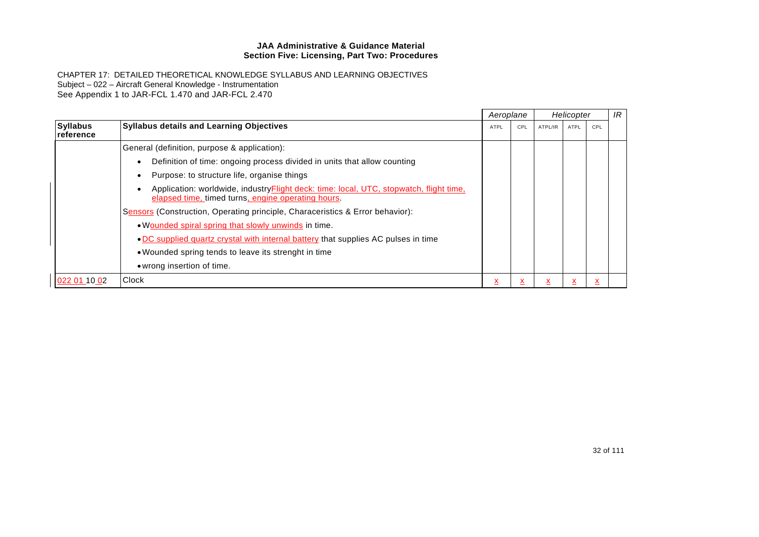|                              |                                                                                                                                              | Aeroplane |           |         | Helicopter |     | IR |
|------------------------------|----------------------------------------------------------------------------------------------------------------------------------------------|-----------|-----------|---------|------------|-----|----|
| <b>Syllabus</b><br>reference | <b>Syllabus details and Learning Objectives</b>                                                                                              | ATPL      | CPL       | ATPL/IR | ATPL       | CPL |    |
|                              | General (definition, purpose & application):                                                                                                 |           |           |         |            |     |    |
|                              | Definition of time: ongoing process divided in units that allow counting                                                                     |           |           |         |            |     |    |
|                              | Purpose: to structure life, organise things                                                                                                  |           |           |         |            |     |    |
|                              | Application: worldwide, industryFlight deck: time: local, UTC, stopwatch, flight time,<br>elapsed time, timed turns, engine operating hours. |           |           |         |            |     |    |
|                              | Sensors (Construction, Operating principle, Characeristics & Error behavior):                                                                |           |           |         |            |     |    |
|                              | • Wounded spiral spring that slowly unwinds in time.                                                                                         |           |           |         |            |     |    |
|                              | • DC supplied quartz crystal with internal battery that supplies AC pulses in time                                                           |           |           |         |            |     |    |
|                              | • Wounded spring tends to leave its strenght in time                                                                                         |           |           |         |            |     |    |
|                              | • wrong insertion of time.                                                                                                                   |           |           |         |            |     |    |
| 022 01 10 02                 | <b>Clock</b>                                                                                                                                 | ≚         | $\lambda$ | x       | ×          | л   |    |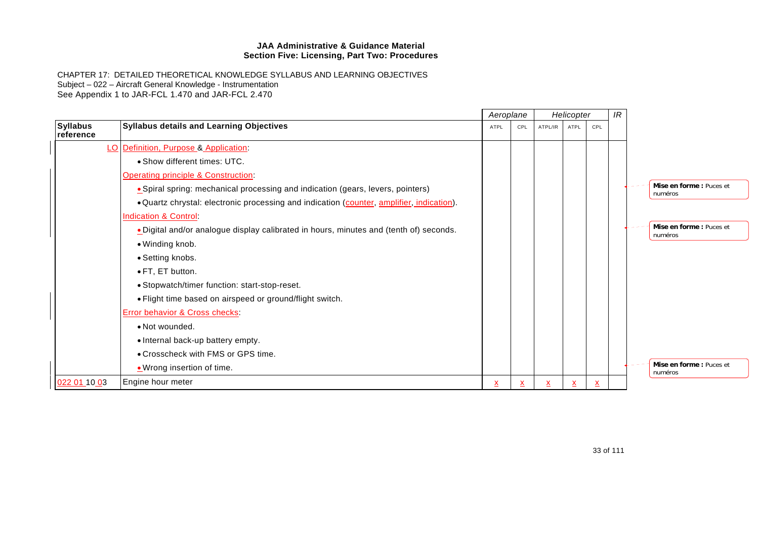|                              |                                                                                           | Aeroplane |                         | Helicopter      |                         |     | IR |                                    |
|------------------------------|-------------------------------------------------------------------------------------------|-----------|-------------------------|-----------------|-------------------------|-----|----|------------------------------------|
| <b>Syllabus</b><br>reference | <b>Syllabus details and Learning Objectives</b>                                           | ATPL      | CPL                     | ATPL/IR         | <b>ATPL</b>             | CPL |    |                                    |
|                              | LO Definition, Purpose & Application:                                                     |           |                         |                 |                         |     |    |                                    |
|                              | • Show different times: UTC.                                                              |           |                         |                 |                         |     |    |                                    |
|                              | <b>Operating principle &amp; Construction:</b>                                            |           |                         |                 |                         |     |    |                                    |
|                              | • Spiral spring: mechanical processing and indication (gears, levers, pointers)           |           |                         |                 |                         |     |    | Mise en forme: Puces et<br>numéros |
|                              | . Quartz chrystal: electronic processing and indication (counter, amplifier, indication). |           |                         |                 |                         |     |    |                                    |
|                              | <b>Indication &amp; Control:</b>                                                          |           |                         |                 |                         |     |    |                                    |
|                              | . Digital and/or analogue display calibrated in hours, minutes and (tenth of) seconds.    |           |                         |                 |                         |     |    | Mise en forme: Puces et<br>numéros |
|                              | • Winding knob.                                                                           |           |                         |                 |                         |     |    |                                    |
|                              | • Setting knobs.                                                                          |           |                         |                 |                         |     |    |                                    |
|                              | • FT, ET button.                                                                          |           |                         |                 |                         |     |    |                                    |
|                              | • Stopwatch/timer function: start-stop-reset.                                             |           |                         |                 |                         |     |    |                                    |
|                              | . Flight time based on airspeed or ground/flight switch.                                  |           |                         |                 |                         |     |    |                                    |
|                              | <b>Error behavior &amp; Cross checks:</b>                                                 |           |                         |                 |                         |     |    |                                    |
|                              | • Not wounded.                                                                            |           |                         |                 |                         |     |    |                                    |
|                              | • Internal back-up battery empty.                                                         |           |                         |                 |                         |     |    |                                    |
|                              | • Crosscheck with FMS or GPS time.                                                        |           |                         |                 |                         |     |    |                                    |
|                              | . Wrong insertion of time.                                                                |           |                         |                 |                         |     |    | Mise en forme: Puces et<br>numéros |
| 022 01 10 03                 | Engine hour meter                                                                         | <u>x</u>  | $\overline{\mathbf{x}}$ | $\underline{x}$ | $\overline{\mathbf{x}}$ | ≛   |    |                                    |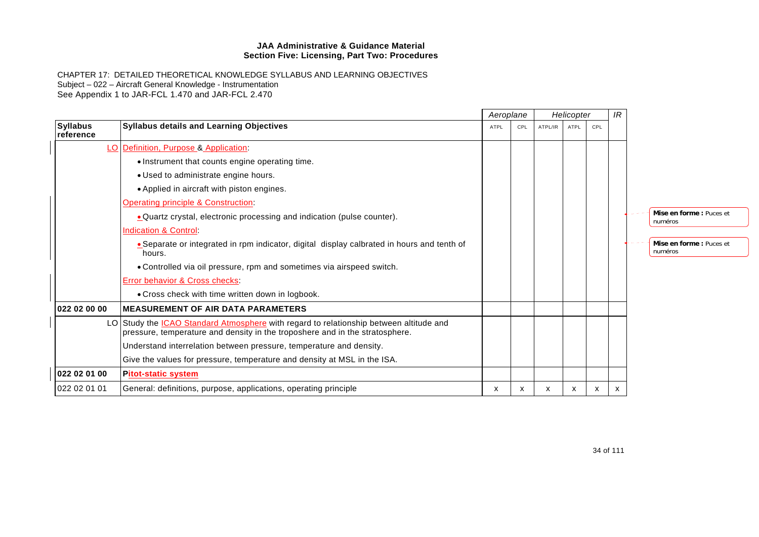|                              |                                                                                                                                                                               | Aeroplane |     |         |             |     |   |                                    | Helicopter |  |  |  |  |  |  |  |  |  |  |  |  |  |  |  |  |  |  |  |  |  |  |  |  |  |  |  |  |  | IR |  |
|------------------------------|-------------------------------------------------------------------------------------------------------------------------------------------------------------------------------|-----------|-----|---------|-------------|-----|---|------------------------------------|------------|--|--|--|--|--|--|--|--|--|--|--|--|--|--|--|--|--|--|--|--|--|--|--|--|--|--|--|--|--|----|--|
| <b>Syllabus</b><br>reference | <b>Syllabus details and Learning Objectives</b>                                                                                                                               | ATPL      | CPL | ATPL/IR | <b>ATPL</b> | CPL |   |                                    |            |  |  |  |  |  |  |  |  |  |  |  |  |  |  |  |  |  |  |  |  |  |  |  |  |  |  |  |  |  |    |  |
|                              | LO Definition, Purpose & Application:                                                                                                                                         |           |     |         |             |     |   |                                    |            |  |  |  |  |  |  |  |  |  |  |  |  |  |  |  |  |  |  |  |  |  |  |  |  |  |  |  |  |  |    |  |
|                              | • Instrument that counts engine operating time.                                                                                                                               |           |     |         |             |     |   |                                    |            |  |  |  |  |  |  |  |  |  |  |  |  |  |  |  |  |  |  |  |  |  |  |  |  |  |  |  |  |  |    |  |
|                              | • Used to administrate engine hours.                                                                                                                                          |           |     |         |             |     |   |                                    |            |  |  |  |  |  |  |  |  |  |  |  |  |  |  |  |  |  |  |  |  |  |  |  |  |  |  |  |  |  |    |  |
|                              | • Applied in aircraft with piston engines.                                                                                                                                    |           |     |         |             |     |   |                                    |            |  |  |  |  |  |  |  |  |  |  |  |  |  |  |  |  |  |  |  |  |  |  |  |  |  |  |  |  |  |    |  |
|                              | <b>Operating principle &amp; Construction:</b>                                                                                                                                |           |     |         |             |     |   |                                    |            |  |  |  |  |  |  |  |  |  |  |  |  |  |  |  |  |  |  |  |  |  |  |  |  |  |  |  |  |  |    |  |
|                              | • Quartz crystal, electronic processing and indication (pulse counter).                                                                                                       |           |     |         |             |     |   | Mise en forme: Puces et<br>numéros |            |  |  |  |  |  |  |  |  |  |  |  |  |  |  |  |  |  |  |  |  |  |  |  |  |  |  |  |  |  |    |  |
|                              | <b>Indication &amp; Control:</b>                                                                                                                                              |           |     |         |             |     |   |                                    |            |  |  |  |  |  |  |  |  |  |  |  |  |  |  |  |  |  |  |  |  |  |  |  |  |  |  |  |  |  |    |  |
|                              | • Separate or integrated in rpm indicator, digital display calbrated in hours and tenth of<br>hours.                                                                          |           |     |         |             |     |   | Mise en forme: Puces et<br>numéros |            |  |  |  |  |  |  |  |  |  |  |  |  |  |  |  |  |  |  |  |  |  |  |  |  |  |  |  |  |  |    |  |
|                              | • Controlled via oil pressure, rpm and sometimes via airspeed switch.                                                                                                         |           |     |         |             |     |   |                                    |            |  |  |  |  |  |  |  |  |  |  |  |  |  |  |  |  |  |  |  |  |  |  |  |  |  |  |  |  |  |    |  |
|                              | <b>Error behavior &amp; Cross checks:</b>                                                                                                                                     |           |     |         |             |     |   |                                    |            |  |  |  |  |  |  |  |  |  |  |  |  |  |  |  |  |  |  |  |  |  |  |  |  |  |  |  |  |  |    |  |
|                              | • Cross check with time written down in logbook.                                                                                                                              |           |     |         |             |     |   |                                    |            |  |  |  |  |  |  |  |  |  |  |  |  |  |  |  |  |  |  |  |  |  |  |  |  |  |  |  |  |  |    |  |
| 022 02 00 00                 | <b>MEASUREMENT OF AIR DATA PARAMETERS</b>                                                                                                                                     |           |     |         |             |     |   |                                    |            |  |  |  |  |  |  |  |  |  |  |  |  |  |  |  |  |  |  |  |  |  |  |  |  |  |  |  |  |  |    |  |
|                              | LO Study the <b>ICAO Standard Atmosphere</b> with regard to relationship between altitude and<br>pressure, temperature and density in the troposhere and in the stratosphere. |           |     |         |             |     |   |                                    |            |  |  |  |  |  |  |  |  |  |  |  |  |  |  |  |  |  |  |  |  |  |  |  |  |  |  |  |  |  |    |  |
|                              | Understand interrelation between pressure, temperature and density.                                                                                                           |           |     |         |             |     |   |                                    |            |  |  |  |  |  |  |  |  |  |  |  |  |  |  |  |  |  |  |  |  |  |  |  |  |  |  |  |  |  |    |  |
|                              | Give the values for pressure, temperature and density at MSL in the ISA.                                                                                                      |           |     |         |             |     |   |                                    |            |  |  |  |  |  |  |  |  |  |  |  |  |  |  |  |  |  |  |  |  |  |  |  |  |  |  |  |  |  |    |  |
| 022 02 01 00                 | <b>Pitot-static system</b>                                                                                                                                                    |           |     |         |             |     |   |                                    |            |  |  |  |  |  |  |  |  |  |  |  |  |  |  |  |  |  |  |  |  |  |  |  |  |  |  |  |  |  |    |  |
| 022 02 01 01                 | General: definitions, purpose, applications, operating principle                                                                                                              | х         | X   | х       | x           | x   | x |                                    |            |  |  |  |  |  |  |  |  |  |  |  |  |  |  |  |  |  |  |  |  |  |  |  |  |  |  |  |  |  |    |  |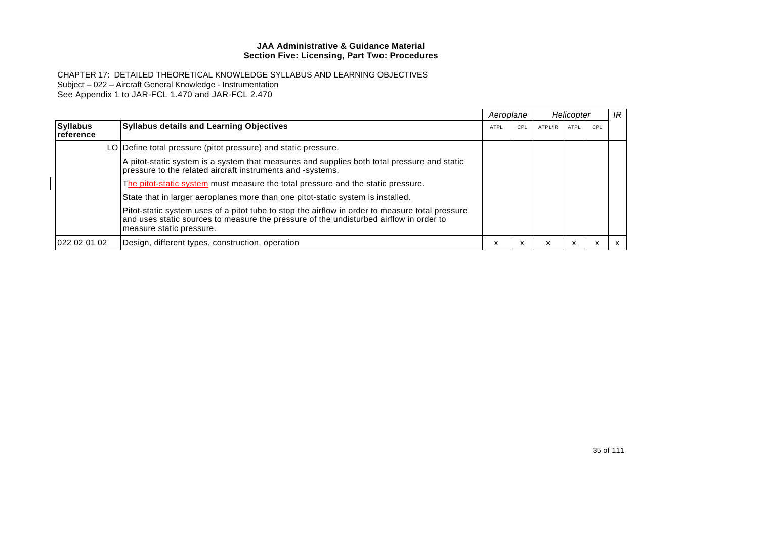|                              |                                                                                                                                                                                                                       | Aeroplane   |     |         | Helicopter |     | IR |
|------------------------------|-----------------------------------------------------------------------------------------------------------------------------------------------------------------------------------------------------------------------|-------------|-----|---------|------------|-----|----|
| <b>Syllabus</b><br>reference | <b>Syllabus details and Learning Objectives</b>                                                                                                                                                                       | <b>ATPL</b> | CPL | ATPL/IR | ATPL       | CPL |    |
|                              | LO Define total pressure (pitot pressure) and static pressure.                                                                                                                                                        |             |     |         |            |     |    |
|                              | A pitot-static system is a system that measures and supplies both total pressure and static<br>pressure to the related aircraft instruments and -systems.                                                             |             |     |         |            |     |    |
|                              | The pitot-static system must measure the total pressure and the static pressure.                                                                                                                                      |             |     |         |            |     |    |
|                              | State that in larger aeroplanes more than one pitot-static system is installed.                                                                                                                                       |             |     |         |            |     |    |
|                              | Pitot-static system uses of a pitot tube to stop the airflow in order to measure total pressure<br>and uses static sources to measure the pressure of the undisturbed airflow in order to<br>measure static pressure. |             |     |         |            |     |    |
| 1022 02 01 02                | Design, different types, construction, operation                                                                                                                                                                      | х           |     | x       | $\lambda$  |     |    |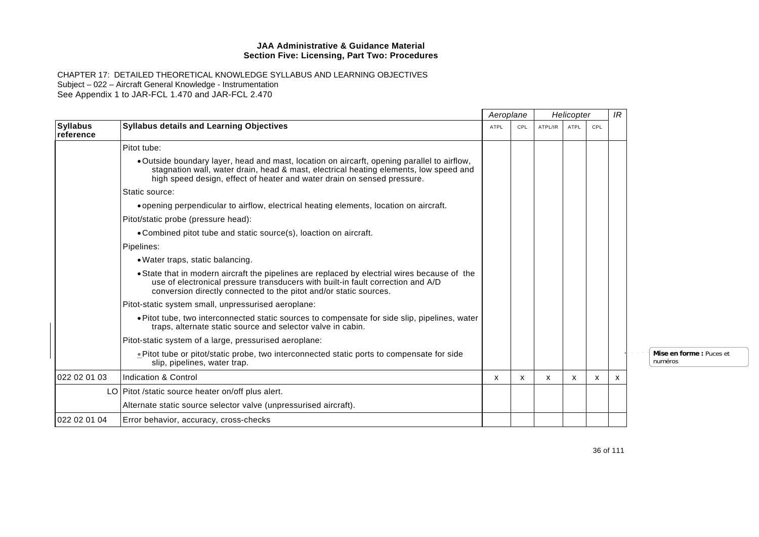|                              |                                                                                                                                                                                                                                                                 | Aeroplane |     |         | Helicopter  |     | IR                        |                                    |
|------------------------------|-----------------------------------------------------------------------------------------------------------------------------------------------------------------------------------------------------------------------------------------------------------------|-----------|-----|---------|-------------|-----|---------------------------|------------------------------------|
| <b>Syllabus</b><br>reference | <b>Syllabus details and Learning Objectives</b>                                                                                                                                                                                                                 | ATPL      | CPL | ATPL/IR | <b>ATPL</b> | CPL |                           |                                    |
|                              | Pitot tube:                                                                                                                                                                                                                                                     |           |     |         |             |     |                           |                                    |
|                              | • Outside boundary layer, head and mast, location on aircarft, opening parallel to airflow,<br>stagnation wall, water drain, head & mast, electrical heating elements, low speed and<br>high speed design, effect of heater and water drain on sensed pressure. |           |     |         |             |     |                           |                                    |
|                              | Static source:                                                                                                                                                                                                                                                  |           |     |         |             |     |                           |                                    |
|                              | • opening perpendicular to airflow, electrical heating elements, location on aircraft.                                                                                                                                                                          |           |     |         |             |     |                           |                                    |
|                              | Pitot/static probe (pressure head):                                                                                                                                                                                                                             |           |     |         |             |     |                           |                                    |
|                              | • Combined pitot tube and static source(s), loaction on aircraft.                                                                                                                                                                                               |           |     |         |             |     |                           |                                    |
|                              | Pipelines:                                                                                                                                                                                                                                                      |           |     |         |             |     |                           |                                    |
|                              | • Water traps, static balancing.                                                                                                                                                                                                                                |           |     |         |             |     |                           |                                    |
|                              | • State that in modern aircraft the pipelines are replaced by electrial wires because of the<br>use of electronical pressure transducers with built-in fault correction and A/D<br>conversion directly connected to the pitot and/or static sources.            |           |     |         |             |     |                           |                                    |
|                              | Pitot-static system small, unpressurised aeroplane:                                                                                                                                                                                                             |           |     |         |             |     |                           |                                    |
|                              | • Pitot tube, two interconnected static sources to compensate for side slip, pipelines, water<br>traps, alternate static source and selector valve in cabin.                                                                                                    |           |     |         |             |     |                           |                                    |
|                              | Pitot-static system of a large, pressurised aeroplane:                                                                                                                                                                                                          |           |     |         |             |     |                           |                                    |
|                              | • Pitot tube or pitot/static probe, two interconnected static ports to compensate for side<br>slip, pipelines, water trap.                                                                                                                                      |           |     |         |             |     |                           | Mise en forme: Puces et<br>numéros |
| 1022 02 01 03                | Indication & Control                                                                                                                                                                                                                                            | X         | x   | X       | x           | X   | $\boldsymbol{\mathsf{x}}$ |                                    |
|                              | LO Pitot / static source heater on/off plus alert.                                                                                                                                                                                                              |           |     |         |             |     |                           |                                    |
|                              | Alternate static source selector valve (unpressurised aircraft).                                                                                                                                                                                                |           |     |         |             |     |                           |                                    |
| 022 02 01 04                 | Error behavior, accuracy, cross-checks                                                                                                                                                                                                                          |           |     |         |             |     |                           |                                    |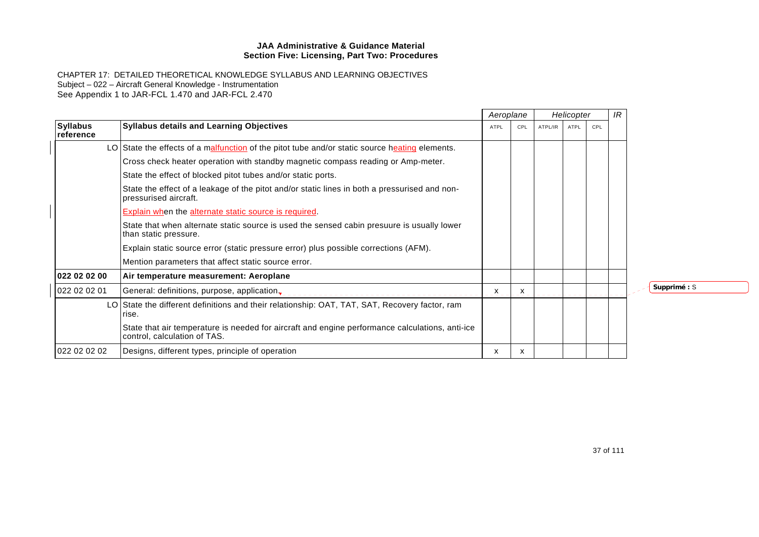|                              |                                                                                                                                 | Aeroplane |     |         | Helicopter |     | IR |              |
|------------------------------|---------------------------------------------------------------------------------------------------------------------------------|-----------|-----|---------|------------|-----|----|--------------|
| <b>Syllabus</b><br>reference | <b>Syllabus details and Learning Objectives</b>                                                                                 | ATPL      | CPL | ATPL/IR | ATPL       | CPL |    |              |
|                              | LO State the effects of a malfunction of the pitot tube and/or static source heating elements.                                  |           |     |         |            |     |    |              |
|                              | Cross check heater operation with standby magnetic compass reading or Amp-meter.                                                |           |     |         |            |     |    |              |
|                              | State the effect of blocked pitot tubes and/or static ports.                                                                    |           |     |         |            |     |    |              |
|                              | State the effect of a leakage of the pitot and/or static lines in both a pressurised and non-<br>pressurised aircraft.          |           |     |         |            |     |    |              |
|                              | Explain when the alternate static source is required.                                                                           |           |     |         |            |     |    |              |
|                              | State that when alternate static source is used the sensed cabin presuure is usually lower<br>than static pressure.             |           |     |         |            |     |    |              |
|                              | Explain static source error (static pressure error) plus possible corrections (AFM).                                            |           |     |         |            |     |    |              |
|                              | Mention parameters that affect static source error.                                                                             |           |     |         |            |     |    |              |
| 022 02 02 00                 | Air temperature measurement: Aeroplane                                                                                          |           |     |         |            |     |    |              |
| 022 02 02 01                 | General: definitions, purpose, application,                                                                                     | X         | x   |         |            |     |    | Supprimé : S |
|                              | LO State the different definitions and their relationship: OAT, TAT, SAT, Recovery factor, ram<br>rise.                         |           |     |         |            |     |    |              |
|                              | State that air temperature is needed for aircraft and engine performance calculations, anti-ice<br>control, calculation of TAS. |           |     |         |            |     |    |              |
| 022 02 02 02                 | Designs, different types, principle of operation                                                                                | X         | x   |         |            |     |    |              |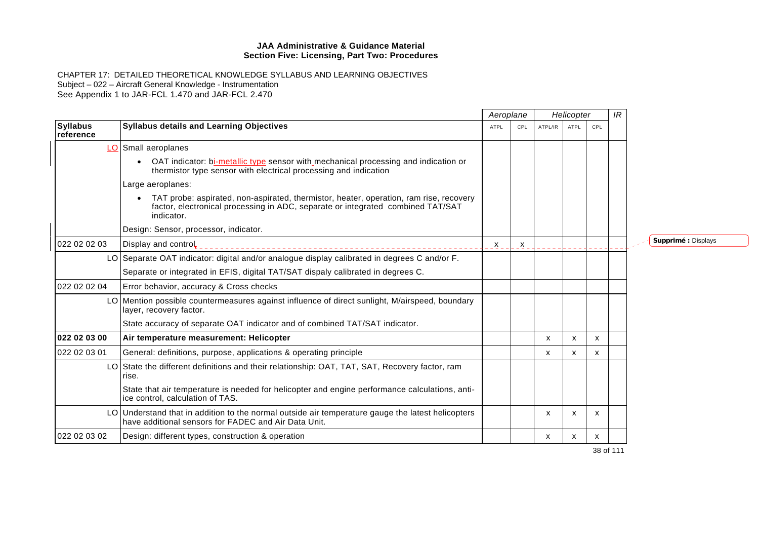|                              |                                                                                                                                                                                         | Aeroplane   |                           |         | Helicopter   |     | IR |                     |  |
|------------------------------|-----------------------------------------------------------------------------------------------------------------------------------------------------------------------------------------|-------------|---------------------------|---------|--------------|-----|----|---------------------|--|
| <b>Syllabus</b><br>reference | <b>Syllabus details and Learning Objectives</b>                                                                                                                                         | <b>ATPL</b> | CPL                       | ATPL/IR | ATPL         | CPL |    |                     |  |
|                              | LO Small aeroplanes                                                                                                                                                                     |             |                           |         |              |     |    |                     |  |
|                              | OAT indicator: bi-metallic type sensor with mechanical processing and indication or<br>thermistor type sensor with electrical processing and indication                                 |             |                           |         |              |     |    |                     |  |
|                              | Large aeroplanes:                                                                                                                                                                       |             |                           |         |              |     |    |                     |  |
|                              | TAT probe: aspirated, non-aspirated, thermistor, heater, operation, ram rise, recovery<br>factor, electronical processing in ADC, separate or integrated combined TAT/SAT<br>indicator. |             |                           |         |              |     |    |                     |  |
|                              | Design: Sensor, processor, indicator.                                                                                                                                                   |             |                           |         |              |     |    |                     |  |
| 022 02 02 03                 | Display and control                                                                                                                                                                     | X           | $\boldsymbol{\mathsf{x}}$ |         |              |     |    | Supprimé : Displays |  |
|                              | LO Separate OAT indicator: digital and/or analogue display calibrated in degrees C and/or F.                                                                                            |             |                           |         |              |     |    |                     |  |
|                              | Separate or integrated in EFIS, digital TAT/SAT dispaly calibrated in degrees C.                                                                                                        |             |                           |         |              |     |    |                     |  |
| 022 02 02 04                 | Error behavior, accuracy & Cross checks                                                                                                                                                 |             |                           |         |              |     |    |                     |  |
|                              | LO Mention possible countermeasures against influence of direct sunlight, M/airspeed, boundary<br>layer, recovery factor.                                                               |             |                           |         |              |     |    |                     |  |
|                              | State accuracy of separate OAT indicator and of combined TAT/SAT indicator.                                                                                                             |             |                           |         |              |     |    |                     |  |
| 022 02 03 00                 | Air temperature measurement: Helicopter                                                                                                                                                 |             |                           | x       | X            | X   |    |                     |  |
| 022 02 03 01                 | General: definitions, purpose, applications & operating principle                                                                                                                       |             |                           | x       | x            | X   |    |                     |  |
|                              | LO State the different definitions and their relationship: OAT, TAT, SAT, Recovery factor, ram<br>rise.                                                                                 |             |                           |         |              |     |    |                     |  |
|                              | State that air temperature is needed for helicopter and engine performance calculations, anti-<br>ice control, calculation of TAS.                                                      |             |                           |         |              |     |    |                     |  |
|                              | LO Understand that in addition to the normal outside air temperature gauge the latest helicopters<br>have additional sensors for FADEC and Air Data Unit.                               |             |                           | X       | $\mathsf{x}$ | x   |    |                     |  |
| 022 02 03 02                 | Design: different types, construction & operation                                                                                                                                       |             |                           | X       | $\mathsf{x}$ | X   |    |                     |  |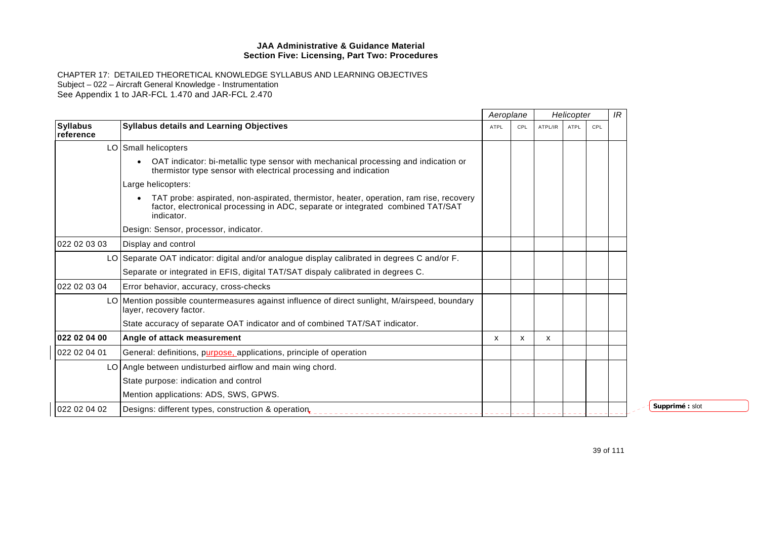CHAPTER 17: DETAILED THEORETICAL KNOWLEDGE SYLLABUS AND LEARNING OBJECTIVES Subject – 022 – Aircraft General Knowledge - Instrumentation See Appendix 1 to JAR-FCL 1.470 and JAR-FCL 2.470

|                              |                                                                                                                                                                                         | Aeroplane |     |         | Helicopter |     | IR |
|------------------------------|-----------------------------------------------------------------------------------------------------------------------------------------------------------------------------------------|-----------|-----|---------|------------|-----|----|
| <b>Syllabus</b><br>reference | <b>Syllabus details and Learning Objectives</b>                                                                                                                                         | ATPL      | CPL | ATPL/IR | ATPL       | CPL |    |
|                              | LO Small helicopters                                                                                                                                                                    |           |     |         |            |     |    |
|                              | OAT indicator: bi-metallic type sensor with mechanical processing and indication or<br>thermistor type sensor with electrical processing and indication                                 |           |     |         |            |     |    |
|                              | Large helicopters:                                                                                                                                                                      |           |     |         |            |     |    |
|                              | TAT probe: aspirated, non-aspirated, thermistor, heater, operation, ram rise, recovery<br>factor, electronical processing in ADC, separate or integrated combined TAT/SAT<br>indicator. |           |     |         |            |     |    |
|                              | Design: Sensor, processor, indicator.                                                                                                                                                   |           |     |         |            |     |    |
| 022 02 03 03                 | Display and control                                                                                                                                                                     |           |     |         |            |     |    |
|                              | LO Separate OAT indicator: digital and/or analogue display calibrated in degrees C and/or F.                                                                                            |           |     |         |            |     |    |
|                              | Separate or integrated in EFIS, digital TAT/SAT dispaly calibrated in degrees C.                                                                                                        |           |     |         |            |     |    |
| 022 02 03 04                 | Error behavior, accuracy, cross-checks                                                                                                                                                  |           |     |         |            |     |    |
|                              | LO Mention possible countermeasures against influence of direct sunlight, M/airspeed, boundary<br>layer, recovery factor.                                                               |           |     |         |            |     |    |
|                              | State accuracy of separate OAT indicator and of combined TAT/SAT indicator.                                                                                                             |           |     |         |            |     |    |
| 022 02 04 00                 | Angle of attack measurement                                                                                                                                                             | X         | x   | x       |            |     |    |
| 022 02 04 01                 | General: definitions, purpose, applications, principle of operation                                                                                                                     |           |     |         |            |     |    |
|                              | LO Angle between undisturbed airflow and main wing chord.                                                                                                                               |           |     |         |            |     |    |
|                              | State purpose: indication and control                                                                                                                                                   |           |     |         |            |     |    |
|                              | Mention applications: ADS, SWS, GPWS.                                                                                                                                                   |           |     |         |            |     |    |
| 022 02 04 02                 | Designs: different types, construction & operation,                                                                                                                                     |           |     |         |            |     |    |

39 of 111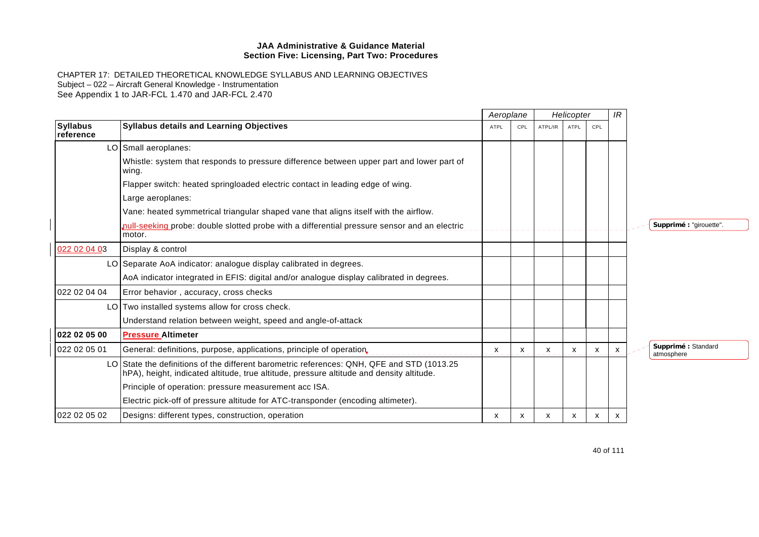CHAPTER 17: DETAILED THEORETICAL KNOWLEDGE SYLLABUS AND LEARNING OBJECTIVES Subject – 022 – Aircraft General Knowledge - Instrumentation See Appendix 1 to JAR-FCL 1.470 and JAR-FCL 2.470

|                              |                                                                                                                                                                                         | Aeroplane   |     |         | Helicopter |     | IR |                                   |
|------------------------------|-----------------------------------------------------------------------------------------------------------------------------------------------------------------------------------------|-------------|-----|---------|------------|-----|----|-----------------------------------|
| <b>Syllabus</b><br>reference | <b>Syllabus details and Learning Objectives</b>                                                                                                                                         | <b>ATPL</b> | CPL | ATPL/IR | ATPL       | CPL |    |                                   |
|                              | LO Small aeroplanes:                                                                                                                                                                    |             |     |         |            |     |    |                                   |
|                              | Whistle: system that responds to pressure difference between upper part and lower part of<br>wing.                                                                                      |             |     |         |            |     |    |                                   |
|                              | Flapper switch: heated springloaded electric contact in leading edge of wing.                                                                                                           |             |     |         |            |     |    |                                   |
|                              | Large aeroplanes:                                                                                                                                                                       |             |     |         |            |     |    |                                   |
|                              | Vane: heated symmetrical triangular shaped vane that aligns itself with the airflow.                                                                                                    |             |     |         |            |     |    |                                   |
|                              | null-seeking probe: double slotted probe with a differential pressure sensor and an electric<br>motor.                                                                                  |             |     |         |            |     |    | Supprimé : "girouette".           |
| 022 02 04 03                 | Display & control                                                                                                                                                                       |             |     |         |            |     |    |                                   |
|                              | LO Separate AoA indicator: analogue display calibrated in degrees.                                                                                                                      |             |     |         |            |     |    |                                   |
|                              | AoA indicator integrated in EFIS: digital and/or analogue display calibrated in degrees.                                                                                                |             |     |         |            |     |    |                                   |
| 022 02 04 04                 | Error behavior, accuracy, cross checks                                                                                                                                                  |             |     |         |            |     |    |                                   |
|                              | LO Two installed systems allow for cross check.                                                                                                                                         |             |     |         |            |     |    |                                   |
|                              | Understand relation between weight, speed and angle-of-attack                                                                                                                           |             |     |         |            |     |    |                                   |
| 022 02 05 00                 | <b>Pressure Altimeter</b>                                                                                                                                                               |             |     |         |            |     |    |                                   |
| 022 02 05 01                 | General: definitions, purpose, applications, principle of operation.                                                                                                                    | X           | X   | X       | х          | X   | х  | Supprimé : Standard<br>atmosphere |
|                              | LO State the definitions of the different barometric references: QNH, QFE and STD (1013.25)<br>hPA), height, indicated altitude, true altitude, pressure altitude and density altitude. |             |     |         |            |     |    |                                   |
|                              | Principle of operation: pressure measurement acc ISA.                                                                                                                                   |             |     |         |            |     |    |                                   |
|                              | Electric pick-off of pressure altitude for ATC-transponder (encoding altimeter).                                                                                                        |             |     |         |            |     |    |                                   |
| 022 02 05 02                 | Designs: different types, construction, operation                                                                                                                                       | x           | x   | x       | X          | x   | X  |                                   |

40 of 111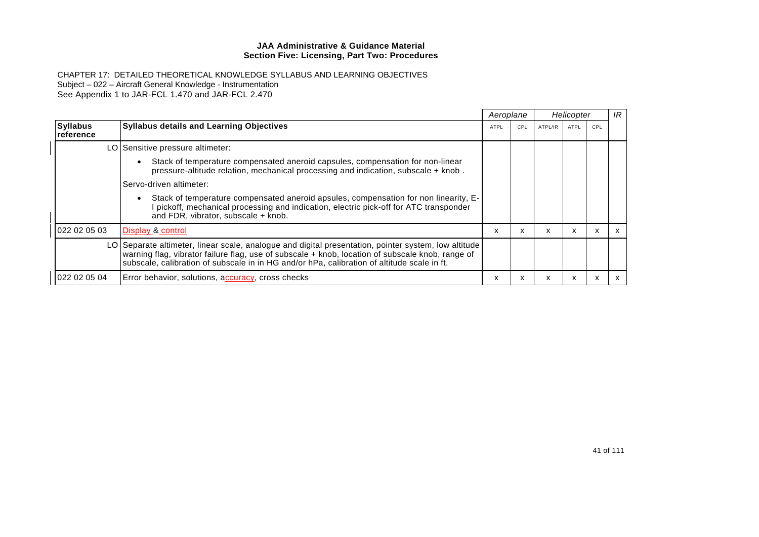|                              |                                                                                                                                                                                                                                                                                                         | Aeroplane |     |         | Helicopter |     | IR |
|------------------------------|---------------------------------------------------------------------------------------------------------------------------------------------------------------------------------------------------------------------------------------------------------------------------------------------------------|-----------|-----|---------|------------|-----|----|
| <b>Syllabus</b><br>reference | <b>Syllabus details and Learning Objectives</b>                                                                                                                                                                                                                                                         | ATPL      | CPL | ATPL/IR | ATPL       | CPL |    |
|                              | LO Sensitive pressure altimeter:                                                                                                                                                                                                                                                                        |           |     |         |            |     |    |
|                              | Stack of temperature compensated aneroid capsules, compensation for non-linear<br>$\bullet$<br>pressure-altitude relation, mechanical processing and indication, subscale + knob.                                                                                                                       |           |     |         |            |     |    |
|                              | Servo-driven altimeter:                                                                                                                                                                                                                                                                                 |           |     |         |            |     |    |
|                              | Stack of temperature compensated aneroid apsules, compensation for non linearity, E-<br>pickoff, mechanical processing and indication, electric pick-off for ATC transponder<br>and FDR, vibrator, subscale + knob.                                                                                     |           |     |         |            |     |    |
| 022 02 05 03                 | Display & control                                                                                                                                                                                                                                                                                       | x         | x   | x       | x          | x   | X  |
|                              | LO Separate altimeter, linear scale, analogue and digital presentation, pointer system, low altitude<br>warning flag, vibrator failure flag, use of subscale + knob, location of subscale knob, range of<br>subscale, calibration of subscale in in HG and/or hPa, calibration of altitude scale in ft. |           |     |         |            |     |    |
| 022 02 05 04                 | Error behavior, solutions, accuracy, cross checks                                                                                                                                                                                                                                                       | X         | x   | x       | x          | x   | x  |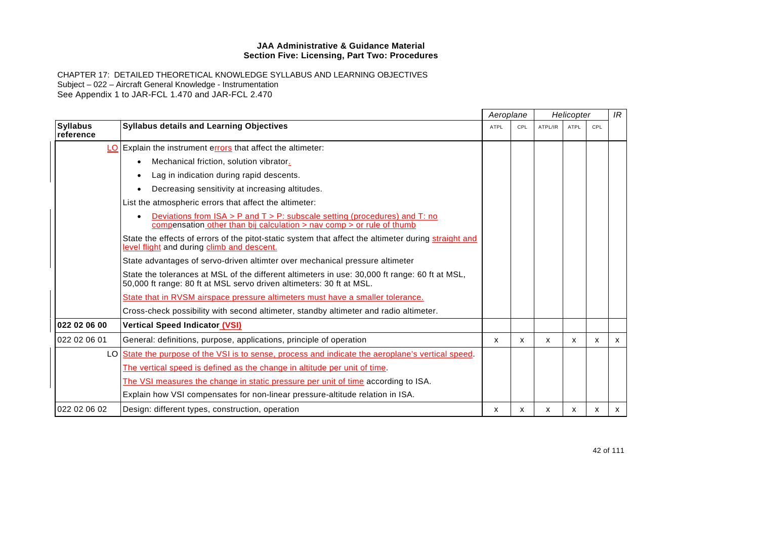CHAPTER 17: DETAILED THEORETICAL KNOWLEDGE SYLLABUS AND LEARNING OBJECTIVES Subject – 022 – Aircraft General Knowledge - Instrumentation See Appendix 1 to JAR-FCL 1.470 and JAR-FCL 2.470

|                              |                                                                                                                                                                        | Aeroplane   |     |         | Helicopter |     | IR |
|------------------------------|------------------------------------------------------------------------------------------------------------------------------------------------------------------------|-------------|-----|---------|------------|-----|----|
| <b>Syllabus</b><br>reference | <b>Syllabus details and Learning Objectives</b>                                                                                                                        | <b>ATPL</b> | CPL | ATPL/IR | ATPL       | CPL |    |
|                              | LO Explain the instrument errors that affect the altimeter:                                                                                                            |             |     |         |            |     |    |
|                              | Mechanical friction, solution vibrator.                                                                                                                                |             |     |         |            |     |    |
|                              | Lag in indication during rapid descents.<br>$\bullet$                                                                                                                  |             |     |         |            |     |    |
|                              | Decreasing sensitivity at increasing altitudes.                                                                                                                        |             |     |         |            |     |    |
|                              | List the atmospheric errors that affect the altimeter:                                                                                                                 |             |     |         |            |     |    |
|                              | Deviations from $ISA > P$ and $T > P$ : subscale setting (procedures) and T: no<br>compensation other than bij calculation $>$ nav comp $>$ or rule of thumb           |             |     |         |            |     |    |
|                              | State the effects of errors of the pitot-static system that affect the altimeter during straight and<br>level flight and during climb and descent.                     |             |     |         |            |     |    |
|                              | State advantages of servo-driven altimter over mechanical pressure altimeter                                                                                           |             |     |         |            |     |    |
|                              | State the tolerances at MSL of the different altimeters in use: 30,000 ft range: 60 ft at MSL,<br>50,000 ft range: 80 ft at MSL servo driven altimeters: 30 ft at MSL. |             |     |         |            |     |    |
|                              | State that in RVSM airspace pressure altimeters must have a smaller tolerance.                                                                                         |             |     |         |            |     |    |
|                              | Cross-check possibility with second altimeter, standby altimeter and radio altimeter.                                                                                  |             |     |         |            |     |    |
| 022 02 06 00                 | <b>Vertical Speed Indicator (VSI)</b>                                                                                                                                  |             |     |         |            |     |    |
| 022 02 06 01                 | General: definitions, purpose, applications, principle of operation                                                                                                    | x           | x   | x       | X          | X   | x  |
|                              | LO State the purpose of the VSI is to sense, process and indicate the aeroplane's vertical speed.                                                                      |             |     |         |            |     |    |
|                              | The vertical speed is defined as the change in altitude per unit of time.                                                                                              |             |     |         |            |     |    |
|                              | The VSI measures the change in static pressure per unit of time according to ISA.                                                                                      |             |     |         |            |     |    |
|                              | Explain how VSI compensates for non-linear pressure-altitude relation in ISA.                                                                                          |             |     |         |            |     |    |
| 022 02 06 02                 | Design: different types, construction, operation                                                                                                                       | х           | х   | х       | x          | х   | x  |

42 of 111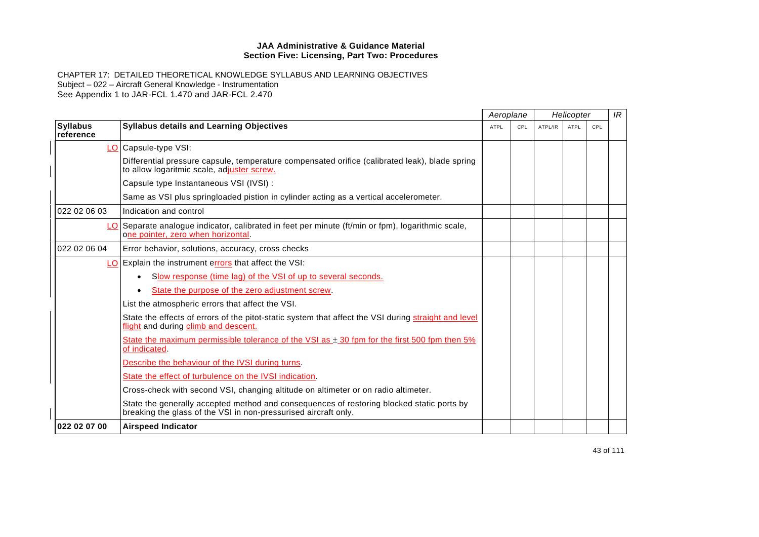|                              |                                                                                                                                                              | Aeroplane |     |         | Helicopter |     | IR |
|------------------------------|--------------------------------------------------------------------------------------------------------------------------------------------------------------|-----------|-----|---------|------------|-----|----|
| <b>Syllabus</b><br>reference | <b>Syllabus details and Learning Objectives</b>                                                                                                              | ATPL      | CPL | ATPL/IR | ATPL       | CPL |    |
|                              | LO Capsule-type VSI:                                                                                                                                         |           |     |         |            |     |    |
|                              | Differential pressure capsule, temperature compensated orifice (calibrated leak), blade spring<br>to allow logaritmic scale, adjuster screw.                 |           |     |         |            |     |    |
|                              | Capsule type Instantaneous VSI (IVSI) :                                                                                                                      |           |     |         |            |     |    |
|                              | Same as VSI plus springloaded pistion in cylinder acting as a vertical accelerometer.                                                                        |           |     |         |            |     |    |
| 022 02 06 03                 | Indication and control                                                                                                                                       |           |     |         |            |     |    |
|                              | LO Separate analogue indicator, calibrated in feet per minute (ft/min or fpm), logarithmic scale,<br>one pointer, zero when horizontal.                      |           |     |         |            |     |    |
| 022 02 06 04                 | Error behavior, solutions, accuracy, cross checks                                                                                                            |           |     |         |            |     |    |
|                              | LO Explain the instrument errors that affect the VSI:                                                                                                        |           |     |         |            |     |    |
|                              | Slow response (time lag) of the VSI of up to several seconds.<br>$\bullet$                                                                                   |           |     |         |            |     |    |
|                              | State the purpose of the zero adjustment screw.                                                                                                              |           |     |         |            |     |    |
|                              | List the atmospheric errors that affect the VSI.                                                                                                             |           |     |         |            |     |    |
|                              | State the effects of errors of the pitot-static system that affect the VSI during straight and level<br>flight and during climb and descent.                 |           |     |         |            |     |    |
|                              | State the maximum permissible tolerance of the VSI as $\pm$ 30 fpm for the first 500 fpm then 5%<br>of indicated.                                            |           |     |         |            |     |    |
|                              | Describe the behaviour of the IVSI during turns.                                                                                                             |           |     |         |            |     |    |
|                              | State the effect of turbulence on the IVSI indication.                                                                                                       |           |     |         |            |     |    |
|                              | Cross-check with second VSI, changing altitude on altimeter or on radio altimeter.                                                                           |           |     |         |            |     |    |
|                              | State the generally accepted method and consequences of restoring blocked static ports by<br>breaking the glass of the VSI in non-pressurised aircraft only. |           |     |         |            |     |    |
| 022 02 07 00                 | <b>Airspeed Indicator</b>                                                                                                                                    |           |     |         |            |     |    |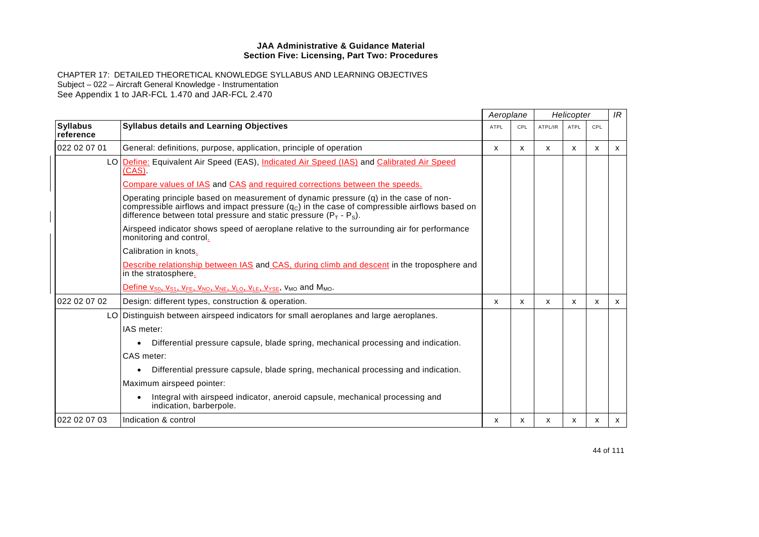|                              |                                                                                                                                                                                                                                                                   | Aeroplane |            |         | Helicopter |                           | IR |
|------------------------------|-------------------------------------------------------------------------------------------------------------------------------------------------------------------------------------------------------------------------------------------------------------------|-----------|------------|---------|------------|---------------------------|----|
| <b>Syllabus</b><br>reference | <b>Syllabus details and Learning Objectives</b>                                                                                                                                                                                                                   | ATPL      | <b>CPL</b> | ATPL/IR | ATPL       | CPL                       |    |
| 022 02 07 01                 | General: definitions, purpose, application, principle of operation                                                                                                                                                                                                | x         | x          | X       | x          | $\boldsymbol{\mathsf{x}}$ | X  |
|                              | LO Define: Equivalent Air Speed (EAS), Indicated Air Speed (IAS) and Calibrated Air Speed<br>(CAS)                                                                                                                                                                |           |            |         |            |                           |    |
|                              | Compare values of IAS and CAS and required corrections between the speeds.                                                                                                                                                                                        |           |            |         |            |                           |    |
|                              | Operating principle based on measurement of dynamic pressure (q) in the case of non-<br>compressible airflows and impact pressure $(q_c)$ in the case of compressible airflows based on<br>difference between total pressure and static pressure ( $P_T - P_S$ ). |           |            |         |            |                           |    |
|                              | Airspeed indicator shows speed of aeroplane relative to the surrounding air for performance<br>monitoring and control.                                                                                                                                            |           |            |         |            |                           |    |
|                              | Calibration in knots.                                                                                                                                                                                                                                             |           |            |         |            |                           |    |
|                              | Describe relationship between IAS and CAS, during climb and descent in the troposphere and<br>in the stratosphere.                                                                                                                                                |           |            |         |            |                           |    |
|                              | <b>Define v<sub>S0</sub>, v<sub>S1</sub>, v<sub>FE</sub>, v<sub>NO</sub>, v<sub>NE</sub>, v<sub>LO</sub>, v<sub>LE</sub>, v<sub>YSE</sub>, v<sub>MO</sub> and M<sub>MO</sub>.</b>                                                                                 |           |            |         |            |                           |    |
| 022 02 07 02                 | Design: different types, construction & operation.                                                                                                                                                                                                                | x         | X          | X       | x          | x                         | x  |
|                              | LO Distinguish between airspeed indicators for small aeroplanes and large aeroplanes.                                                                                                                                                                             |           |            |         |            |                           |    |
|                              | IAS meter:                                                                                                                                                                                                                                                        |           |            |         |            |                           |    |
|                              | Differential pressure capsule, blade spring, mechanical processing and indication.<br>$\bullet$                                                                                                                                                                   |           |            |         |            |                           |    |
|                              | CAS meter:                                                                                                                                                                                                                                                        |           |            |         |            |                           |    |
|                              | Differential pressure capsule, blade spring, mechanical processing and indication.<br>$\bullet$                                                                                                                                                                   |           |            |         |            |                           |    |
|                              | Maximum airspeed pointer:                                                                                                                                                                                                                                         |           |            |         |            |                           |    |
|                              | Integral with airspeed indicator, aneroid capsule, mechanical processing and<br>indication, barberpole.                                                                                                                                                           |           |            |         |            |                           |    |
| 022 02 07 03                 | Indication & control                                                                                                                                                                                                                                              | x         | x          | x       | х          | х                         | x  |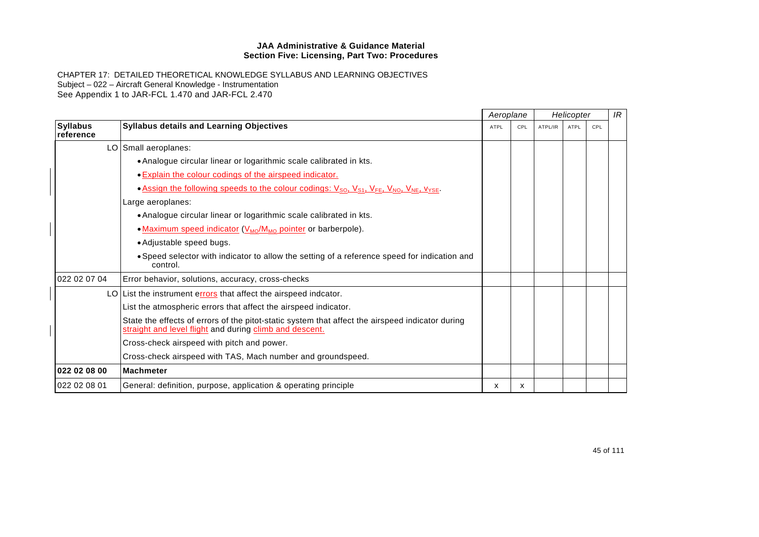|                              |                                                                                                                                                                   | Aeroplane   |     |         | Helicopter |     | IR |
|------------------------------|-------------------------------------------------------------------------------------------------------------------------------------------------------------------|-------------|-----|---------|------------|-----|----|
| <b>Syllabus</b><br>reference | <b>Syllabus details and Learning Objectives</b>                                                                                                                   | <b>ATPL</b> | CPL | ATPL/IR | ATPL       | CPL |    |
|                              | LO Small aeroplanes:                                                                                                                                              |             |     |         |            |     |    |
|                              | • Analogue circular linear or logarithmic scale calibrated in kts.                                                                                                |             |     |         |            |     |    |
|                              | . Explain the colour codings of the airspeed indicator.                                                                                                           |             |     |         |            |     |    |
|                              | • Assign the following speeds to the colour codings: V <sub>SO</sub> , V <sub>S1</sub> , V <sub>FE</sub> , V <sub>NO</sub> , V <sub>NE</sub> , V <sub>YSE</sub> . |             |     |         |            |     |    |
|                              | Large aeroplanes:                                                                                                                                                 |             |     |         |            |     |    |
|                              | • Analogue circular linear or logarithmic scale calibrated in kts.                                                                                                |             |     |         |            |     |    |
|                              | • Maximum speed indicator (V <sub>MO</sub> /M <sub>MO</sub> pointer or barberpole).                                                                               |             |     |         |            |     |    |
|                              | • Adjustable speed bugs.                                                                                                                                          |             |     |         |            |     |    |
|                              | • Speed selector with indicator to allow the setting of a reference speed for indication and<br>control.                                                          |             |     |         |            |     |    |
| 022 02 07 04                 | Error behavior, solutions, accuracy, cross-checks                                                                                                                 |             |     |         |            |     |    |
|                              | LO List the instrument errors that affect the airspeed indcator.                                                                                                  |             |     |         |            |     |    |
|                              | List the atmospheric errors that affect the airspeed indicator.                                                                                                   |             |     |         |            |     |    |
|                              | State the effects of errors of the pitot-static system that affect the airspeed indicator during<br>straight and level flight and during climb and descent.       |             |     |         |            |     |    |
|                              | Cross-check airspeed with pitch and power.                                                                                                                        |             |     |         |            |     |    |
|                              | Cross-check airspeed with TAS, Mach number and groundspeed.                                                                                                       |             |     |         |            |     |    |
| 022 02 08 00                 | <b>Machmeter</b>                                                                                                                                                  |             |     |         |            |     |    |
| 022 02 08 01                 | General: definition, purpose, application & operating principle                                                                                                   | x           | х   |         |            |     |    |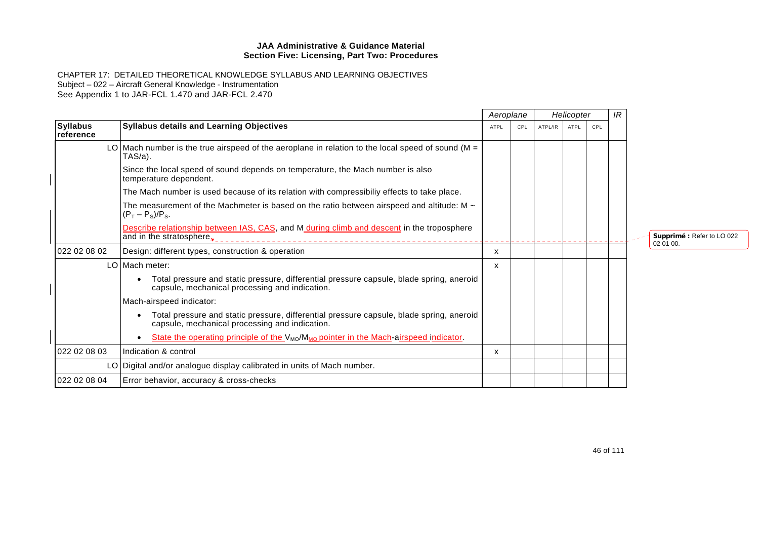|                              |                                                                                                                                                         | Aeroplane    |     |         | Helicopter |     | IR |                                         |
|------------------------------|---------------------------------------------------------------------------------------------------------------------------------------------------------|--------------|-----|---------|------------|-----|----|-----------------------------------------|
| <b>Syllabus</b><br>reference | <b>Syllabus details and Learning Objectives</b>                                                                                                         | ATPL         | CPL | ATPL/IR | ATPL       | CPL |    |                                         |
|                              | LO Mach number is the true airspeed of the aeroplane in relation to the local speed of sound (M =<br>TAS/a).                                            |              |     |         |            |     |    |                                         |
|                              | Since the local speed of sound depends on temperature, the Mach number is also<br>temperature dependent.                                                |              |     |         |            |     |    |                                         |
|                              | The Mach number is used because of its relation with compressibiliy effects to take place.                                                              |              |     |         |            |     |    |                                         |
|                              | The measurement of the Machmeter is based on the ratio between airspeed and altitude: M $\sim$<br>$ (P_T - P_S)/P_S.$                                   |              |     |         |            |     |    |                                         |
|                              | Describe relationship between IAS, CAS, and M during climb and descent in the troposphere<br>and in the stratosphere.                                   |              |     |         |            |     |    | Supprimé : Refer to LO 022<br>02 01 00. |
| 022 02 08 02                 | Design: different types, construction & operation                                                                                                       | $\mathsf{x}$ |     |         |            |     |    |                                         |
|                              | LO Mach meter:                                                                                                                                          | X            |     |         |            |     |    |                                         |
|                              | Total pressure and static pressure, differential pressure capsule, blade spring, aneroid<br>$\bullet$<br>capsule, mechanical processing and indication. |              |     |         |            |     |    |                                         |
|                              | Mach-airspeed indicator:                                                                                                                                |              |     |         |            |     |    |                                         |
|                              | Total pressure and static pressure, differential pressure capsule, blade spring, aneroid<br>$\bullet$<br>capsule, mechanical processing and indication. |              |     |         |            |     |    |                                         |
|                              | State the operating principle of the $V_{MO}/M_{MO}$ pointer in the Mach-airspeed indicator.<br>$\bullet$                                               |              |     |         |            |     |    |                                         |
| 022 02 08 03                 | Indication & control                                                                                                                                    | X            |     |         |            |     |    |                                         |
|                              | LO Digital and/or analogue display calibrated in units of Mach number.                                                                                  |              |     |         |            |     |    |                                         |
| 022 02 08 04                 | Error behavior, accuracy & cross-checks                                                                                                                 |              |     |         |            |     |    |                                         |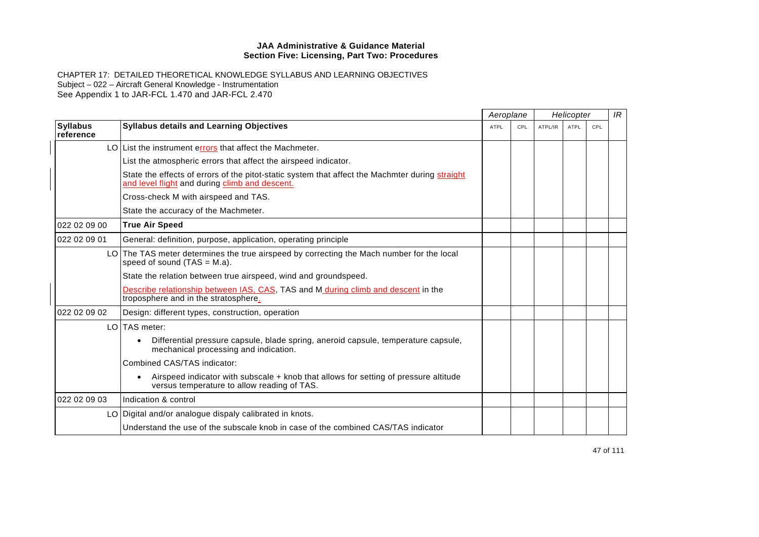|                              |                                                                                                                                                   | Aeroplane   |     |         | Helicopter  |     | IR |
|------------------------------|---------------------------------------------------------------------------------------------------------------------------------------------------|-------------|-----|---------|-------------|-----|----|
| <b>Syllabus</b><br>reference | <b>Syllabus details and Learning Objectives</b>                                                                                                   | <b>ATPL</b> | CPL | ATPL/IR | <b>ATPL</b> | CPL |    |
|                              | LO List the instrument errors that affect the Machmeter.                                                                                          |             |     |         |             |     |    |
|                              | List the atmospheric errors that affect the airspeed indicator.                                                                                   |             |     |         |             |     |    |
|                              | State the effects of errors of the pitot-static system that affect the Machmter during straight<br>and level flight and during climb and descent. |             |     |         |             |     |    |
|                              | Cross-check M with airspeed and TAS.                                                                                                              |             |     |         |             |     |    |
|                              | State the accuracy of the Machmeter.                                                                                                              |             |     |         |             |     |    |
| 022 02 09 00                 | <b>True Air Speed</b>                                                                                                                             |             |     |         |             |     |    |
| 022 02 09 01                 | General: definition, purpose, application, operating principle                                                                                    |             |     |         |             |     |    |
|                              | LO The TAS meter determines the true airspeed by correcting the Mach number for the local<br>speed of sound $(TAS = M.a)$ .                       |             |     |         |             |     |    |
|                              | State the relation between true airspeed, wind and groundspeed.                                                                                   |             |     |         |             |     |    |
|                              | Describe relationship between IAS, CAS, TAS and M_during climb and descent in the<br>troposphere and in the stratosphere.                         |             |     |         |             |     |    |
| 022 02 09 02                 | Design: different types, construction, operation                                                                                                  |             |     |         |             |     |    |
|                              | LO TAS meter:                                                                                                                                     |             |     |         |             |     |    |
|                              | Differential pressure capsule, blade spring, aneroid capsule, temperature capsule,<br>$\bullet$<br>mechanical processing and indication.          |             |     |         |             |     |    |
|                              | Combined CAS/TAS indicator:                                                                                                                       |             |     |         |             |     |    |
|                              | Airspeed indicator with subscale + knob that allows for setting of pressure altitude<br>$\bullet$<br>versus temperature to allow reading of TAS.  |             |     |         |             |     |    |
| 022 02 09 03                 | Indication & control                                                                                                                              |             |     |         |             |     |    |
|                              | LO Digital and/or analogue dispaly calibrated in knots.                                                                                           |             |     |         |             |     |    |
|                              | Understand the use of the subscale knob in case of the combined CAS/TAS indicator                                                                 |             |     |         |             |     |    |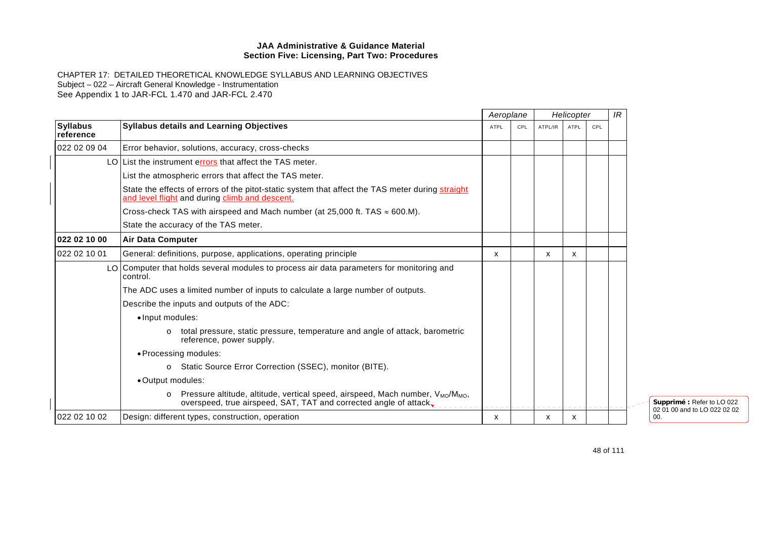|                              |                                                                                                                                                                        | Aeroplane |     |         | Helicopter |     | IR |
|------------------------------|------------------------------------------------------------------------------------------------------------------------------------------------------------------------|-----------|-----|---------|------------|-----|----|
| <b>Syllabus</b><br>reference | <b>Syllabus details and Learning Objectives</b>                                                                                                                        | ATPL      | CPL | ATPL/IR | ATPL       | CPL |    |
| 022 02 09 04                 | Error behavior, solutions, accuracy, cross-checks                                                                                                                      |           |     |         |            |     |    |
|                              | LO List the instrument errors that affect the TAS meter.                                                                                                               |           |     |         |            |     |    |
|                              | List the atmospheric errors that affect the TAS meter.                                                                                                                 |           |     |         |            |     |    |
|                              | State the effects of errors of the pitot-static system that affect the TAS meter during straight<br>and level flight and during climb and descent.                     |           |     |         |            |     |    |
|                              | Cross-check TAS with airspeed and Mach number (at 25,000 ft. TAS $\approx$ 600.M).                                                                                     |           |     |         |            |     |    |
|                              | State the accuracy of the TAS meter.                                                                                                                                   |           |     |         |            |     |    |
| 022 02 10 00                 | <b>Air Data Computer</b>                                                                                                                                               |           |     |         |            |     |    |
| 022 02 10 01                 | General: definitions, purpose, applications, operating principle                                                                                                       | х         |     | X       | x          |     |    |
|                              | LO Computer that holds several modules to process air data parameters for monitoring and<br>control.                                                                   |           |     |         |            |     |    |
|                              | The ADC uses a limited number of inputs to calculate a large number of outputs.                                                                                        |           |     |         |            |     |    |
|                              | Describe the inputs and outputs of the ADC:                                                                                                                            |           |     |         |            |     |    |
|                              | • Input modules:                                                                                                                                                       |           |     |         |            |     |    |
|                              | total pressure, static pressure, temperature and angle of attack, barometric<br>reference, power supply.                                                               |           |     |         |            |     |    |
|                              | • Processing modules:                                                                                                                                                  |           |     |         |            |     |    |
|                              | o Static Source Error Correction (SSEC), monitor (BITE).                                                                                                               |           |     |         |            |     |    |
|                              | • Output modules:                                                                                                                                                      |           |     |         |            |     |    |
|                              | Pressure altitude, altitude, vertical speed, airspeed, Mach number, $V_{MO}/M_{MO}$ ,<br>$\Omega$<br>overspeed, true airspeed, SAT, TAT and corrected angle of attack. |           |     |         |            |     |    |
| 022 02 10 02                 | Design: different types, construction, operation                                                                                                                       | X         |     | x       | x          |     |    |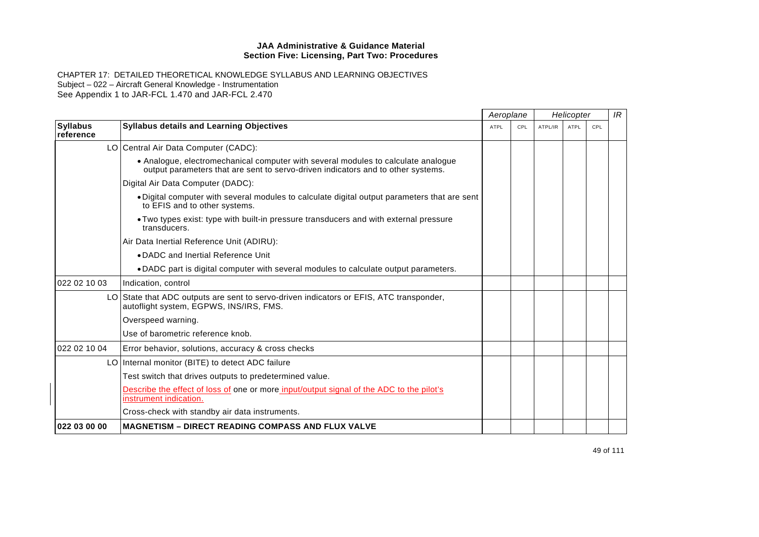|                              |                                                                                                                                                                       |             | Aeroplane  |         |             | Helicopter |  |  | IR |
|------------------------------|-----------------------------------------------------------------------------------------------------------------------------------------------------------------------|-------------|------------|---------|-------------|------------|--|--|----|
| <b>Syllabus</b><br>reference | <b>Syllabus details and Learning Objectives</b>                                                                                                                       | <b>ATPL</b> | <b>CPL</b> | ATPL/IR | <b>ATPL</b> | CPL        |  |  |    |
|                              | LO Central Air Data Computer (CADC):                                                                                                                                  |             |            |         |             |            |  |  |    |
|                              | • Analogue, electromechanical computer with several modules to calculate analogue<br>output parameters that are sent to servo-driven indicators and to other systems. |             |            |         |             |            |  |  |    |
|                              | Digital Air Data Computer (DADC):                                                                                                                                     |             |            |         |             |            |  |  |    |
|                              | . Digital computer with several modules to calculate digital output parameters that are sent<br>to EFIS and to other systems.                                         |             |            |         |             |            |  |  |    |
|                              | • Two types exist: type with built-in pressure transducers and with external pressure<br>transducers.                                                                 |             |            |         |             |            |  |  |    |
|                              | Air Data Inertial Reference Unit (ADIRU):                                                                                                                             |             |            |         |             |            |  |  |    |
|                              | • DADC and Inertial Reference Unit                                                                                                                                    |             |            |         |             |            |  |  |    |
|                              | .DADC part is digital computer with several modules to calculate output parameters.                                                                                   |             |            |         |             |            |  |  |    |
| 022 02 10 03                 | Indication, control                                                                                                                                                   |             |            |         |             |            |  |  |    |
|                              | LO State that ADC outputs are sent to servo-driven indicators or EFIS, ATC transponder,<br>autoflight system, EGPWS, INS/IRS, FMS.                                    |             |            |         |             |            |  |  |    |
|                              | Overspeed warning.                                                                                                                                                    |             |            |         |             |            |  |  |    |
|                              | Use of barometric reference knob.                                                                                                                                     |             |            |         |             |            |  |  |    |
| 022 02 10 04                 | Error behavior, solutions, accuracy & cross checks                                                                                                                    |             |            |         |             |            |  |  |    |
|                              | LO Internal monitor (BITE) to detect ADC failure                                                                                                                      |             |            |         |             |            |  |  |    |
|                              | Test switch that drives outputs to predetermined value.                                                                                                               |             |            |         |             |            |  |  |    |
|                              | Describe the effect of loss of one or more input/output signal of the ADC to the pilot's<br>instrument indication.                                                    |             |            |         |             |            |  |  |    |
|                              | Cross-check with standby air data instruments.                                                                                                                        |             |            |         |             |            |  |  |    |
| 022 03 00 00                 | <b>MAGNETISM - DIRECT READING COMPASS AND FLUX VALVE</b>                                                                                                              |             |            |         |             |            |  |  |    |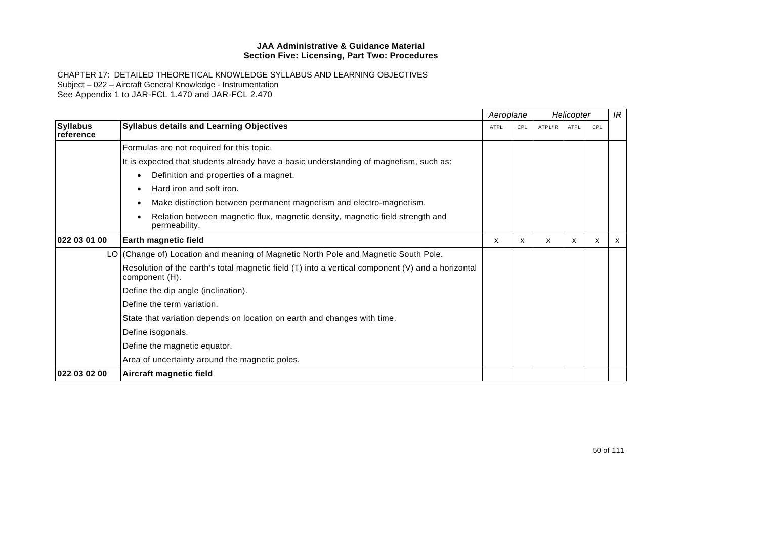|                              |                                                                                                                     | Aeroplane |     | Helicopter |      |                           | IR |
|------------------------------|---------------------------------------------------------------------------------------------------------------------|-----------|-----|------------|------|---------------------------|----|
| <b>Syllabus</b><br>reference | <b>Syllabus details and Learning Objectives</b>                                                                     | ATPL      | CPL | ATPL/IR    | ATPL | CPL                       |    |
|                              | Formulas are not required for this topic.                                                                           |           |     |            |      |                           |    |
|                              | It is expected that students already have a basic understanding of magnetism, such as:                              |           |     |            |      |                           |    |
|                              | Definition and properties of a magnet.<br>$\bullet$                                                                 |           |     |            |      |                           |    |
|                              | Hard iron and soft iron.<br>٠                                                                                       |           |     |            |      |                           |    |
|                              | Make distinction between permanent magnetism and electro-magnetism.                                                 |           |     |            |      |                           |    |
|                              | Relation between magnetic flux, magnetic density, magnetic field strength and<br>permeability.                      |           |     |            |      |                           |    |
| 022 03 01 00                 | Earth magnetic field                                                                                                | X         | x   | X          | X    | $\boldsymbol{\mathsf{x}}$ | X  |
|                              | LO (Change of) Location and meaning of Magnetic North Pole and Magnetic South Pole.                                 |           |     |            |      |                           |    |
|                              | Resolution of the earth's total magnetic field (T) into a vertical component (V) and a horizontal<br>component (H). |           |     |            |      |                           |    |
|                              | Define the dip angle (inclination).                                                                                 |           |     |            |      |                           |    |
|                              | Define the term variation.                                                                                          |           |     |            |      |                           |    |
|                              | State that variation depends on location on earth and changes with time.                                            |           |     |            |      |                           |    |
|                              | Define isogonals.                                                                                                   |           |     |            |      |                           |    |
|                              | Define the magnetic equator.                                                                                        |           |     |            |      |                           |    |
|                              | Area of uncertainty around the magnetic poles.                                                                      |           |     |            |      |                           |    |
| 022 03 02 00                 | Aircraft magnetic field                                                                                             |           |     |            |      |                           |    |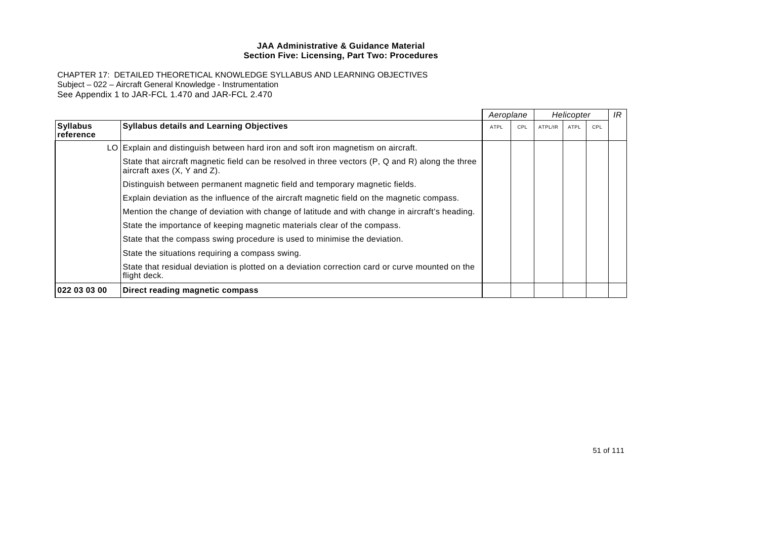|                              |                                                                                                                                 |             | Aeroplane |         |      |     |  |  |  |  |  |  | Helicopter |  |  | IR |
|------------------------------|---------------------------------------------------------------------------------------------------------------------------------|-------------|-----------|---------|------|-----|--|--|--|--|--|--|------------|--|--|----|
| <b>Syllabus</b><br>reference | <b>Syllabus details and Learning Objectives</b>                                                                                 | <b>ATPL</b> | CPL       | ATPL/IR | ATPL | CPL |  |  |  |  |  |  |            |  |  |    |
|                              | LO Explain and distinguish between hard iron and soft iron magnetism on aircraft.                                               |             |           |         |      |     |  |  |  |  |  |  |            |  |  |    |
|                              | State that aircraft magnetic field can be resolved in three vectors (P, Q and R) along the three<br>aircraft axes $(X, Y, Z)$ . |             |           |         |      |     |  |  |  |  |  |  |            |  |  |    |
|                              | Distinguish between permanent magnetic field and temporary magnetic fields.                                                     |             |           |         |      |     |  |  |  |  |  |  |            |  |  |    |
|                              | Explain deviation as the influence of the aircraft magnetic field on the magnetic compass.                                      |             |           |         |      |     |  |  |  |  |  |  |            |  |  |    |
|                              | Mention the change of deviation with change of latitude and with change in aircraft's heading.                                  |             |           |         |      |     |  |  |  |  |  |  |            |  |  |    |
|                              | State the importance of keeping magnetic materials clear of the compass.                                                        |             |           |         |      |     |  |  |  |  |  |  |            |  |  |    |
|                              | State that the compass swing procedure is used to minimise the deviation.                                                       |             |           |         |      |     |  |  |  |  |  |  |            |  |  |    |
|                              | State the situations requiring a compass swing.                                                                                 |             |           |         |      |     |  |  |  |  |  |  |            |  |  |    |
|                              | State that residual deviation is plotted on a deviation correction card or curve mounted on the<br>flight deck.                 |             |           |         |      |     |  |  |  |  |  |  |            |  |  |    |
| 022 03 03 00                 | Direct reading magnetic compass                                                                                                 |             |           |         |      |     |  |  |  |  |  |  |            |  |  |    |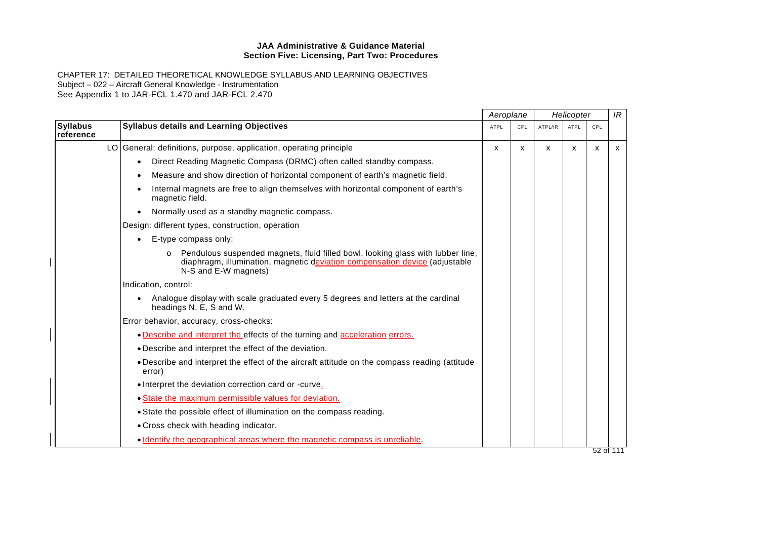|                              |                                                                                                                                                                                                    | Aeroplane   | Helicopter |         | IR          |                           |   |
|------------------------------|----------------------------------------------------------------------------------------------------------------------------------------------------------------------------------------------------|-------------|------------|---------|-------------|---------------------------|---|
| <b>Syllabus</b><br>reference | <b>Syllabus details and Learning Objectives</b>                                                                                                                                                    | <b>ATPL</b> | CPL        | ATPL/IR | <b>ATPL</b> | CPL                       |   |
|                              | LO General: definitions, purpose, application, operating principle                                                                                                                                 | X           | x          | X       | x           | $\boldsymbol{\mathsf{x}}$ | X |
|                              | Direct Reading Magnetic Compass (DRMC) often called standby compass.<br>$\bullet$                                                                                                                  |             |            |         |             |                           |   |
|                              | Measure and show direction of horizontal component of earth's magnetic field.                                                                                                                      |             |            |         |             |                           |   |
|                              | Internal magnets are free to align themselves with horizontal component of earth's<br>magnetic field.                                                                                              |             |            |         |             |                           |   |
|                              | Normally used as a standby magnetic compass.                                                                                                                                                       |             |            |         |             |                           |   |
|                              | Design: different types, construction, operation                                                                                                                                                   |             |            |         |             |                           |   |
|                              | E-type compass only:                                                                                                                                                                               |             |            |         |             |                           |   |
|                              | Pendulous suspended magnets, fluid filled bowl, looking glass with lubber line,<br>$\Omega$<br>diaphragm, illumination, magnetic deviation compensation device (adjustable<br>N-S and E-W magnets) |             |            |         |             |                           |   |
|                              | Indication, control:                                                                                                                                                                               |             |            |         |             |                           |   |
|                              | Analogue display with scale graduated every 5 degrees and letters at the cardinal<br>headings N, E, S and W.                                                                                       |             |            |         |             |                           |   |
|                              | Error behavior, accuracy, cross-checks:                                                                                                                                                            |             |            |         |             |                           |   |
|                              | . Describe and interpret the effects of the turning and acceleration errors.                                                                                                                       |             |            |         |             |                           |   |
|                              | • Describe and interpret the effect of the deviation.                                                                                                                                              |             |            |         |             |                           |   |
|                              | . Describe and interpret the effect of the aircraft attitude on the compass reading (attitude<br>error)                                                                                            |             |            |         |             |                           |   |
|                              | • Interpret the deviation correction card or -curve.                                                                                                                                               |             |            |         |             |                           |   |
|                              | • State the maximum permissible values for deviation.                                                                                                                                              |             |            |         |             |                           |   |
|                              | • State the possible effect of illumination on the compass reading.                                                                                                                                |             |            |         |             |                           |   |
|                              | • Cross check with heading indicator.                                                                                                                                                              |             |            |         |             |                           |   |
|                              | . Identify the geographical areas where the magnetic compass is unreliable.                                                                                                                        |             |            |         |             |                           |   |
|                              |                                                                                                                                                                                                    |             |            |         |             | 52 of 111                 |   |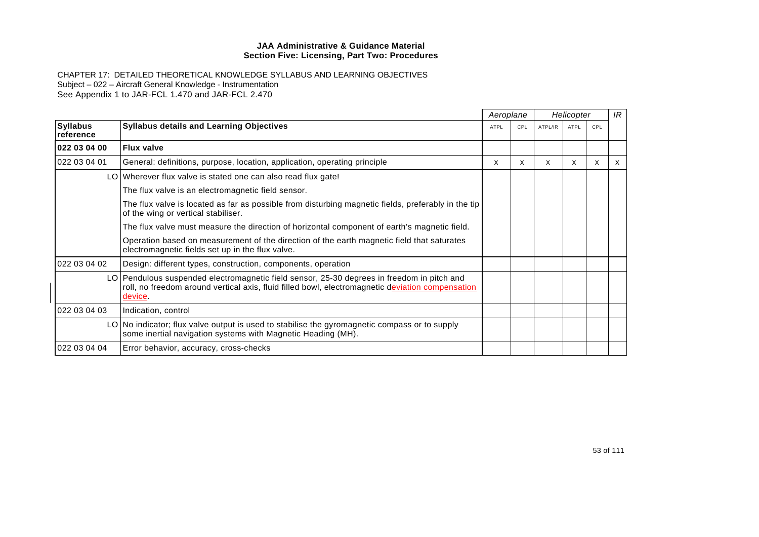|                              |                                                                                                                                                                                                             | Aeroplane   |     | Helicopter |             |     | IR |
|------------------------------|-------------------------------------------------------------------------------------------------------------------------------------------------------------------------------------------------------------|-------------|-----|------------|-------------|-----|----|
| <b>Syllabus</b><br>reference | <b>Syllabus details and Learning Objectives</b>                                                                                                                                                             | <b>ATPL</b> | CPL | ATPL/IR    | <b>ATPL</b> | CPL |    |
| 022 03 04 00                 | <b>Flux valve</b>                                                                                                                                                                                           |             |     |            |             |     |    |
| 022 03 04 01                 | General: definitions, purpose, location, application, operating principle                                                                                                                                   | x           | x   | x          | x           | x   | X  |
|                              | LO Wherever flux valve is stated one can also read flux gate!                                                                                                                                               |             |     |            |             |     |    |
|                              | The flux valve is an electromagnetic field sensor.                                                                                                                                                          |             |     |            |             |     |    |
|                              | The flux valve is located as far as possible from disturbing magnetic fields, preferably in the tip<br>of the wing or vertical stabiliser.                                                                  |             |     |            |             |     |    |
|                              | The flux valve must measure the direction of horizontal component of earth's magnetic field.                                                                                                                |             |     |            |             |     |    |
|                              | Operation based on measurement of the direction of the earth magnetic field that saturates<br>electromagnetic fields set up in the flux valve.                                                              |             |     |            |             |     |    |
| 022 03 04 02                 | Design: different types, construction, components, operation                                                                                                                                                |             |     |            |             |     |    |
|                              | LO   Pendulous suspended electromagnetic field sensor, 25-30 degrees in freedom in pitch and<br>roll, no freedom around vertical axis, fluid filled bowl, electromagnetic deviation compensation<br>device. |             |     |            |             |     |    |
| 022 03 04 03                 | Indication, control                                                                                                                                                                                         |             |     |            |             |     |    |
|                              | LO No indicator; flux valve output is used to stabilise the gyromagnetic compass or to supply<br>some inertial navigation systems with Magnetic Heading (MH).                                               |             |     |            |             |     |    |
| 022 03 04 04                 | Error behavior, accuracy, cross-checks                                                                                                                                                                      |             |     |            |             |     |    |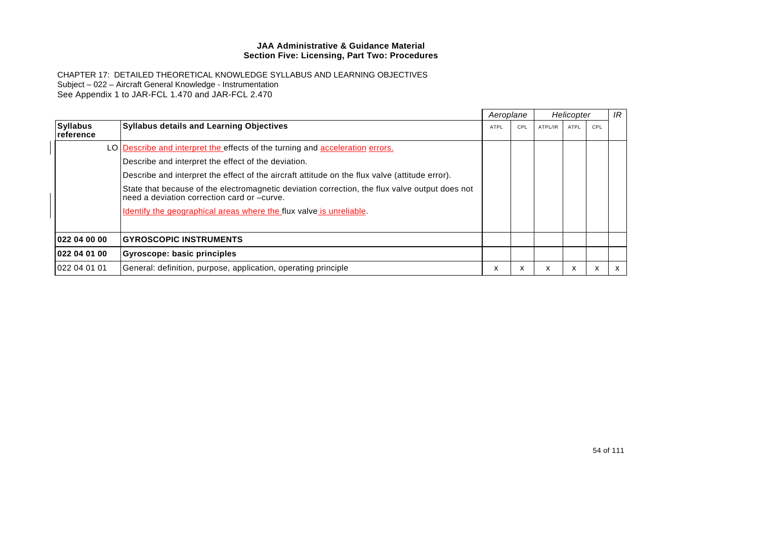|                              |                                                                                                                                               |      |     | Aeroplane |      | Helicopter |   |  | IR |
|------------------------------|-----------------------------------------------------------------------------------------------------------------------------------------------|------|-----|-----------|------|------------|---|--|----|
| <b>Syllabus</b><br>reference | <b>Syllabus details and Learning Objectives</b>                                                                                               | ATPL | CPL | ATPL/IR   | ATPL | CPL        |   |  |    |
|                              | LO Describe and interpret the effects of the turning and acceleration errors.                                                                 |      |     |           |      |            |   |  |    |
|                              | Describe and interpret the effect of the deviation.                                                                                           |      |     |           |      |            |   |  |    |
|                              | Describe and interpret the effect of the aircraft attitude on the flux valve (attitude error).                                                |      |     |           |      |            |   |  |    |
|                              | State that because of the electromagnetic deviation correction, the flux valve output does not<br>need a deviation correction card or -curve. |      |     |           |      |            |   |  |    |
|                              | I dentify the geographical areas where the flux valve is unreliable.                                                                          |      |     |           |      |            |   |  |    |
| 022 04 00 00                 | <b>IGYROSCOPIC INSTRUMENTS</b>                                                                                                                |      |     |           |      |            |   |  |    |
| 022 04 01 00                 | Gyroscope: basic principles                                                                                                                   |      |     |           |      |            |   |  |    |
| 022 04 01 01                 | General: definition, purpose, application, operating principle                                                                                | x    | x   | X         | x    | x          | x |  |    |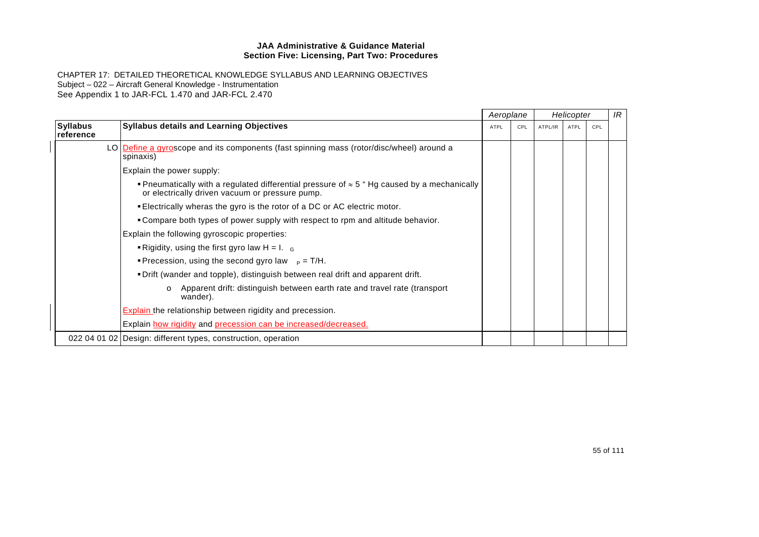|                              |                                                                                                                                                                          |      |     | Aeroplane<br>Helicopter |             |     | IR |
|------------------------------|--------------------------------------------------------------------------------------------------------------------------------------------------------------------------|------|-----|-------------------------|-------------|-----|----|
| <b>Syllabus</b><br>reference | <b>Syllabus details and Learning Objectives</b>                                                                                                                          | ATPL | CPL | ATPL/IR                 | <b>ATPL</b> | CPL |    |
|                              | LO Define a gyroscope and its components (fast spinning mass (rotor/disc/wheel) around a<br>spinaxis)                                                                    |      |     |                         |             |     |    |
|                              | Explain the power supply:                                                                                                                                                |      |     |                         |             |     |    |
|                              | <b>• Pneumatically with a regulated differential pressure of <math>\approx</math> 5 " Hg caused by a mechanically</b><br>or electrically driven vacuum or pressure pump. |      |     |                         |             |     |    |
|                              | Electrically wheras the gyro is the rotor of a DC or AC electric motor.                                                                                                  |      |     |                         |             |     |    |
|                              | • Compare both types of power supply with respect to rpm and altitude behavior.                                                                                          |      |     |                         |             |     |    |
|                              | Explain the following gyroscopic properties:                                                                                                                             |      |     |                         |             |     |    |
|                              | Rigidity, using the first gyro law $H = I_{c}$                                                                                                                           |      |     |                         |             |     |    |
|                              | <b>• Precession, using the second gyro law</b> $_P = T/H$ .                                                                                                              |      |     |                         |             |     |    |
|                              | . Drift (wander and topple), distinguish between real drift and apparent drift.                                                                                          |      |     |                         |             |     |    |
|                              | Apparent drift: distinguish between earth rate and travel rate (transport<br>$\circ$<br>wander).                                                                         |      |     |                         |             |     |    |
|                              | <b>Explain</b> the relationship between rigidity and precession.                                                                                                         |      |     |                         |             |     |    |
|                              | Explain how rigidity and precession can be increased/decreased.                                                                                                          |      |     |                         |             |     |    |
|                              | 022 04 01 02 Design: different types, construction, operation                                                                                                            |      |     |                         |             |     |    |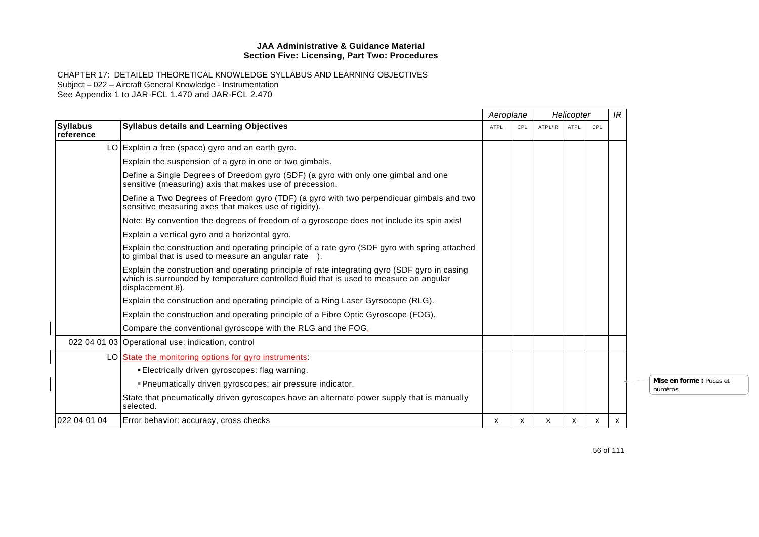|                              |                                                                                                                                                                                                                     |      | Aeroplane |         | Helicopter |     | IR |                                    |
|------------------------------|---------------------------------------------------------------------------------------------------------------------------------------------------------------------------------------------------------------------|------|-----------|---------|------------|-----|----|------------------------------------|
| <b>Syllabus</b><br>reference | <b>Syllabus details and Learning Objectives</b>                                                                                                                                                                     | ATPL | CPL       | ATPL/IR | ATPL       | CPL |    |                                    |
|                              | $LO$ Explain a free (space) gyro and an earth gyro.                                                                                                                                                                 |      |           |         |            |     |    |                                    |
|                              | Explain the suspension of a gyro in one or two gimbals.                                                                                                                                                             |      |           |         |            |     |    |                                    |
|                              | Define a Single Degrees of Dreedom gyro (SDF) (a gyro with only one gimbal and one<br>sensitive (measuring) axis that makes use of precession.                                                                      |      |           |         |            |     |    |                                    |
|                              | Define a Two Degrees of Freedom gyro (TDF) (a gyro with two perpendicuar gimbals and two<br>sensitive measuring axes that makes use of rigidity).                                                                   |      |           |         |            |     |    |                                    |
|                              | Note: By convention the degrees of freedom of a gyroscope does not include its spin axis!                                                                                                                           |      |           |         |            |     |    |                                    |
|                              | Explain a vertical gyro and a horizontal gyro.                                                                                                                                                                      |      |           |         |            |     |    |                                    |
|                              | Explain the construction and operating principle of a rate gyro (SDF gyro with spring attached<br>to gimbal that is used to measure an angular rate ).                                                              |      |           |         |            |     |    |                                    |
|                              | Explain the construction and operating principle of rate integrating gyro (SDF gyro in casing<br>which is surrounded by temperature controlled fluid that is used to measure an angular<br>$displacement \theta$ ). |      |           |         |            |     |    |                                    |
|                              | Explain the construction and operating principle of a Ring Laser Gyrsocope (RLG).                                                                                                                                   |      |           |         |            |     |    |                                    |
|                              | Explain the construction and operating principle of a Fibre Optic Gyroscope (FOG).                                                                                                                                  |      |           |         |            |     |    |                                    |
|                              | Compare the conventional gyroscope with the RLG and the FOG.                                                                                                                                                        |      |           |         |            |     |    |                                    |
|                              | 022 04 01 03 Operational use: indication, control                                                                                                                                                                   |      |           |         |            |     |    |                                    |
|                              | LO State the monitoring options for gyro instruments:                                                                                                                                                               |      |           |         |            |     |    |                                    |
|                              | ■ Electrically driven gyroscopes: flag warning.                                                                                                                                                                     |      |           |         |            |     |    |                                    |
|                              | <b>Pheumatically driven gyroscopes: air pressure indicator.</b>                                                                                                                                                     |      |           |         |            |     |    | Mise en forme: Puces et<br>numéros |
|                              | State that pneumatically driven gyroscopes have an alternate power supply that is manually<br>selected.                                                                                                             |      |           |         |            |     |    |                                    |
| 022 04 01 04                 | Error behavior: accuracy, cross checks                                                                                                                                                                              | x    | x         | x       | x          | X   | x  |                                    |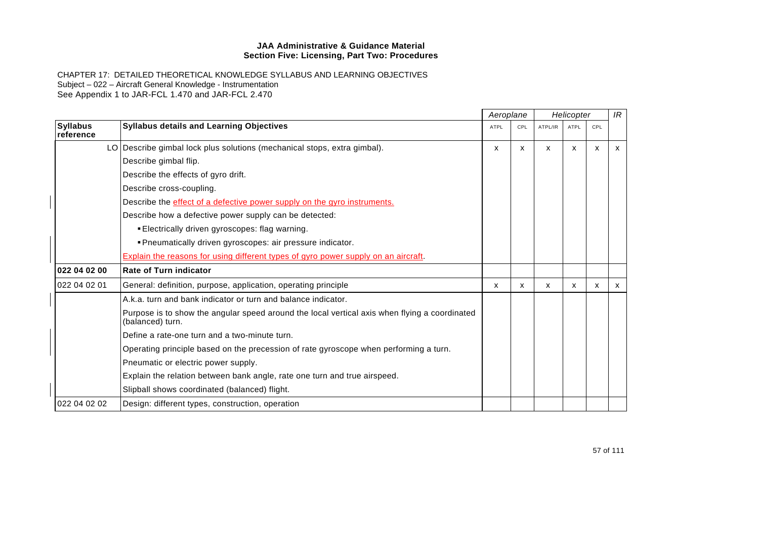|                              |                                                                                                                   | Aeroplane   |     |         | Helicopter   |                           | IR |
|------------------------------|-------------------------------------------------------------------------------------------------------------------|-------------|-----|---------|--------------|---------------------------|----|
| <b>Syllabus</b><br>reference | <b>Syllabus details and Learning Objectives</b>                                                                   | <b>ATPL</b> | CPL | ATPL/IR | <b>ATPL</b>  | CPL                       |    |
|                              | LO Describe gimbal lock plus solutions (mechanical stops, extra gimbal).                                          | x           | X   | X       | $\mathsf{x}$ | x                         | X  |
|                              | Describe gimbal flip.                                                                                             |             |     |         |              |                           |    |
|                              | Describe the effects of gyro drift.                                                                               |             |     |         |              |                           |    |
|                              | Describe cross-coupling.                                                                                          |             |     |         |              |                           |    |
|                              | Describe the effect of a defective power supply on the gyro instruments.                                          |             |     |         |              |                           |    |
|                              | Describe how a defective power supply can be detected:                                                            |             |     |         |              |                           |    |
|                              | Electrically driven gyroscopes: flag warning.                                                                     |             |     |         |              |                           |    |
|                              | · Pneumatically driven gyroscopes: air pressure indicator.                                                        |             |     |         |              |                           |    |
|                              | Explain the reasons for using different types of gyro power supply on an aircraft.                                |             |     |         |              |                           |    |
| 022 04 02 00                 | <b>Rate of Turn indicator</b>                                                                                     |             |     |         |              |                           |    |
| 022 04 02 01                 | General: definition, purpose, application, operating principle                                                    | x           | X   | X       | X            | $\boldsymbol{\mathsf{x}}$ | x  |
|                              | A.k.a. turn and bank indicator or turn and balance indicator.                                                     |             |     |         |              |                           |    |
|                              | Purpose is to show the angular speed around the local vertical axis when flying a coordinated<br>(balanced) turn. |             |     |         |              |                           |    |
|                              | Define a rate-one turn and a two-minute turn.                                                                     |             |     |         |              |                           |    |
|                              | Operating principle based on the precession of rate gyroscope when performing a turn.                             |             |     |         |              |                           |    |
|                              | Pneumatic or electric power supply.                                                                               |             |     |         |              |                           |    |
|                              | Explain the relation between bank angle, rate one turn and true airspeed.                                         |             |     |         |              |                           |    |
|                              | Slipball shows coordinated (balanced) flight.                                                                     |             |     |         |              |                           |    |
| 022 04 02 02                 | Design: different types, construction, operation                                                                  |             |     |         |              |                           |    |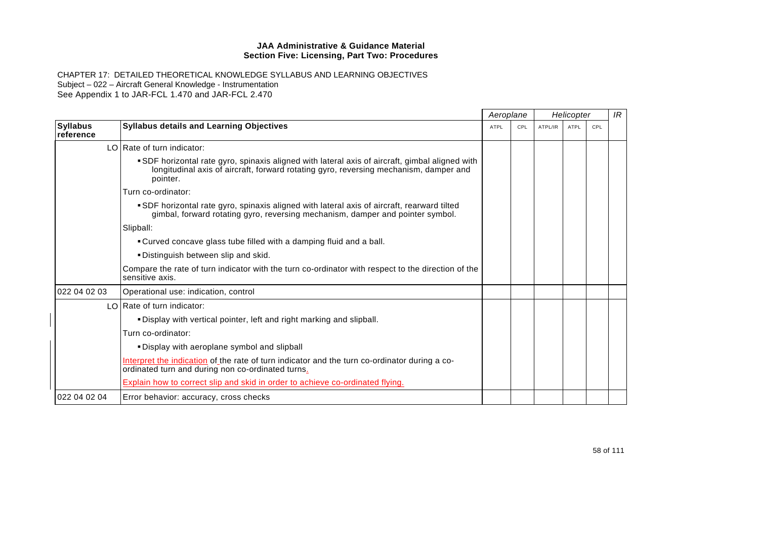|                              |                                                                                                                                                                                                      |             |     |         |      | Aeroplane<br>Helicopter |  |  | IR |
|------------------------------|------------------------------------------------------------------------------------------------------------------------------------------------------------------------------------------------------|-------------|-----|---------|------|-------------------------|--|--|----|
| <b>Syllabus</b><br>reference | <b>Syllabus details and Learning Objectives</b>                                                                                                                                                      | <b>ATPL</b> | CPL | ATPL/IR | ATPL | CPL                     |  |  |    |
|                              | LO Rate of turn indicator:                                                                                                                                                                           |             |     |         |      |                         |  |  |    |
|                              | • SDF horizontal rate gyro, spinaxis aligned with lateral axis of aircraft, gimbal aligned with<br>longitudinal axis of aircraft, forward rotating gyro, reversing mechanism, damper and<br>pointer. |             |     |         |      |                         |  |  |    |
|                              | Turn co-ordinator:                                                                                                                                                                                   |             |     |         |      |                         |  |  |    |
|                              | • SDF horizontal rate gyro, spinaxis aligned with lateral axis of aircraft, rearward tilted<br>gimbal, forward rotating gyro, reversing mechanism, damper and pointer symbol.                        |             |     |         |      |                         |  |  |    |
|                              | Slipball:                                                                                                                                                                                            |             |     |         |      |                         |  |  |    |
|                              | . Curved concave glass tube filled with a damping fluid and a ball.                                                                                                                                  |             |     |         |      |                         |  |  |    |
|                              | . Distinguish between slip and skid.                                                                                                                                                                 |             |     |         |      |                         |  |  |    |
|                              | Compare the rate of turn indicator with the turn co-ordinator with respect to the direction of the<br>sensitive axis.                                                                                |             |     |         |      |                         |  |  |    |
| 022 04 02 03                 | Operational use: indication, control                                                                                                                                                                 |             |     |         |      |                         |  |  |    |
|                              | LO Rate of turn indicator:                                                                                                                                                                           |             |     |         |      |                         |  |  |    |
|                              | . Display with vertical pointer, left and right marking and slipball.                                                                                                                                |             |     |         |      |                         |  |  |    |
|                              | Turn co-ordinator:                                                                                                                                                                                   |             |     |         |      |                         |  |  |    |
|                              | . Display with aeroplane symbol and slipball                                                                                                                                                         |             |     |         |      |                         |  |  |    |
|                              | Interpret the indication of the rate of turn indicator and the turn co-ordinator during a co-<br>ordinated turn and during non co-ordinated turns.                                                   |             |     |         |      |                         |  |  |    |
|                              | Explain how to correct slip and skid in order to achieve co-ordinated flying.                                                                                                                        |             |     |         |      |                         |  |  |    |
| 022 04 02 04                 | Error behavior: accuracy, cross checks                                                                                                                                                               |             |     |         |      |                         |  |  |    |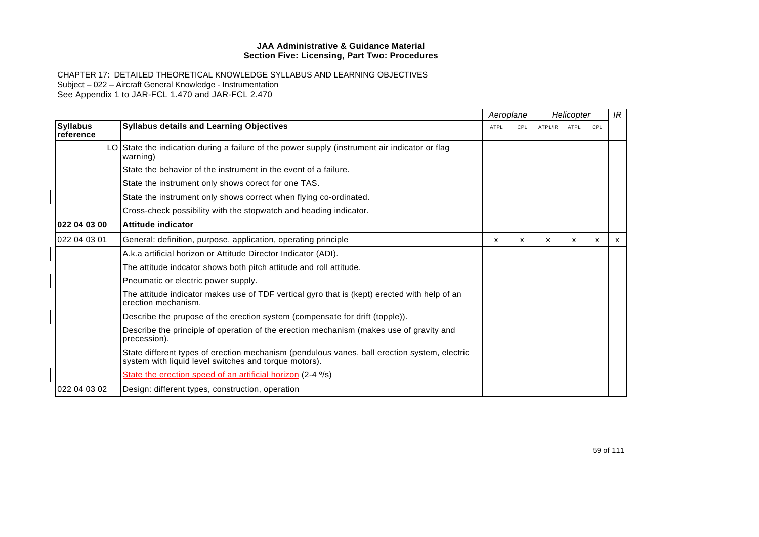|                              |                                                                                                                                                       | Aeroplane |     | Helicopter |      |     | IR |
|------------------------------|-------------------------------------------------------------------------------------------------------------------------------------------------------|-----------|-----|------------|------|-----|----|
| <b>Syllabus</b><br>reference | <b>Syllabus details and Learning Objectives</b>                                                                                                       | ATPL      | CPL | ATPL/IR    | ATPL | CPL |    |
|                              | LO State the indication during a failure of the power supply (instrument air indicator or flag<br>warning)                                            |           |     |            |      |     |    |
|                              | State the behavior of the instrument in the event of a failure.                                                                                       |           |     |            |      |     |    |
|                              | State the instrument only shows corect for one TAS.                                                                                                   |           |     |            |      |     |    |
|                              | State the instrument only shows correct when flying co-ordinated.                                                                                     |           |     |            |      |     |    |
|                              | Cross-check possibility with the stopwatch and heading indicator.                                                                                     |           |     |            |      |     |    |
| 022 04 03 00                 | Attitude indicator                                                                                                                                    |           |     |            |      |     |    |
| 022 04 03 01                 | General: definition, purpose, application, operating principle                                                                                        | X         | X   | X          | X    | X   | X  |
|                              | A.k.a artificial horizon or Attitude Director Indicator (ADI).                                                                                        |           |     |            |      |     |    |
|                              | The attitude indcator shows both pitch attitude and roll attitude.                                                                                    |           |     |            |      |     |    |
|                              | Pneumatic or electric power supply.                                                                                                                   |           |     |            |      |     |    |
|                              | The attitude indicator makes use of TDF vertical gyro that is (kept) erected with help of an<br>erection mechanism.                                   |           |     |            |      |     |    |
|                              | Describe the prupose of the erection system (compensate for drift (topple)).                                                                          |           |     |            |      |     |    |
|                              | Describe the principle of operation of the erection mechanism (makes use of gravity and<br>precession).                                               |           |     |            |      |     |    |
|                              | State different types of erection mechanism (pendulous vanes, ball erection system, electric<br>system with liquid level switches and torque motors). |           |     |            |      |     |    |
|                              | State the erection speed of an artificial horizon (2-4 %)                                                                                             |           |     |            |      |     |    |
| 022 04 03 02                 | Design: different types, construction, operation                                                                                                      |           |     |            |      |     |    |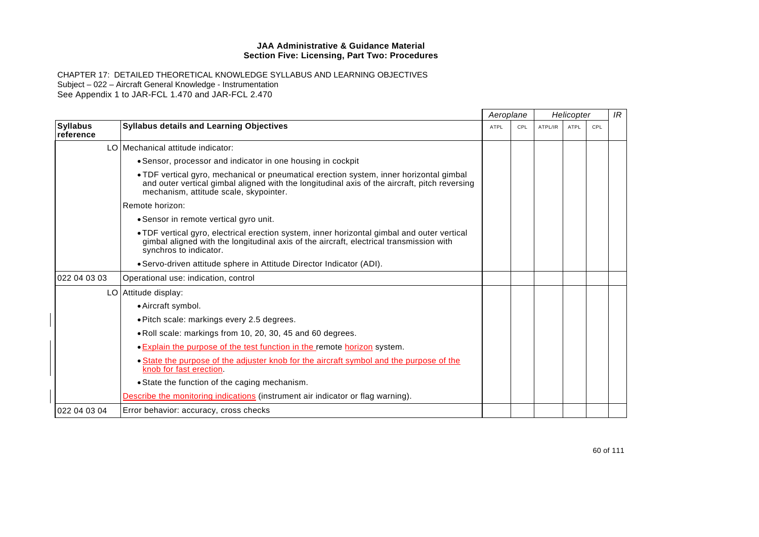|                              |                                                                                                                                                                                                                                    | Aeroplane   |     | Helicopter |      |     | IR |
|------------------------------|------------------------------------------------------------------------------------------------------------------------------------------------------------------------------------------------------------------------------------|-------------|-----|------------|------|-----|----|
| <b>Syllabus</b><br>reference | <b>Syllabus details and Learning Objectives</b>                                                                                                                                                                                    | <b>ATPL</b> | CPL | ATPL/IR    | ATPL | CPL |    |
|                              | LO Mechanical attitude indicator:                                                                                                                                                                                                  |             |     |            |      |     |    |
|                              | • Sensor, processor and indicator in one housing in cockpit                                                                                                                                                                        |             |     |            |      |     |    |
|                              | • TDF vertical gyro, mechanical or pneumatical erection system, inner horizontal gimbal<br>and outer vertical gimbal aligned with the longitudinal axis of the aircraft, pitch reversing<br>mechanism, attitude scale, skypointer. |             |     |            |      |     |    |
|                              | Remote horizon:                                                                                                                                                                                                                    |             |     |            |      |     |    |
|                              | • Sensor in remote vertical gyro unit.                                                                                                                                                                                             |             |     |            |      |     |    |
|                              | . TDF vertical gyro, electrical erection system, inner horizontal gimbal and outer vertical<br>gimbal aligned with the longitudinal axis of the aircraft, electrical transmission with<br>synchros to indicator.                   |             |     |            |      |     |    |
|                              | • Servo-driven attitude sphere in Attitude Director Indicator (ADI).                                                                                                                                                               |             |     |            |      |     |    |
| 022 04 03 03                 | Operational use: indication, control                                                                                                                                                                                               |             |     |            |      |     |    |
|                              | LO Attitude display:                                                                                                                                                                                                               |             |     |            |      |     |    |
|                              | • Aircraft symbol.                                                                                                                                                                                                                 |             |     |            |      |     |    |
|                              | • Pitch scale: markings every 2.5 degrees.                                                                                                                                                                                         |             |     |            |      |     |    |
|                              | • Roll scale: markings from 10, 20, 30, 45 and 60 degrees.                                                                                                                                                                         |             |     |            |      |     |    |
|                              | • Explain the purpose of the test function in the remote horizon system.                                                                                                                                                           |             |     |            |      |     |    |
|                              | • State the purpose of the adjuster knob for the aircraft symbol and the purpose of the<br>knob for fast erection.                                                                                                                 |             |     |            |      |     |    |
|                              | • State the function of the caging mechanism.                                                                                                                                                                                      |             |     |            |      |     |    |
|                              | Describe the monitoring indications (instrument air indicator or flag warning).                                                                                                                                                    |             |     |            |      |     |    |
| 022 04 03 04                 | Error behavior: accuracy, cross checks                                                                                                                                                                                             |             |     |            |      |     |    |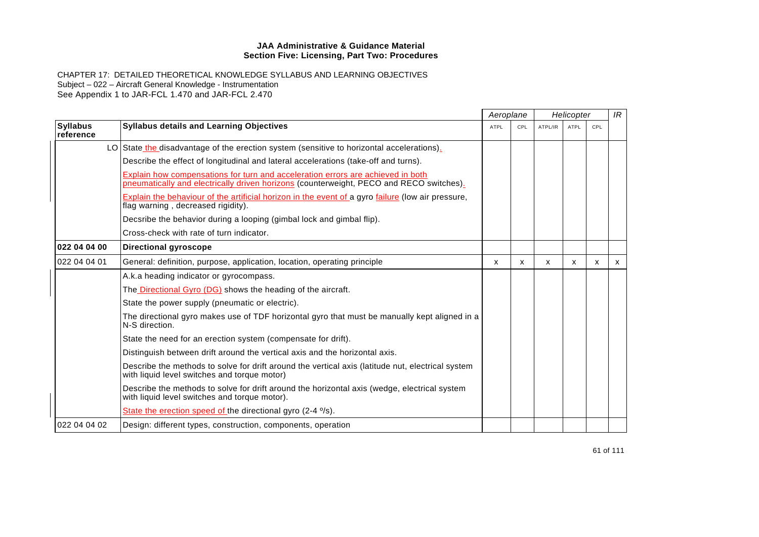|                              |                                                                                                                                                                                   |             | Aeroplane |         | Helicopter |     |              |
|------------------------------|-----------------------------------------------------------------------------------------------------------------------------------------------------------------------------------|-------------|-----------|---------|------------|-----|--------------|
| <b>Syllabus</b><br>reference | <b>Syllabus details and Learning Objectives</b>                                                                                                                                   | <b>ATPL</b> | CPL       | ATPL/IR | ATPL       | CPL |              |
|                              | LO State the disadvantage of the erection system (sensitive to horizontal accelerations).                                                                                         |             |           |         |            |     |              |
|                              | Describe the effect of longitudinal and lateral accelerations (take-off and turns).                                                                                               |             |           |         |            |     |              |
|                              | <b>Explain how compensations for turn and acceleration errors are achieved in both</b><br>pneumatically and electrically driven horizons (counterweight, PECO and RECO switches). |             |           |         |            |     |              |
|                              | Explain the behaviour of the artificial horizon in the event of a gyro failure (low air pressure,<br>flag warning, decreased rigidity).                                           |             |           |         |            |     |              |
|                              | Decsribe the behavior during a looping (gimbal lock and gimbal flip).                                                                                                             |             |           |         |            |     |              |
|                              | Cross-check with rate of turn indicator.                                                                                                                                          |             |           |         |            |     |              |
| 022 04 04 00                 | <b>Directional gyroscope</b>                                                                                                                                                      |             |           |         |            |     |              |
| 022 04 04 01                 | General: definition, purpose, application, location, operating principle                                                                                                          | X           | x         | x       | x          | x   | $\mathsf{x}$ |
|                              | A.k.a heading indicator or gyrocompass.                                                                                                                                           |             |           |         |            |     |              |
|                              | The <b>Directional Gyro (DG)</b> shows the heading of the aircraft.                                                                                                               |             |           |         |            |     |              |
|                              | State the power supply (pneumatic or electric).                                                                                                                                   |             |           |         |            |     |              |
|                              | The directional gyro makes use of TDF horizontal gyro that must be manually kept aligned in a<br>N-S direction.                                                                   |             |           |         |            |     |              |
|                              | State the need for an erection system (compensate for drift).                                                                                                                     |             |           |         |            |     |              |
|                              | Distinguish between drift around the vertical axis and the horizontal axis.                                                                                                       |             |           |         |            |     |              |
|                              | Describe the methods to solve for drift around the vertical axis (latitude nut, electrical system<br>with liquid level switches and torque motor)                                 |             |           |         |            |     |              |
|                              | Describe the methods to solve for drift around the horizontal axis (wedge, electrical system<br>with liquid level switches and torque motor).                                     |             |           |         |            |     |              |
|                              | State the erection speed of the directional gyro (2-4 %).                                                                                                                         |             |           |         |            |     |              |
| 022 04 04 02                 | Design: different types, construction, components, operation                                                                                                                      |             |           |         |            |     |              |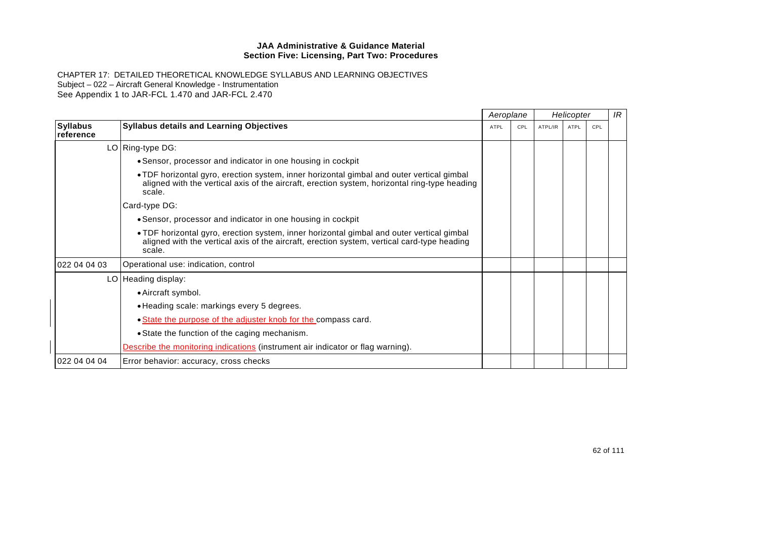|                              |                                                                                                                                                                                                      | Aeroplane |     | Helicopter |      |     | IR |
|------------------------------|------------------------------------------------------------------------------------------------------------------------------------------------------------------------------------------------------|-----------|-----|------------|------|-----|----|
| <b>Syllabus</b><br>reference | <b>Syllabus details and Learning Objectives</b>                                                                                                                                                      | ATPL      | CPL | ATPL/IR    | ATPL | CPL |    |
|                              | LO Ring-type DG:                                                                                                                                                                                     |           |     |            |      |     |    |
|                              | • Sensor, processor and indicator in one housing in cockpit                                                                                                                                          |           |     |            |      |     |    |
|                              | . TDF horizontal gyro, erection system, inner horizontal gimbal and outer vertical gimbal<br>aligned with the vertical axis of the aircraft, erection system, horizontal ring-type heading<br>scale. |           |     |            |      |     |    |
|                              | Card-type DG:                                                                                                                                                                                        |           |     |            |      |     |    |
|                              | • Sensor, processor and indicator in one housing in cockpit                                                                                                                                          |           |     |            |      |     |    |
|                              | . TDF horizontal gyro, erection system, inner horizontal gimbal and outer vertical gimbal<br>aligned with the vertical axis of the aircraft, erection system, vertical card-type heading<br>scale.   |           |     |            |      |     |    |
| 022 04 04 03                 | Operational use: indication, control                                                                                                                                                                 |           |     |            |      |     |    |
|                              | LO Heading display:                                                                                                                                                                                  |           |     |            |      |     |    |
|                              | • Aircraft symbol.                                                                                                                                                                                   |           |     |            |      |     |    |
|                              | • Heading scale: markings every 5 degrees.                                                                                                                                                           |           |     |            |      |     |    |
|                              | . State the purpose of the adjuster knob for the compass card.                                                                                                                                       |           |     |            |      |     |    |
|                              | • State the function of the caging mechanism.                                                                                                                                                        |           |     |            |      |     |    |
|                              | Describe the monitoring indications (instrument air indicator or flag warning).                                                                                                                      |           |     |            |      |     |    |
| 022 04 04 04                 | Error behavior: accuracy, cross checks                                                                                                                                                               |           |     |            |      |     |    |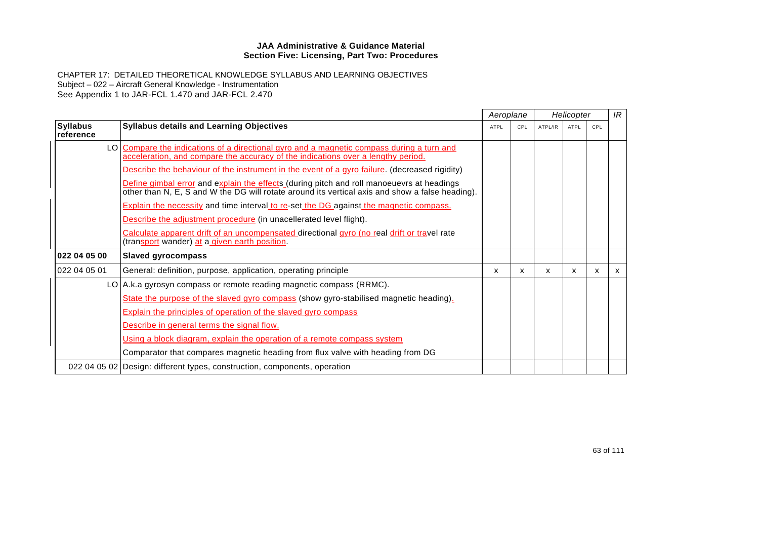CHAPTER 17: DETAILED THEORETICAL KNOWLEDGE SYLLABUS AND LEARNING OBJECTIVES Subject – 022 – Aircraft General Knowledge - Instrumentation See Appendix 1 to JAR-FCL 1.470 and JAR-FCL 2.470

|                              |                                                                                                                                                                                              | Aeroplane |     | Helicopter |      |     | IR |
|------------------------------|----------------------------------------------------------------------------------------------------------------------------------------------------------------------------------------------|-----------|-----|------------|------|-----|----|
| <b>Syllabus</b><br>reference | <b>Syllabus details and Learning Objectives</b>                                                                                                                                              | ATPL      | CPL | ATPL/IR    | ATPL | CPL |    |
|                              | LO Compare the indications of a directional gyro and a magnetic compass during a turn and<br>acceleration, and compare the accuracy of the indications over a lengthy period.                |           |     |            |      |     |    |
|                              | Describe the behaviour of the instrument in the event of a gyro failure. (decreased rigidity)                                                                                                |           |     |            |      |     |    |
|                              | Define gimbal error and explain the effects (during pitch and roll manoeuevrs at headings<br>other than N, E, S and W the DG will rotate around its vertical axis and show a false heading). |           |     |            |      |     |    |
|                              | <b>Explain the necessity and time interval to re-set the DG against the magnetic compass.</b>                                                                                                |           |     |            |      |     |    |
|                              | Describe the adjustment procedure (in unacellerated level flight).                                                                                                                           |           |     |            |      |     |    |
|                              | Calculate apparent drift of an uncompensated directional gyro (no real drift or travel rate<br>(transport wander) at a given earth position.                                                 |           |     |            |      |     |    |
| 022 04 05 00                 | <b>Slaved gyrocompass</b>                                                                                                                                                                    |           |     |            |      |     |    |
| 022 04 05 01                 | General: definition, purpose, application, operating principle                                                                                                                               | x         | x   | x          | x    | x   | X  |
|                              | LO   A.k.a gyrosyn compass or remote reading magnetic compass (RRMC).                                                                                                                        |           |     |            |      |     |    |
|                              | State the purpose of the slaved gyro compass (show gyro-stabilised magnetic heading).                                                                                                        |           |     |            |      |     |    |
|                              | <b>Explain the principles of operation of the slaved gyro compass</b>                                                                                                                        |           |     |            |      |     |    |
|                              | Describe in general terms the signal flow.                                                                                                                                                   |           |     |            |      |     |    |
|                              | Using a block diagram, explain the operation of a remote compass system                                                                                                                      |           |     |            |      |     |    |
|                              | Comparator that compares magnetic heading from flux valve with heading from DG                                                                                                               |           |     |            |      |     |    |
|                              | 022 04 05 02 Design: different types, construction, components, operation                                                                                                                    |           |     |            |      |     |    |

63 of 111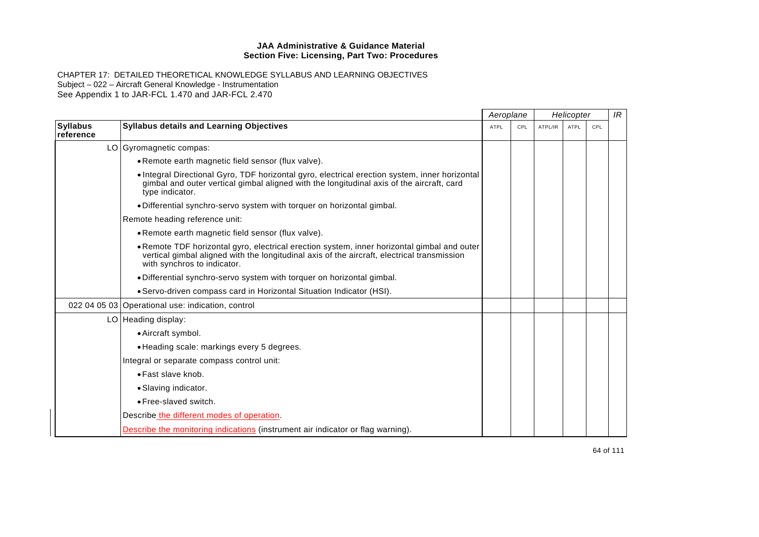|                              |                                                                                                                                                                                                                           | Aeroplane   |     | Helicopter |      |     | IR |
|------------------------------|---------------------------------------------------------------------------------------------------------------------------------------------------------------------------------------------------------------------------|-------------|-----|------------|------|-----|----|
| <b>Syllabus</b><br>reference | <b>Syllabus details and Learning Objectives</b>                                                                                                                                                                           | <b>ATPL</b> | CPL | ATPL/IR    | ATPL | CPL |    |
|                              | LO Gyromagnetic compas:                                                                                                                                                                                                   |             |     |            |      |     |    |
|                              | . Remote earth magnetic field sensor (flux valve).                                                                                                                                                                        |             |     |            |      |     |    |
|                              | • Integral Directional Gyro, TDF horizontal gyro, electrical erection system, inner horizontal<br>gimbal and outer vertical gimbal aligned with the longitudinal axis of the aircraft, card<br>type indicator.            |             |     |            |      |     |    |
|                              | . Differential synchro-servo system with torquer on horizontal gimbal.                                                                                                                                                    |             |     |            |      |     |    |
|                              | Remote heading reference unit:                                                                                                                                                                                            |             |     |            |      |     |    |
|                              | • Remote earth magnetic field sensor (flux valve).                                                                                                                                                                        |             |     |            |      |     |    |
|                              | . Remote TDF horizontal gyro, electrical erection system, inner horizontal gimbal and outer<br>vertical gimbal aligned with the longitudinal axis of the aircraft, electrical transmission<br>with synchros to indicator. |             |     |            |      |     |    |
|                              | . Differential synchro-servo system with torquer on horizontal gimbal.                                                                                                                                                    |             |     |            |      |     |    |
|                              | • Servo-driven compass card in Horizontal Situation Indicator (HSI).                                                                                                                                                      |             |     |            |      |     |    |
|                              | 022 04 05 03 Operational use: indication, control                                                                                                                                                                         |             |     |            |      |     |    |
|                              | LO Heading display:                                                                                                                                                                                                       |             |     |            |      |     |    |
|                              | • Aircraft symbol.                                                                                                                                                                                                        |             |     |            |      |     |    |
|                              | • Heading scale: markings every 5 degrees.                                                                                                                                                                                |             |     |            |      |     |    |
|                              | Integral or separate compass control unit:                                                                                                                                                                                |             |     |            |      |     |    |
|                              | • Fast slave knob.                                                                                                                                                                                                        |             |     |            |      |     |    |
|                              | • Slaving indicator.                                                                                                                                                                                                      |             |     |            |      |     |    |
|                              | • Free-slaved switch.                                                                                                                                                                                                     |             |     |            |      |     |    |
|                              | Describe the different modes of operation.                                                                                                                                                                                |             |     |            |      |     |    |
|                              | Describe the monitoring indications (instrument air indicator or flag warning).                                                                                                                                           |             |     |            |      |     |    |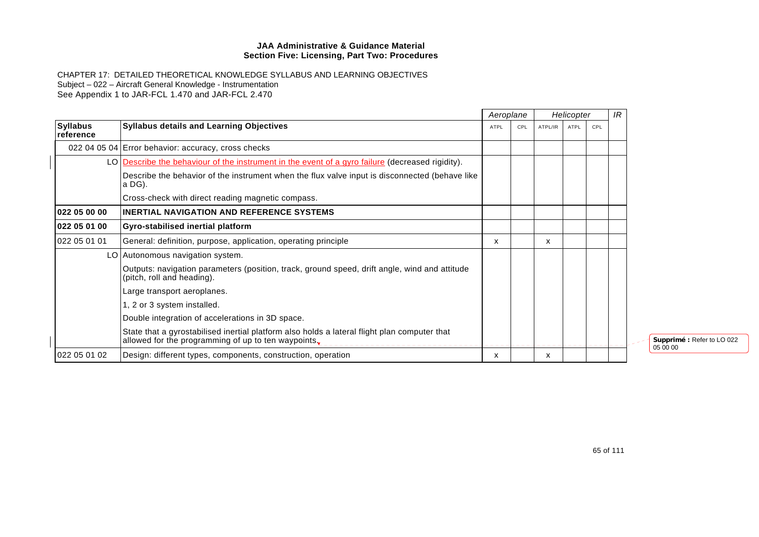|                              |                                                                                                                                                     |      | Aeroplane |         | Helicopter |     | IR |
|------------------------------|-----------------------------------------------------------------------------------------------------------------------------------------------------|------|-----------|---------|------------|-----|----|
| <b>Syllabus</b><br>reference | <b>Syllabus details and Learning Objectives</b>                                                                                                     | ATPL | CPL       | ATPL/IR | ATPL       | CPL |    |
|                              | 022 04 05 04 Error behavior: accuracy, cross checks                                                                                                 |      |           |         |            |     |    |
|                              | LO <b>Describe the behaviour of the instrument in the event of a gyro failure</b> (decreased rigidity).                                             |      |           |         |            |     |    |
|                              | Describe the behavior of the instrument when the flux valve input is disconnected (behave like<br>a DG).                                            |      |           |         |            |     |    |
|                              | Cross-check with direct reading magnetic compass.                                                                                                   |      |           |         |            |     |    |
| 022 05 00 00                 | <b>INERTIAL NAVIGATION AND REFERENCE SYSTEMS</b>                                                                                                    |      |           |         |            |     |    |
| 022 05 01 00                 | Gyro-stabilised inertial platform                                                                                                                   |      |           |         |            |     |    |
| 022 05 01 01                 | General: definition, purpose, application, operating principle                                                                                      | х    |           | X       |            |     |    |
|                              | LO Autonomous navigation system.                                                                                                                    |      |           |         |            |     |    |
|                              | Outputs: navigation parameters (position, track, ground speed, drift angle, wind and attitude<br>(pitch, roll and heading).                         |      |           |         |            |     |    |
|                              | Large transport aeroplanes.                                                                                                                         |      |           |         |            |     |    |
|                              | 1, 2 or 3 system installed.                                                                                                                         |      |           |         |            |     |    |
|                              | Double integration of accelerations in 3D space.                                                                                                    |      |           |         |            |     |    |
|                              | State that a gyrostabilised inertial platform also holds a lateral flight plan computer that<br>allowed for the programming of up to ten waypoints. |      |           |         |            |     |    |
| 022 05 01 02                 | Design: different types, components, construction, operation                                                                                        | x    |           | X       |            |     |    |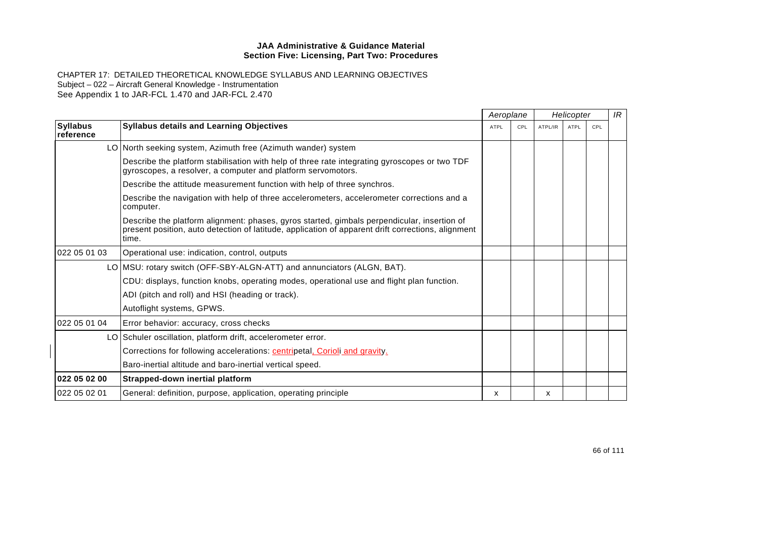|                              |                                                                                                                                                                                                            |      | Aeroplane |         | Helicopter  |     | IR |
|------------------------------|------------------------------------------------------------------------------------------------------------------------------------------------------------------------------------------------------------|------|-----------|---------|-------------|-----|----|
| <b>Syllabus</b><br>reference | <b>Syllabus details and Learning Objectives</b>                                                                                                                                                            | ATPL | CPL       | ATPL/IR | <b>ATPL</b> | CPL |    |
|                              | LO North seeking system, Azimuth free (Azimuth wander) system                                                                                                                                              |      |           |         |             |     |    |
|                              | Describe the platform stabilisation with help of three rate integrating gyroscopes or two TDF<br>gyroscopes, a resolver, a computer and platform servomotors.                                              |      |           |         |             |     |    |
|                              | Describe the attitude measurement function with help of three synchros.                                                                                                                                    |      |           |         |             |     |    |
|                              | Describe the navigation with help of three accelerometers, accelerometer corrections and a<br>computer.                                                                                                    |      |           |         |             |     |    |
|                              | Describe the platform alignment: phases, gyros started, gimbals perpendicular, insertion of<br>present position, auto detection of latitude, application of apparent drift corrections, alignment<br>time. |      |           |         |             |     |    |
| 022 05 01 03                 | Operational use: indication, control, outputs                                                                                                                                                              |      |           |         |             |     |    |
|                              | LO MSU: rotary switch (OFF-SBY-ALGN-ATT) and annunciators (ALGN, BAT).                                                                                                                                     |      |           |         |             |     |    |
|                              | CDU: displays, function knobs, operating modes, operational use and flight plan function.                                                                                                                  |      |           |         |             |     |    |
|                              | ADI (pitch and roll) and HSI (heading or track).                                                                                                                                                           |      |           |         |             |     |    |
|                              | Autoflight systems, GPWS.                                                                                                                                                                                  |      |           |         |             |     |    |
| 022 05 01 04                 | Error behavior: accuracy, cross checks                                                                                                                                                                     |      |           |         |             |     |    |
|                              | LO Schuler oscillation, platform drift, accelerometer error.                                                                                                                                               |      |           |         |             |     |    |
|                              | Corrections for following accelerations: centripetal, Corioli and gravity.                                                                                                                                 |      |           |         |             |     |    |
|                              | Baro-inertial altitude and baro-inertial vertical speed.                                                                                                                                                   |      |           |         |             |     |    |
| 022 05 02 00                 | Strapped-down inertial platform                                                                                                                                                                            |      |           |         |             |     |    |
| 022 05 02 01                 | General: definition, purpose, application, operating principle                                                                                                                                             | x    |           | х       |             |     |    |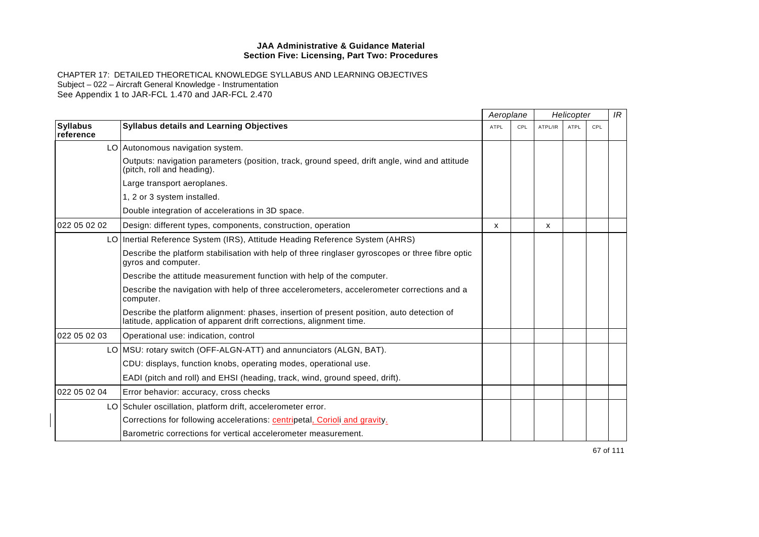CHAPTER 17: DETAILED THEORETICAL KNOWLEDGE SYLLABUS AND LEARNING OBJECTIVES Subject – 022 – Aircraft General Knowledge - Instrumentation See Appendix 1 to JAR-FCL 1.470 and JAR-FCL 2.470

|                              |                                                                                                                                                                   |              | Aeroplane |         | Helicopter  |     | IR |
|------------------------------|-------------------------------------------------------------------------------------------------------------------------------------------------------------------|--------------|-----------|---------|-------------|-----|----|
| <b>Syllabus</b><br>reference | <b>Syllabus details and Learning Objectives</b>                                                                                                                   | <b>ATPL</b>  | CPL       | ATPL/IR | <b>ATPL</b> | CPL |    |
|                              | LO Autonomous navigation system.                                                                                                                                  |              |           |         |             |     |    |
|                              | Outputs: navigation parameters (position, track, ground speed, drift angle, wind and attitude<br>(pitch, roll and heading).                                       |              |           |         |             |     |    |
|                              | Large transport aeroplanes.                                                                                                                                       |              |           |         |             |     |    |
|                              | 1, 2 or 3 system installed.                                                                                                                                       |              |           |         |             |     |    |
|                              | Double integration of accelerations in 3D space.                                                                                                                  |              |           |         |             |     |    |
| 022 05 02 02                 | Design: different types, components, construction, operation                                                                                                      | $\mathsf{x}$ |           | х       |             |     |    |
|                              | LO Inertial Reference System (IRS), Attitude Heading Reference System (AHRS)                                                                                      |              |           |         |             |     |    |
|                              | Describe the platform stabilisation with help of three ringlaser gyroscopes or three fibre optic<br>gyros and computer.                                           |              |           |         |             |     |    |
|                              | Describe the attitude measurement function with help of the computer.                                                                                             |              |           |         |             |     |    |
|                              | Describe the navigation with help of three accelerometers, accelerometer corrections and a<br>computer.                                                           |              |           |         |             |     |    |
|                              | Describe the platform alignment: phases, insertion of present position, auto detection of<br>latitude, application of apparent drift corrections, alignment time. |              |           |         |             |     |    |
| 022 05 02 03                 | Operational use: indication, control                                                                                                                              |              |           |         |             |     |    |
|                              | LO   MSU: rotary switch (OFF-ALGN-ATT) and annunciators (ALGN, BAT).                                                                                              |              |           |         |             |     |    |
|                              | CDU: displays, function knobs, operating modes, operational use.                                                                                                  |              |           |         |             |     |    |
|                              | EADI (pitch and roll) and EHSI (heading, track, wind, ground speed, drift).                                                                                       |              |           |         |             |     |    |
| 022 05 02 04                 | Error behavior: accuracy, cross checks                                                                                                                            |              |           |         |             |     |    |
|                              | LO Schuler oscillation, platform drift, accelerometer error.                                                                                                      |              |           |         |             |     |    |
|                              | Corrections for following accelerations: centripetal, Corioli and gravity.                                                                                        |              |           |         |             |     |    |
|                              | Barometric corrections for vertical accelerometer measurement.                                                                                                    |              |           |         |             |     |    |

67 of 111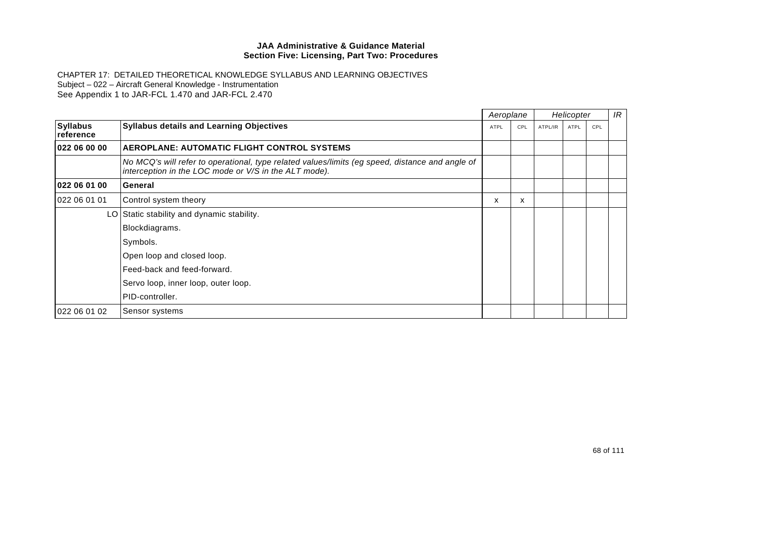|                              |                                                                                                                                                          | Aeroplane |     | Helicopter |      |     | IR |
|------------------------------|----------------------------------------------------------------------------------------------------------------------------------------------------------|-----------|-----|------------|------|-----|----|
| <b>Syllabus</b><br>reference | <b>Syllabus details and Learning Objectives</b>                                                                                                          | ATPL      | CPL | ATPL/IR    | ATPL | CPL |    |
| 022 06 00 00                 | AEROPLANE: AUTOMATIC FLIGHT CONTROL SYSTEMS                                                                                                              |           |     |            |      |     |    |
|                              | No MCQ's will refer to operational, type related values/limits (eg speed, distance and angle of<br>interception in the LOC mode or V/S in the ALT mode). |           |     |            |      |     |    |
| 022 06 01 00                 | General                                                                                                                                                  |           |     |            |      |     |    |
| 022 06 01 01                 | Control system theory                                                                                                                                    | x         | X   |            |      |     |    |
|                              | LO Static stability and dynamic stability.                                                                                                               |           |     |            |      |     |    |
|                              | Blockdiagrams.                                                                                                                                           |           |     |            |      |     |    |
|                              | Symbols.                                                                                                                                                 |           |     |            |      |     |    |
|                              | Open loop and closed loop.                                                                                                                               |           |     |            |      |     |    |
|                              | Feed-back and feed-forward.                                                                                                                              |           |     |            |      |     |    |
|                              | Servo loop, inner loop, outer loop.                                                                                                                      |           |     |            |      |     |    |
|                              | PID-controller.                                                                                                                                          |           |     |            |      |     |    |
| 022 06 01 02                 | Sensor systems                                                                                                                                           |           |     |            |      |     |    |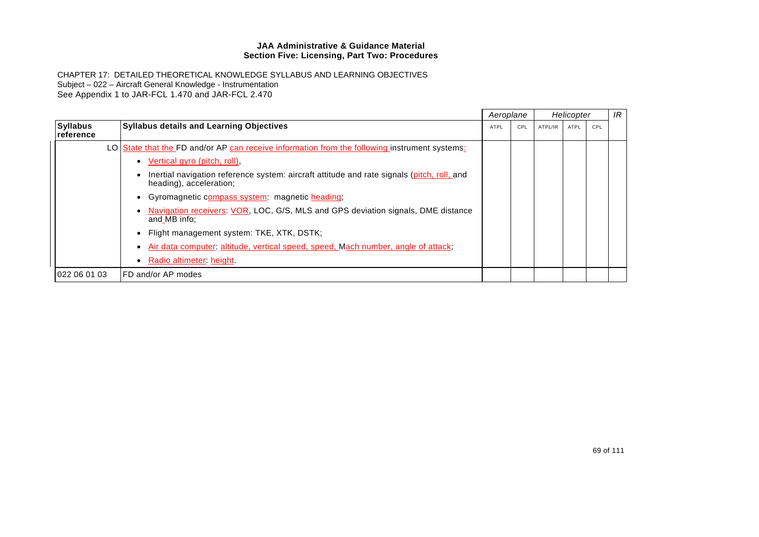|                              |                                                                                                                       |      | Aeroplane |         | Helicopter |     | IR |
|------------------------------|-----------------------------------------------------------------------------------------------------------------------|------|-----------|---------|------------|-----|----|
| <b>Syllabus</b><br>reference | <b>Syllabus details and Learning Objectives</b>                                                                       | ATPL | CPL       | ATPL/IR | ATPL       | CPL |    |
|                              | LO State that the FD and/or AP can receive information from the following instrument systems:                         |      |           |         |            |     |    |
|                              | Vertical gyro (pitch, roll),                                                                                          |      |           |         |            |     |    |
|                              | Inertial navigation reference system: aircraft attitude and rate signals (pitch, roll, and<br>heading), acceleration; |      |           |         |            |     |    |
|                              | • Gyromagnetic compass system: magnetic heading;                                                                      |      |           |         |            |     |    |
|                              | Navigation receivers: VOR, LOC, G/S, MLS and GPS deviation signals, DME distance<br>and MB info;                      |      |           |         |            |     |    |
|                              | • Flight management system: TKE, XTK, DSTK;                                                                           |      |           |         |            |     |    |
|                              | Air data computer: altitude, vertical speed, speed, Mach number, angle of attack;                                     |      |           |         |            |     |    |
|                              | Radio altimeter: height.                                                                                              |      |           |         |            |     |    |
| 022 06 01 03                 | IFD and/or AP modes                                                                                                   |      |           |         |            |     |    |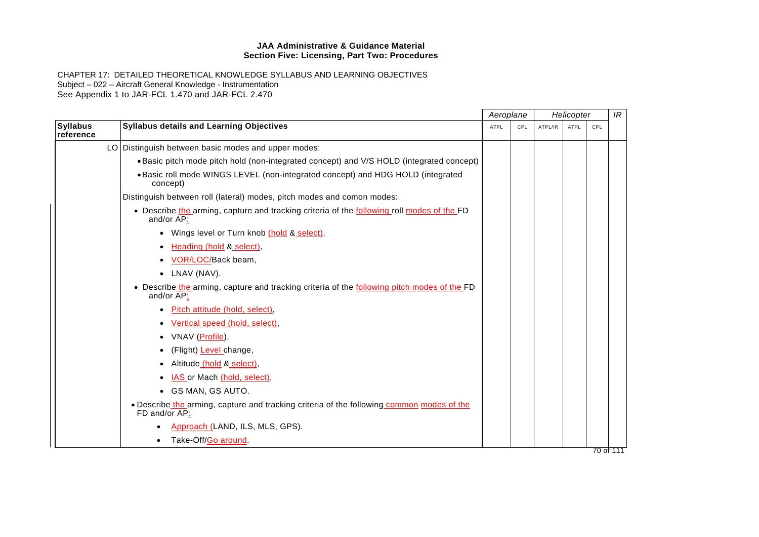|                              |                                                                                                            | Aeroplane<br>Helicopter |     | IR      |             |     |           |
|------------------------------|------------------------------------------------------------------------------------------------------------|-------------------------|-----|---------|-------------|-----|-----------|
| <b>Syllabus</b><br>reference | <b>Syllabus details and Learning Objectives</b>                                                            | <b>ATPL</b>             | CPL | ATPL/IR | <b>ATPL</b> | CPL |           |
|                              | LO Distinguish between basic modes and upper modes:                                                        |                         |     |         |             |     |           |
|                              | . Basic pitch mode pitch hold (non-integrated concept) and V/S HOLD (integrated concept)                   |                         |     |         |             |     |           |
|                              | . Basic roll mode WINGS LEVEL (non-integrated concept) and HDG HOLD (integrated<br>concept)                |                         |     |         |             |     |           |
|                              | Distinguish between roll (lateral) modes, pitch modes and comon modes:                                     |                         |     |         |             |     |           |
|                              | . Describe the arming, capture and tracking criteria of the following roll modes of the FD<br>and/or AP:   |                         |     |         |             |     |           |
|                              | • Wings level or Turn knob (hold & select),                                                                |                         |     |         |             |     |           |
|                              | • Heading (hold & select),                                                                                 |                         |     |         |             |     |           |
|                              | VOR/LOC/Back beam,                                                                                         |                         |     |         |             |     |           |
|                              | • LNAV (NAV).                                                                                              |                         |     |         |             |     |           |
|                              | • Describe the arming, capture and tracking criteria of the following pitch modes of the FD<br>and/or AP:  |                         |     |         |             |     |           |
|                              | Pitch attitude (hold, select),                                                                             |                         |     |         |             |     |           |
|                              | Vertical speed (hold, select),                                                                             |                         |     |         |             |     |           |
|                              | • VNAV (Profile),                                                                                          |                         |     |         |             |     |           |
|                              | (Flight) Level change,                                                                                     |                         |     |         |             |     |           |
|                              | · Altitude (hold & select),                                                                                |                         |     |         |             |     |           |
|                              | IAS or Mach (hold, select),                                                                                |                         |     |         |             |     |           |
|                              | • GS MAN, GS AUTO.                                                                                         |                         |     |         |             |     |           |
|                              | . Describe the arming, capture and tracking criteria of the following common modes of the<br>FD and/or AP: |                         |     |         |             |     |           |
|                              | Approach (LAND, ILS, MLS, GPS).                                                                            |                         |     |         |             |     |           |
|                              | Take-Off/Go around.                                                                                        |                         |     |         |             |     |           |
|                              |                                                                                                            |                         |     |         |             |     | 70 of 111 |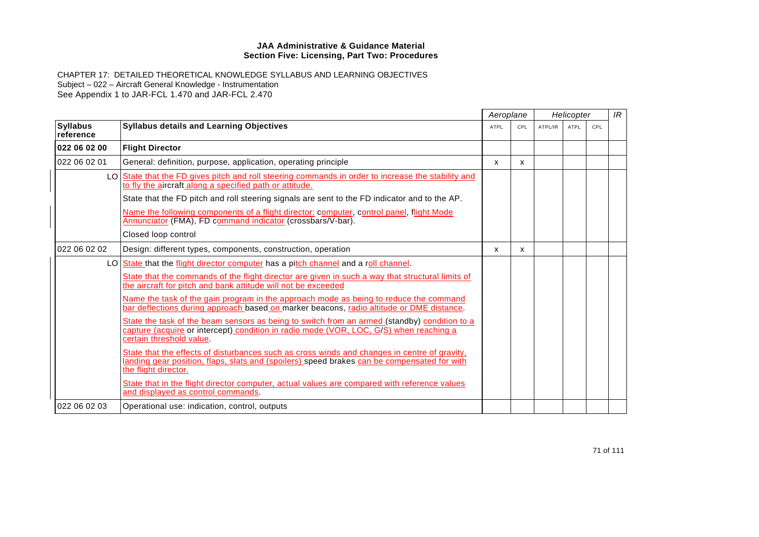CHAPTER 17: DETAILED THEORETICAL KNOWLEDGE SYLLABUS AND LEARNING OBJECTIVES Subject – 022 – Aircraft General Knowledge - Instrumentation See Appendix 1 to JAR-FCL 1.470 and JAR-FCL 2.470

|                              |                                                                                                                                                                                                                     |                           | Aeroplane |         | Helicopter |     | IR |
|------------------------------|---------------------------------------------------------------------------------------------------------------------------------------------------------------------------------------------------------------------|---------------------------|-----------|---------|------------|-----|----|
| <b>Syllabus</b><br>reference | <b>Syllabus details and Learning Objectives</b>                                                                                                                                                                     | <b>ATPL</b>               | CPL       | ATPL/IR | ATPL       | CPL |    |
| 022 06 02 00                 | <b>Flight Director</b>                                                                                                                                                                                              |                           |           |         |            |     |    |
| 022 06 02 01                 | General: definition, purpose, application, operating principle                                                                                                                                                      | X                         | X         |         |            |     |    |
|                              | LO State that the FD gives pitch and roll steering commands in order to increase the stability and<br>to fly the aircraft along a specified path or attitude.                                                       |                           |           |         |            |     |    |
|                              | State that the FD pitch and roll steering signals are sent to the FD indicator and to the AP.                                                                                                                       |                           |           |         |            |     |    |
|                              | Name the following components of a flight director: computer, control panel, flight Mode<br>Annunciator (FMA), FD command indicator (crossbars/V-bar).                                                              |                           |           |         |            |     |    |
|                              | Closed loop control                                                                                                                                                                                                 |                           |           |         |            |     |    |
| 022 06 02 02                 | Design: different types, components, construction, operation                                                                                                                                                        | $\boldsymbol{\mathsf{x}}$ | x         |         |            |     |    |
|                              | LO State that the flight director computer has a pitch channel and a roll channel.                                                                                                                                  |                           |           |         |            |     |    |
|                              | State that the commands of the flight director are given in such a way that structural limits of<br>the aircraft for pitch and bank attitude will not be exceeded                                                   |                           |           |         |            |     |    |
|                              | Name the task of the gain program in the approach mode as being to reduce the command<br>bar deflections during approach based on marker beacons, radio altitude or DME distance.                                   |                           |           |         |            |     |    |
|                              | State the task of the beam sensors as being to switch from an armed (standby) condition to a<br>capture (acquire or intercept) condition in radio mode (VOR, LOC, G/S) when reaching a<br>certain threshold value.  |                           |           |         |            |     |    |
|                              | State that the effects of disturbances such as cross winds and changes in centre of gravity,<br>landing gear position, flaps, slats and (spoilers) speed brakes can be compensated for with<br>the flight director. |                           |           |         |            |     |    |
|                              | State that in the flight director computer, actual values are compared with reference values<br>and displayed as control commands.                                                                                  |                           |           |         |            |     |    |
| 022 06 02 03                 | Operational use: indication, control, outputs                                                                                                                                                                       |                           |           |         |            |     |    |

71 of 111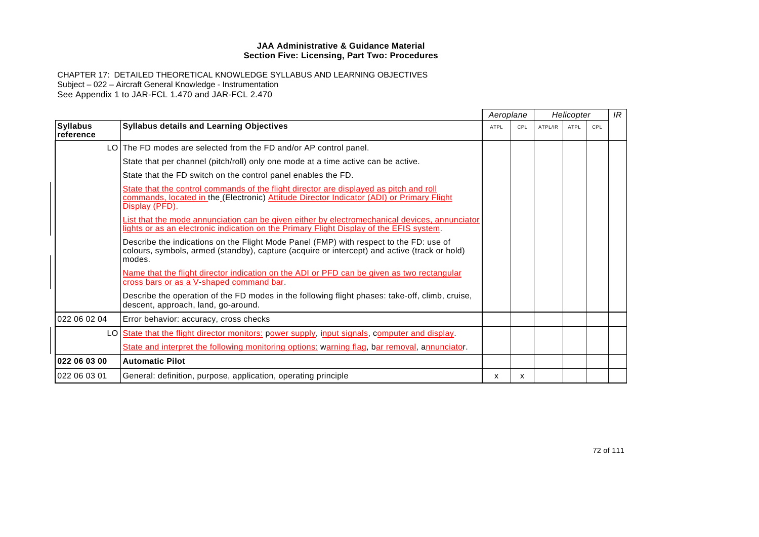|                              |                                                                                                                                                                                                       | Aeroplane |     | Helicopter |      |     | IR |
|------------------------------|-------------------------------------------------------------------------------------------------------------------------------------------------------------------------------------------------------|-----------|-----|------------|------|-----|----|
| <b>Syllabus</b><br>reference | <b>Syllabus details and Learning Objectives</b>                                                                                                                                                       | ATPL      | CPL | ATPL/IR    | ATPL | CPL |    |
|                              | LO The FD modes are selected from the FD and/or AP control panel.                                                                                                                                     |           |     |            |      |     |    |
|                              | State that per channel (pitch/roll) only one mode at a time active can be active.                                                                                                                     |           |     |            |      |     |    |
|                              | State that the FD switch on the control panel enables the FD.                                                                                                                                         |           |     |            |      |     |    |
|                              | State that the control commands of the flight director are displayed as pitch and roll<br>commands, located in the (Electronic) Attitude Director Indicator (ADI) or Primary Flight<br>Display (PFD). |           |     |            |      |     |    |
|                              | List that the mode annunciation can be given either by electromechanical devices, annunciator<br>lights or as an electronic indication on the Primary Flight Display of the EFIS system.              |           |     |            |      |     |    |
|                              | Describe the indications on the Flight Mode Panel (FMP) with respect to the FD: use of<br>colours, symbols, armed (standby), capture (acquire or intercept) and active (track or hold)<br>modes.      |           |     |            |      |     |    |
|                              | Name that the flight director indication on the ADI or PFD can be given as two rectangular<br>cross bars or as a V-shaped command bar.                                                                |           |     |            |      |     |    |
|                              | Describe the operation of the FD modes in the following flight phases: take-off, climb, cruise,<br>descent, approach, land, go-around.                                                                |           |     |            |      |     |    |
| 022 06 02 04                 | Error behavior: accuracy, cross checks                                                                                                                                                                |           |     |            |      |     |    |
|                              | LO State that the flight director monitors: power supply, input signals, computer and display.                                                                                                        |           |     |            |      |     |    |
|                              | State and interpret the following monitoring options: warning flag, bar removal, annunciator.                                                                                                         |           |     |            |      |     |    |
| 022 06 03 00                 | <b>Automatic Pilot</b>                                                                                                                                                                                |           |     |            |      |     |    |
| 022 06 03 01                 | General: definition, purpose, application, operating principle                                                                                                                                        | x         | x   |            |      |     |    |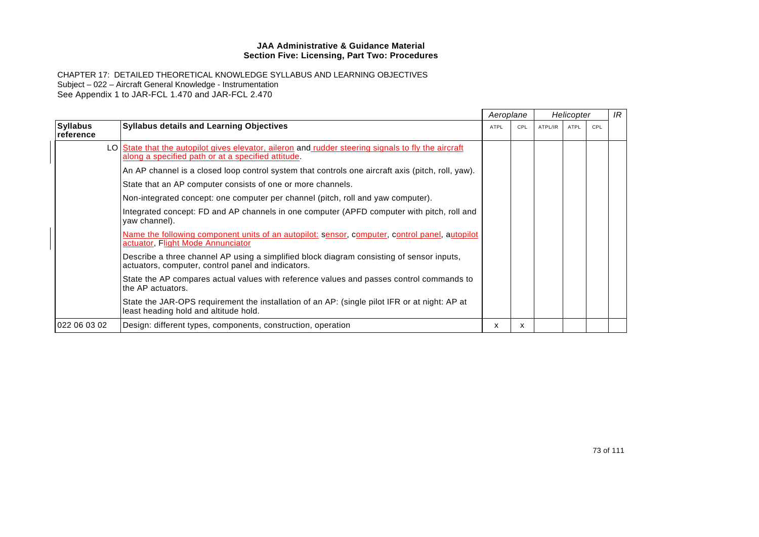|                              |                                                                                                                                                           | Aeroplane   |     | Helicopter |      |     |  |
|------------------------------|-----------------------------------------------------------------------------------------------------------------------------------------------------------|-------------|-----|------------|------|-----|--|
| <b>Syllabus</b><br>reference | <b>Syllabus details and Learning Objectives</b>                                                                                                           | <b>ATPL</b> | CPL | ATPL/IR    | ATPL | CPL |  |
|                              | LO State that the autopilot gives elevator, aileron and rudder steering signals to fly the aircraft<br>along a specified path or at a specified attitude. |             |     |            |      |     |  |
|                              | An AP channel is a closed loop control system that controls one aircraft axis (pitch, roll, yaw).                                                         |             |     |            |      |     |  |
|                              | State that an AP computer consists of one or more channels.                                                                                               |             |     |            |      |     |  |
|                              | Non-integrated concept: one computer per channel (pitch, roll and yaw computer).                                                                          |             |     |            |      |     |  |
|                              | Integrated concept: FD and AP channels in one computer (APFD computer with pitch, roll and<br>yaw channel).                                               |             |     |            |      |     |  |
|                              | Name the following component units of an autopilot: sensor, computer, control panel, autopilot<br>actuator, Flight Mode Annunciator                       |             |     |            |      |     |  |
|                              | Describe a three channel AP using a simplified block diagram consisting of sensor inputs,<br>actuators, computer, control panel and indicators.           |             |     |            |      |     |  |
|                              | State the AP compares actual values with reference values and passes control commands to<br>the AP actuators.                                             |             |     |            |      |     |  |
|                              | State the JAR-OPS requirement the installation of an AP: (single pilot IFR or at night: AP at<br>least heading hold and altitude hold.                    |             |     |            |      |     |  |
| 022 06 03 02                 | Design: different types, components, construction, operation                                                                                              | x           | x   |            |      |     |  |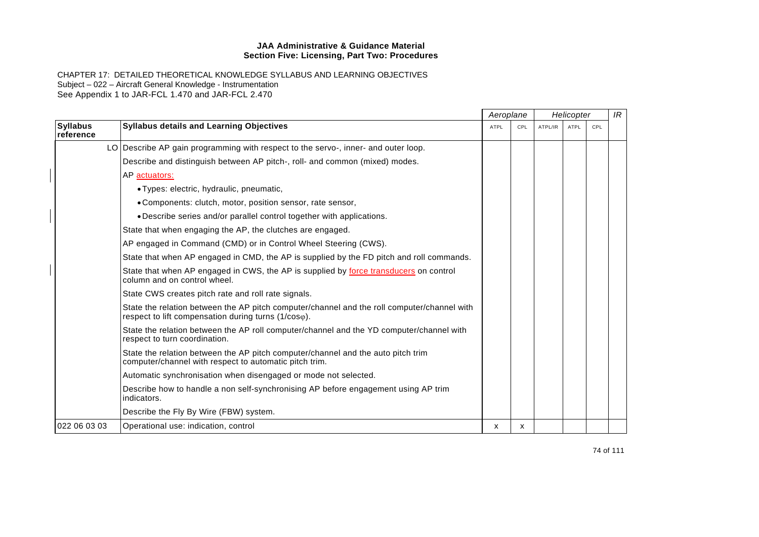|                              |                                                                                                                                                    | Aeroplane   |     | Helicopter |      |     | IR |
|------------------------------|----------------------------------------------------------------------------------------------------------------------------------------------------|-------------|-----|------------|------|-----|----|
| <b>Syllabus</b><br>reference | <b>Syllabus details and Learning Objectives</b>                                                                                                    | <b>ATPL</b> | CPL | ATPL/IR    | ATPL | CPL |    |
|                              | LO Describe AP gain programming with respect to the servo-, inner- and outer loop.                                                                 |             |     |            |      |     |    |
|                              | Describe and distinguish between AP pitch-, roll- and common (mixed) modes.                                                                        |             |     |            |      |     |    |
|                              | AP actuators:                                                                                                                                      |             |     |            |      |     |    |
|                              | • Types: electric, hydraulic, pneumatic,                                                                                                           |             |     |            |      |     |    |
|                              | • Components: clutch, motor, position sensor, rate sensor,                                                                                         |             |     |            |      |     |    |
|                              | . Describe series and/or parallel control together with applications.                                                                              |             |     |            |      |     |    |
|                              | State that when engaging the AP, the clutches are engaged.                                                                                         |             |     |            |      |     |    |
|                              | AP engaged in Command (CMD) or in Control Wheel Steering (CWS).                                                                                    |             |     |            |      |     |    |
|                              | State that when AP engaged in CMD, the AP is supplied by the FD pitch and roll commands.                                                           |             |     |            |      |     |    |
|                              | State that when AP engaged in CWS, the AP is supplied by force transducers on control<br>column and on control wheel.                              |             |     |            |      |     |    |
|                              | State CWS creates pitch rate and roll rate signals.                                                                                                |             |     |            |      |     |    |
|                              | State the relation between the AP pitch computer/channel and the roll computer/channel with<br>respect to lift compensation during turns (1/coso). |             |     |            |      |     |    |
|                              | State the relation between the AP roll computer/channel and the YD computer/channel with<br>respect to turn coordination.                          |             |     |            |      |     |    |
|                              | State the relation between the AP pitch computer/channel and the auto pitch trim<br>computer/channel with respect to automatic pitch trim.         |             |     |            |      |     |    |
|                              | Automatic synchronisation when disengaged or mode not selected.                                                                                    |             |     |            |      |     |    |
|                              | Describe how to handle a non self-synchronising AP before engagement using AP trim<br>indicators.                                                  |             |     |            |      |     |    |
|                              | Describe the Fly By Wire (FBW) system.                                                                                                             |             |     |            |      |     |    |
| 022 06 03 03                 | Operational use: indication, control                                                                                                               | х           | x   |            |      |     |    |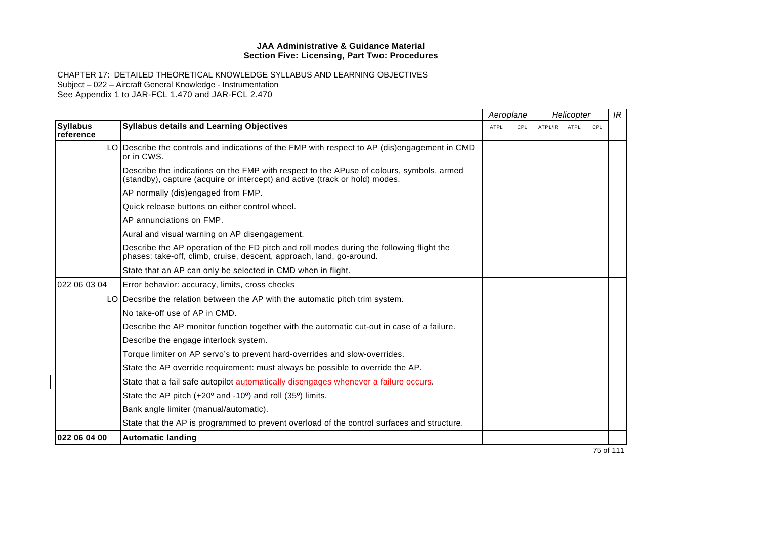CHAPTER 17: DETAILED THEORETICAL KNOWLEDGE SYLLABUS AND LEARNING OBJECTIVES Subject – 022 – Aircraft General Knowledge - Instrumentation See Appendix 1 to JAR-FCL 1.470 and JAR-FCL 2.470

| <b>Syllabus</b><br><b>Syllabus details and Learning Objectives</b><br>CPL<br>ATPL<br>reference<br>LO Describe the controls and indications of the FMP with respect to AP (dis)engagement in CMD<br>or in CWS. | ATPL/IR | ATPL | CPL |  |
|---------------------------------------------------------------------------------------------------------------------------------------------------------------------------------------------------------------|---------|------|-----|--|
|                                                                                                                                                                                                               |         |      |     |  |
|                                                                                                                                                                                                               |         |      |     |  |
| Describe the indications on the FMP with respect to the APuse of colours, symbols, armed<br>(standby), capture (acquire or intercept) and active (track or hold) modes.                                       |         |      |     |  |
| AP normally (dis)engaged from FMP.                                                                                                                                                                            |         |      |     |  |
| Quick release buttons on either control wheel.                                                                                                                                                                |         |      |     |  |
| AP annunciations on FMP.                                                                                                                                                                                      |         |      |     |  |
| Aural and visual warning on AP disengagement.                                                                                                                                                                 |         |      |     |  |
| Describe the AP operation of the FD pitch and roll modes during the following flight the<br>phases: take-off, climb, cruise, descent, approach, land, go-around.                                              |         |      |     |  |
| State that an AP can only be selected in CMD when in flight.                                                                                                                                                  |         |      |     |  |
| 022 06 03 04<br>Error behavior: accuracy, limits, cross checks                                                                                                                                                |         |      |     |  |
| LO Decsribe the relation between the AP with the automatic pitch trim system.                                                                                                                                 |         |      |     |  |
| No take-off use of AP in CMD.                                                                                                                                                                                 |         |      |     |  |
| Describe the AP monitor function together with the automatic cut-out in case of a failure.                                                                                                                    |         |      |     |  |
| Describe the engage interlock system.                                                                                                                                                                         |         |      |     |  |
| Torque limiter on AP servo's to prevent hard-overrides and slow-overrides.                                                                                                                                    |         |      |     |  |
| State the AP override requirement: must always be possible to override the AP.                                                                                                                                |         |      |     |  |
| State that a fail safe autopilot automatically disengages whenever a failure occurs.                                                                                                                          |         |      |     |  |
| State the AP pitch $(+20^{\circ}$ and -10°) and roll (35°) limits.                                                                                                                                            |         |      |     |  |
| Bank angle limiter (manual/automatic).                                                                                                                                                                        |         |      |     |  |
| State that the AP is programmed to prevent overload of the control surfaces and structure.                                                                                                                    |         |      |     |  |
| 022 06 04 00<br><b>Automatic landing</b>                                                                                                                                                                      |         |      |     |  |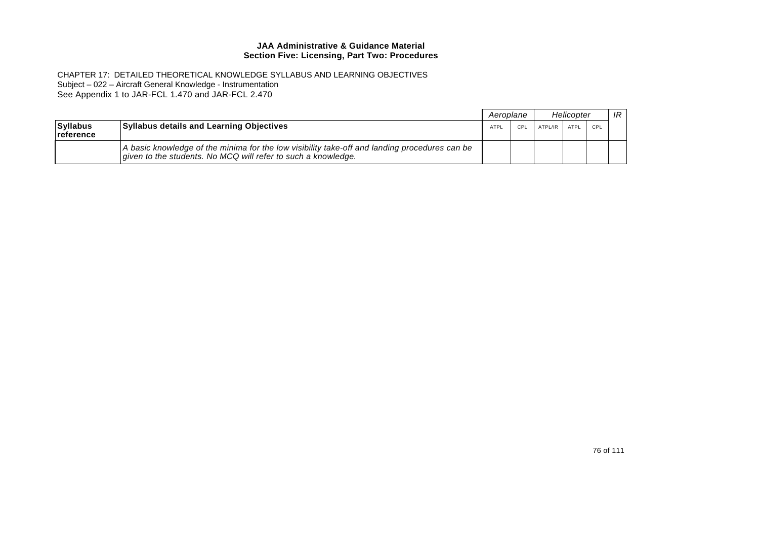|                                |                                                                                                                                                                | Aeroplane   |     | Helicopter |      |     | IR |
|--------------------------------|----------------------------------------------------------------------------------------------------------------------------------------------------------------|-------------|-----|------------|------|-----|----|
| Syllabus<br><u>I</u> reference | <b>Syllabus details and Learning Objectives</b>                                                                                                                | <b>ATPL</b> | CPL | ATPL/IR    | ATPL | CPL |    |
|                                | A basic knowledge of the minima for the low visibility take-off and landing procedures can be<br>given to the students. No MCQ will refer to such a knowledge. |             |     |            |      |     |    |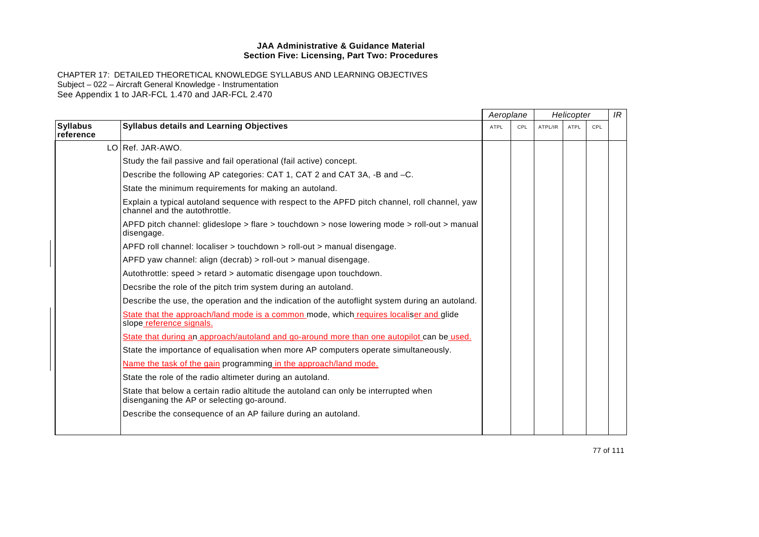|                              |                                                                                                                                   | Aeroplane   |            | Helicopter |             |     | IR |
|------------------------------|-----------------------------------------------------------------------------------------------------------------------------------|-------------|------------|------------|-------------|-----|----|
| <b>Syllabus</b><br>reference | <b>Syllabus details and Learning Objectives</b>                                                                                   | <b>ATPL</b> | <b>CPL</b> | ATPL/IR    | <b>ATPL</b> | CPL |    |
|                              | LO Ref. JAR-AWO.                                                                                                                  |             |            |            |             |     |    |
|                              | Study the fail passive and fail operational (fail active) concept.                                                                |             |            |            |             |     |    |
|                              | Describe the following AP categories: CAT 1, CAT 2 and CAT 3A, -B and -C.                                                         |             |            |            |             |     |    |
|                              | State the minimum requirements for making an autoland.                                                                            |             |            |            |             |     |    |
|                              | Explain a typical autoland sequence with respect to the APFD pitch channel, roll channel, yaw<br>channel and the autothrottle.    |             |            |            |             |     |    |
|                              | APFD pitch channel: glideslope > flare > touchdown > nose lowering mode > roll-out > manual<br>disengage.                         |             |            |            |             |     |    |
|                              | APFD roll channel: localiser > touchdown > roll-out > manual disengage.                                                           |             |            |            |             |     |    |
|                              | APFD yaw channel: align (decrab) > roll-out > manual disengage.                                                                   |             |            |            |             |     |    |
|                              | Autothrottle: speed > retard > automatic disengage upon touchdown.                                                                |             |            |            |             |     |    |
|                              | Decsribe the role of the pitch trim system during an autoland.                                                                    |             |            |            |             |     |    |
|                              | Describe the use, the operation and the indication of the autoflight system during an autoland.                                   |             |            |            |             |     |    |
|                              | State that the approach/land mode is a common mode, which requires localiser and glide<br>slope reference signals.                |             |            |            |             |     |    |
|                              | State that during an approach/autoland and go-around more than one autopilot can be used.                                         |             |            |            |             |     |    |
|                              | State the importance of equalisation when more AP computers operate simultaneously.                                               |             |            |            |             |     |    |
|                              | Name the task of the gain programming in the approach/land mode.                                                                  |             |            |            |             |     |    |
|                              | State the role of the radio altimeter during an autoland.                                                                         |             |            |            |             |     |    |
|                              | State that below a certain radio altitude the autoland can only be interrupted when<br>disenganing the AP or selecting go-around. |             |            |            |             |     |    |
|                              | Describe the consequence of an AP failure during an autoland.                                                                     |             |            |            |             |     |    |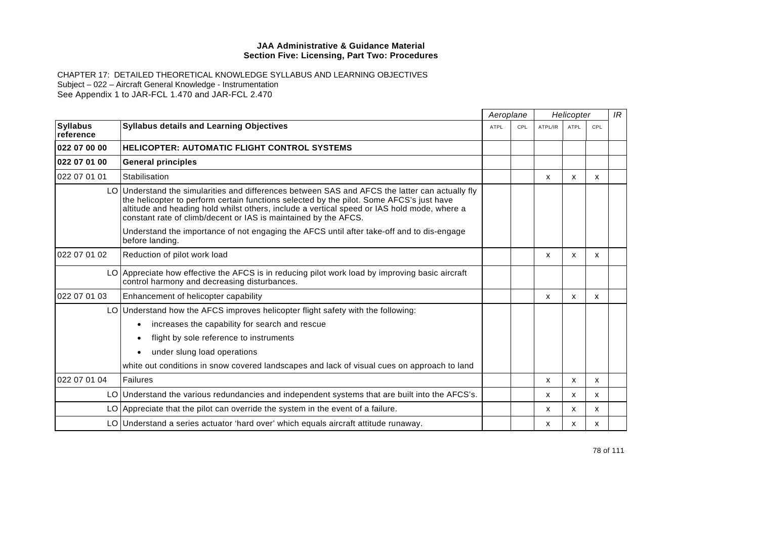|                              |                                                                                                                                                                                                                                                                                                                                                               | Aeroplane   |     | Helicopter |             |     | IR |
|------------------------------|---------------------------------------------------------------------------------------------------------------------------------------------------------------------------------------------------------------------------------------------------------------------------------------------------------------------------------------------------------------|-------------|-----|------------|-------------|-----|----|
| <b>Syllabus</b><br>reference | <b>Syllabus details and Learning Objectives</b>                                                                                                                                                                                                                                                                                                               | <b>ATPL</b> | CPL | ATPL/IR    | <b>ATPL</b> | CPL |    |
| 022 07 00 00                 | <b>HELICOPTER: AUTOMATIC FLIGHT CONTROL SYSTEMS</b>                                                                                                                                                                                                                                                                                                           |             |     |            |             |     |    |
| 022 07 01 00                 | <b>General principles</b>                                                                                                                                                                                                                                                                                                                                     |             |     |            |             |     |    |
| 022 07 01 01                 | Stabilisation                                                                                                                                                                                                                                                                                                                                                 |             |     | X          | X           | x   |    |
|                              | LO Understand the simularities and differences between SAS and AFCS the latter can actually fly<br>the helicopter to perform certain functions selected by the pilot. Some AFCS's just have<br>altitude and heading hold whilst others, include a vertical speed or IAS hold mode, where a<br>constant rate of climb/decent or IAS is maintained by the AFCS. |             |     |            |             |     |    |
|                              | Understand the importance of not engaging the AFCS until after take-off and to dis-engage<br>before landing.                                                                                                                                                                                                                                                  |             |     |            |             |     |    |
| 022 07 01 02                 | Reduction of pilot work load                                                                                                                                                                                                                                                                                                                                  |             |     | X          | X           | X   |    |
|                              | LO Appreciate how effective the AFCS is in reducing pilot work load by improving basic aircraft<br>control harmony and decreasing disturbances.                                                                                                                                                                                                               |             |     |            |             |     |    |
| 022 07 01 03                 | Enhancement of helicopter capability                                                                                                                                                                                                                                                                                                                          |             |     | X          | x           | x   |    |
|                              | LO Understand how the AFCS improves helicopter flight safety with the following:                                                                                                                                                                                                                                                                              |             |     |            |             |     |    |
|                              | increases the capability for search and rescue                                                                                                                                                                                                                                                                                                                |             |     |            |             |     |    |
|                              | flight by sole reference to instruments                                                                                                                                                                                                                                                                                                                       |             |     |            |             |     |    |
|                              | under slung load operations<br>$\bullet$                                                                                                                                                                                                                                                                                                                      |             |     |            |             |     |    |
|                              | white out conditions in snow covered landscapes and lack of visual cues on approach to land                                                                                                                                                                                                                                                                   |             |     |            |             |     |    |
| 022 07 01 04                 | Failures                                                                                                                                                                                                                                                                                                                                                      |             |     | x          | x           | x   |    |
|                              | LO Understand the various redundancies and independent systems that are built into the AFCS's.                                                                                                                                                                                                                                                                |             |     | x          | х           | x   |    |
|                              | LO Appreciate that the pilot can override the system in the event of a failure.                                                                                                                                                                                                                                                                               |             |     | X          | X           | X   |    |
|                              | LO Understand a series actuator 'hard over' which equals aircraft attitude runaway.                                                                                                                                                                                                                                                                           |             |     | X          | X           | X   |    |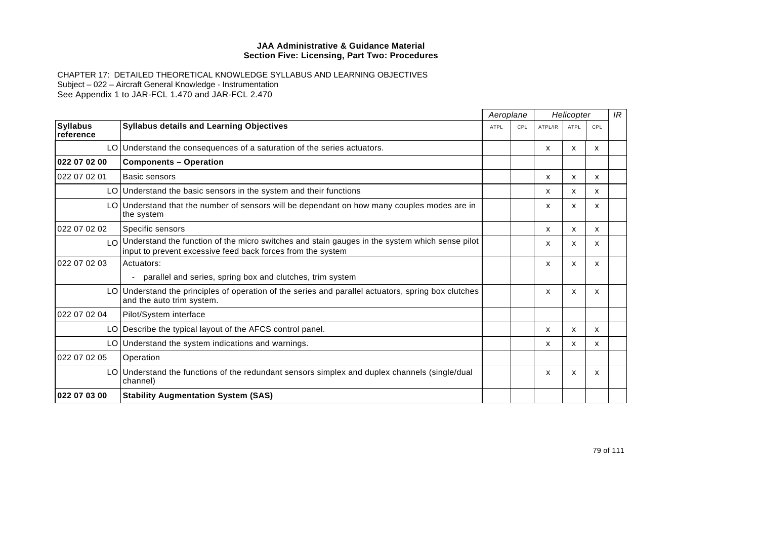|                              |                                                                                                                                                                  |      | Aeroplane |              | Helicopter  |     | IR |
|------------------------------|------------------------------------------------------------------------------------------------------------------------------------------------------------------|------|-----------|--------------|-------------|-----|----|
| <b>Syllabus</b><br>reference | <b>Syllabus details and Learning Objectives</b>                                                                                                                  | ATPL | CPL       | ATPL/IR      | <b>ATPL</b> | CPL |    |
|                              | LO Understand the consequences of a saturation of the series actuators.                                                                                          |      |           | X            | X           | x   |    |
| 022 07 02 00                 | <b>Components - Operation</b>                                                                                                                                    |      |           |              |             |     |    |
| 022 07 02 01                 | Basic sensors                                                                                                                                                    |      |           | X            | x           | x   |    |
|                              | LO Understand the basic sensors in the system and their functions                                                                                                |      |           | X            | X           | x   |    |
|                              | LO Understand that the number of sensors will be dependant on how many couples modes are in<br>the system                                                        |      |           | X            | X           | X   |    |
| 022 07 02 02                 | Specific sensors                                                                                                                                                 |      |           | X            | x           | x   |    |
|                              | LO Understand the function of the micro switches and stain gauges in the system which sense pilot<br>input to prevent excessive feed back forces from the system |      |           | х            | x           | x   |    |
| 022 07 02 03                 | Actuators:                                                                                                                                                       |      |           | X            | x           | x   |    |
|                              | parallel and series, spring box and clutches, trim system<br>$\overline{\phantom{a}}$                                                                            |      |           |              |             |     |    |
|                              | LO Understand the principles of operation of the series and parallel actuators, spring box clutches<br>and the auto trim system.                                 |      |           | X            | x           | x   |    |
| 022 07 02 04                 | Pilot/System interface                                                                                                                                           |      |           |              |             |     |    |
|                              | LO Describe the typical layout of the AFCS control panel.                                                                                                        |      |           | X            | x           | x   |    |
|                              | LO Understand the system indications and warnings.                                                                                                               |      |           | $\mathsf{x}$ | x           | x   |    |
| 022 07 02 05                 | Operation                                                                                                                                                        |      |           |              |             |     |    |
|                              | LO Understand the functions of the redundant sensors simplex and duplex channels (single/dual<br>channel)                                                        |      |           | х            | X           | х   |    |
| 022 07 03 00                 | <b>Stability Augmentation System (SAS)</b>                                                                                                                       |      |           |              |             |     |    |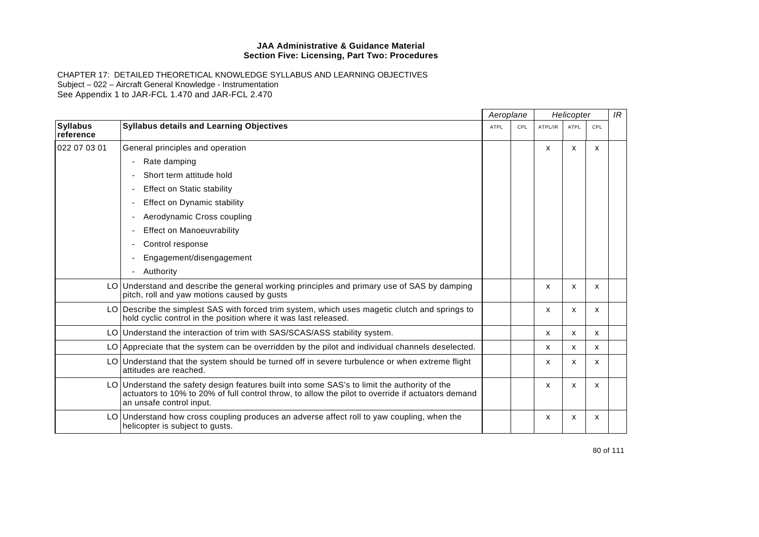|                              |                                                                                                                                                                                                                               | Aeroplane   |     | Helicopter |                           | IR                        |  |
|------------------------------|-------------------------------------------------------------------------------------------------------------------------------------------------------------------------------------------------------------------------------|-------------|-----|------------|---------------------------|---------------------------|--|
| <b>Syllabus</b><br>reference | <b>Syllabus details and Learning Objectives</b>                                                                                                                                                                               | <b>ATPL</b> | CPL | ATPL/IR    | <b>ATPL</b>               | CPL                       |  |
| 022 07 03 01                 | General principles and operation                                                                                                                                                                                              |             |     | X          | $\boldsymbol{\mathsf{x}}$ | $\boldsymbol{\mathsf{x}}$ |  |
|                              | Rate damping                                                                                                                                                                                                                  |             |     |            |                           |                           |  |
|                              | Short term attitude hold                                                                                                                                                                                                      |             |     |            |                           |                           |  |
|                              | <b>Effect on Static stability</b><br>$\overline{\phantom{a}}$                                                                                                                                                                 |             |     |            |                           |                           |  |
|                              | Effect on Dynamic stability                                                                                                                                                                                                   |             |     |            |                           |                           |  |
|                              | Aerodynamic Cross coupling                                                                                                                                                                                                    |             |     |            |                           |                           |  |
|                              | <b>Effect on Manoeuvrability</b>                                                                                                                                                                                              |             |     |            |                           |                           |  |
|                              | Control response                                                                                                                                                                                                              |             |     |            |                           |                           |  |
|                              | Engagement/disengagement                                                                                                                                                                                                      |             |     |            |                           |                           |  |
|                              | Authority<br>$\overline{\phantom{a}}$                                                                                                                                                                                         |             |     |            |                           |                           |  |
|                              | LO Understand and describe the general working principles and primary use of SAS by damping<br>pitch, roll and yaw motions caused by gusts                                                                                    |             |     | X          | X                         | X                         |  |
|                              | LO Describe the simplest SAS with forced trim system, which uses magetic clutch and springs to<br>hold cyclic control in the position where it was last released.                                                             |             |     | X          | X                         | X                         |  |
|                              | LO Understand the interaction of trim with SAS/SCAS/ASS stability system.                                                                                                                                                     |             |     | x          | x                         | x                         |  |
|                              | LO Appreciate that the system can be overridden by the pilot and individual channels deselected.                                                                                                                              |             |     | X          | X                         | X                         |  |
|                              | LO Understand that the system should be turned off in severe turbulence or when extreme flight<br>attitudes are reached.                                                                                                      |             |     | х          | х                         | x                         |  |
|                              | LO Understand the safety design features built into some SAS's to limit the authority of the<br>actuators to 10% to 20% of full control throw, to allow the pilot to override if actuators demand<br>an unsafe control input. |             |     | X          | x                         | X                         |  |
|                              | LO Understand how cross coupling produces an adverse affect roll to yaw coupling, when the<br>helicopter is subject to qusts.                                                                                                 |             |     | X          | X                         | X                         |  |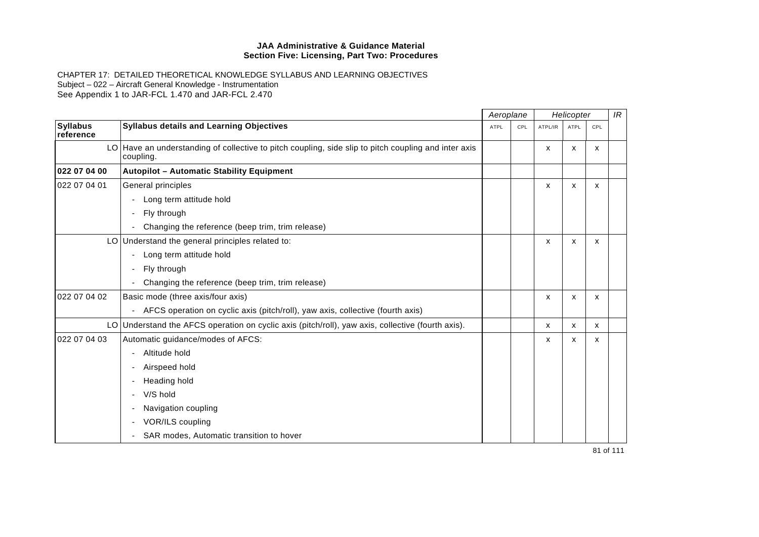CHAPTER 17: DETAILED THEORETICAL KNOWLEDGE SYLLABUS AND LEARNING OBJECTIVES Subject – 022 – Aircraft General Knowledge - Instrumentation See Appendix 1 to JAR-FCL 1.470 and JAR-FCL 2.470

|                              |                                                                                                                   | Aeroplane |     |         | Helicopter |     | IR |
|------------------------------|-------------------------------------------------------------------------------------------------------------------|-----------|-----|---------|------------|-----|----|
| <b>Syllabus</b><br>reference | <b>Syllabus details and Learning Objectives</b>                                                                   | ATPL      | CPL | ATPL/IR | ATPL       | CPL |    |
|                              | LO Have an understanding of collective to pitch coupling, side slip to pitch coupling and inter axis<br>coupling. |           |     | X       | x          | x   |    |
| 022 07 04 00                 | <b>Autopilot - Automatic Stability Equipment</b>                                                                  |           |     |         |            |     |    |
| 022 07 04 01                 | General principles                                                                                                |           |     | X       | X          | x   |    |
|                              | Long term attitude hold<br>$\overline{\phantom{a}}$                                                               |           |     |         |            |     |    |
|                              | Fly through<br>$\overline{a}$                                                                                     |           |     |         |            |     |    |
|                              | Changing the reference (beep trim, trim release)<br>$\overline{\phantom{a}}$                                      |           |     |         |            |     |    |
|                              | LO Understand the general principles related to:                                                                  |           |     | X       | x          | x   |    |
|                              | Long term attitude hold                                                                                           |           |     |         |            |     |    |
|                              | Fly through<br>٠                                                                                                  |           |     |         |            |     |    |
|                              | Changing the reference (beep trim, trim release)                                                                  |           |     |         |            |     |    |
| 022 07 04 02                 | Basic mode (three axis/four axis)                                                                                 |           |     | X       | x          | x   |    |
|                              | - AFCS operation on cyclic axis (pitch/roll), yaw axis, collective (fourth axis)                                  |           |     |         |            |     |    |
|                              | LO Understand the AFCS operation on cyclic axis (pitch/roll), yaw axis, collective (fourth axis).                 |           |     | X       | x          | x   |    |
| 022 07 04 03                 | Automatic guidance/modes of AFCS:                                                                                 |           |     | X       | x          | x   |    |
|                              | Altitude hold                                                                                                     |           |     |         |            |     |    |
|                              | Airspeed hold                                                                                                     |           |     |         |            |     |    |
|                              | Heading hold                                                                                                      |           |     |         |            |     |    |
|                              | V/S hold                                                                                                          |           |     |         |            |     |    |
|                              | Navigation coupling                                                                                               |           |     |         |            |     |    |
|                              | VOR/ILS coupling<br>$\overline{\phantom{a}}$                                                                      |           |     |         |            |     |    |
|                              | SAR modes, Automatic transition to hover<br>$\overline{\phantom{a}}$                                              |           |     |         |            |     |    |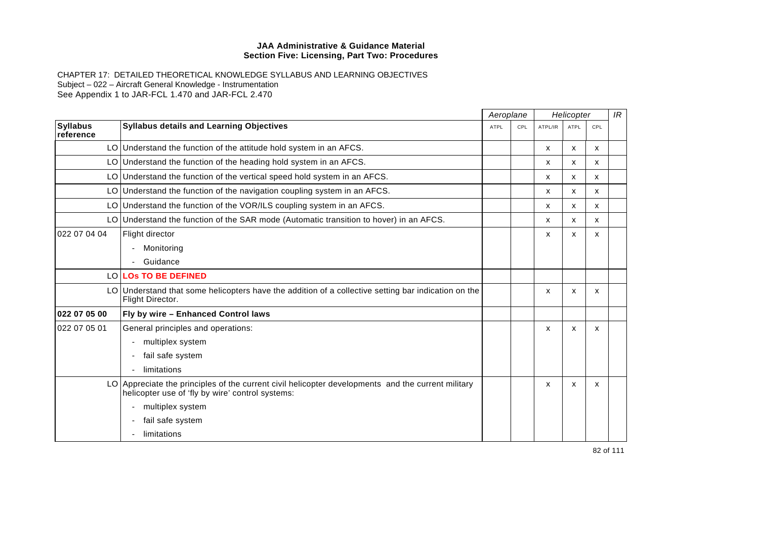CHAPTER 17: DETAILED THEORETICAL KNOWLEDGE SYLLABUS AND LEARNING OBJECTIVES Subject – 022 – Aircraft General Knowledge - Instrumentation See Appendix 1 to JAR-FCL 1.470 and JAR-FCL 2.470

|                              |                                                                                                                                                        | Aeroplane |     | Helicopter |             |     | IR |
|------------------------------|--------------------------------------------------------------------------------------------------------------------------------------------------------|-----------|-----|------------|-------------|-----|----|
| <b>Syllabus</b><br>reference | <b>Syllabus details and Learning Objectives</b>                                                                                                        | ATPL      | CPL | ATPL/IR    | <b>ATPL</b> | CPL |    |
|                              | LO Understand the function of the attitude hold system in an AFCS.                                                                                     |           |     | X          | x           | x   |    |
|                              | LO Understand the function of the heading hold system in an AFCS.                                                                                      |           |     | X          | X           | X   |    |
|                              | LO Understand the function of the vertical speed hold system in an AFCS.                                                                               |           |     | X          | x           | x   |    |
|                              | LO Understand the function of the navigation coupling system in an AFCS.                                                                               |           |     | X          | X           | x   |    |
|                              | LO Understand the function of the VOR/ILS coupling system in an AFCS.                                                                                  |           |     | X          | X           | X   |    |
|                              | LO Understand the function of the SAR mode (Automatic transition to hover) in an AFCS.                                                                 |           |     | X          | x           | x   |    |
| 022 07 04 04                 | Flight director                                                                                                                                        |           |     | X          | x           | x   |    |
|                              | Monitoring                                                                                                                                             |           |     |            |             |     |    |
|                              | Guidance<br>$\blacksquare$                                                                                                                             |           |     |            |             |     |    |
|                              | LO LOS TO BE DEFINED                                                                                                                                   |           |     |            |             |     |    |
|                              | LO Understand that some helicopters have the addition of a collective setting bar indication on the<br>Flight Director.                                |           |     | X          | x           | x   |    |
| 022 07 05 00                 | Fly by wire - Enhanced Control laws                                                                                                                    |           |     |            |             |     |    |
| 022 07 05 01                 | General principles and operations:                                                                                                                     |           |     | X          | X           | X   |    |
|                              | multiplex system                                                                                                                                       |           |     |            |             |     |    |
|                              | fail safe system<br>٠                                                                                                                                  |           |     |            |             |     |    |
|                              | limitations<br>$\blacksquare$                                                                                                                          |           |     |            |             |     |    |
|                              | LO Appreciate the principles of the current civil helicopter developments and the current military<br>helicopter use of 'fly by wire' control systems: |           |     | X          | x           | x   |    |
|                              | multiplex system                                                                                                                                       |           |     |            |             |     |    |
|                              | fail safe system                                                                                                                                       |           |     |            |             |     |    |
|                              | limitations<br>۰                                                                                                                                       |           |     |            |             |     |    |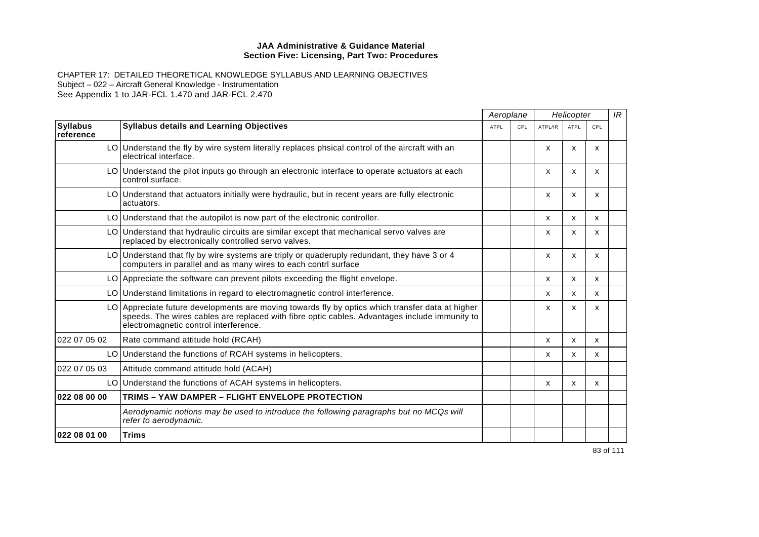CHAPTER 17: DETAILED THEORETICAL KNOWLEDGE SYLLABUS AND LEARNING OBJECTIVES Subject – 022 – Aircraft General Knowledge - Instrumentation See Appendix 1 to JAR-FCL 1.470 and JAR-FCL 2.470

|                              |                                                                                                                                                                                                                                            | Aeroplane   |            | Helicopter |              |              | IR |
|------------------------------|--------------------------------------------------------------------------------------------------------------------------------------------------------------------------------------------------------------------------------------------|-------------|------------|------------|--------------|--------------|----|
| <b>Syllabus</b><br>reference | <b>Syllabus details and Learning Objectives</b>                                                                                                                                                                                            | <b>ATPL</b> | <b>CPL</b> | ATPL/IR    | ATPL         | CPL          |    |
|                              | LO Understand the fly by wire system literally replaces phsical control of the aircraft with an<br>electrical interface.                                                                                                                   |             |            | X          | X            | X            |    |
|                              | LO Understand the pilot inputs go through an electronic interface to operate actuators at each<br>control surface.                                                                                                                         |             |            | x          | X            | X            |    |
|                              | LO Understand that actuators initially were hydraulic, but in recent years are fully electronic<br>actuators.                                                                                                                              |             |            | x          | X            | X            |    |
|                              | LO Understand that the autopilot is now part of the electronic controller.                                                                                                                                                                 |             |            | X          | X            | $\mathsf{x}$ |    |
|                              | LO Understand that hydraulic circuits are similar except that mechanical servo valves are<br>replaced by electronically controlled servo valves.                                                                                           |             |            | X          | X            | X            |    |
|                              | LO Understand that fly by wire systems are triply or quaderuply redundant, they have 3 or 4<br>computers in parallel and as many wires to each contrl surface                                                                              |             |            | X          | X            | X            |    |
|                              | LO Appreciate the software can prevent pilots exceeding the flight envelope.                                                                                                                                                               |             |            | X          | X            | $\mathsf{x}$ |    |
|                              | LO Understand limitations in regard to electromagnetic control interference.                                                                                                                                                               |             |            | x          | $\mathsf{x}$ | X            |    |
|                              | LO Appreciate future developments are moving towards fly by optics which transfer data at higher<br>speeds. The wires cables are replaced with fibre optic cables. Advantages include immunity to<br>electromagnetic control interference. |             |            | х          | X            | X            |    |
| 022 07 05 02                 | Rate command attitude hold (RCAH)                                                                                                                                                                                                          |             |            | X          | X            | X            |    |
|                              | LO Understand the functions of RCAH systems in helicopters.                                                                                                                                                                                |             |            | x          | x            | x            |    |
| 022 07 05 03                 | Attitude command attitude hold (ACAH)                                                                                                                                                                                                      |             |            |            |              |              |    |
|                              | LO Understand the functions of ACAH systems in helicopters.                                                                                                                                                                                |             |            | x          | X            | х            |    |
| 022 08 00 00                 | TRIMS - YAW DAMPER - FLIGHT ENVELOPE PROTECTION                                                                                                                                                                                            |             |            |            |              |              |    |
|                              | Aerodynamic notions may be used to introduce the following paragraphs but no MCQs will<br>refer to aerodynamic.                                                                                                                            |             |            |            |              |              |    |
| 022 08 01 00                 | <b>Trims</b>                                                                                                                                                                                                                               |             |            |            |              |              |    |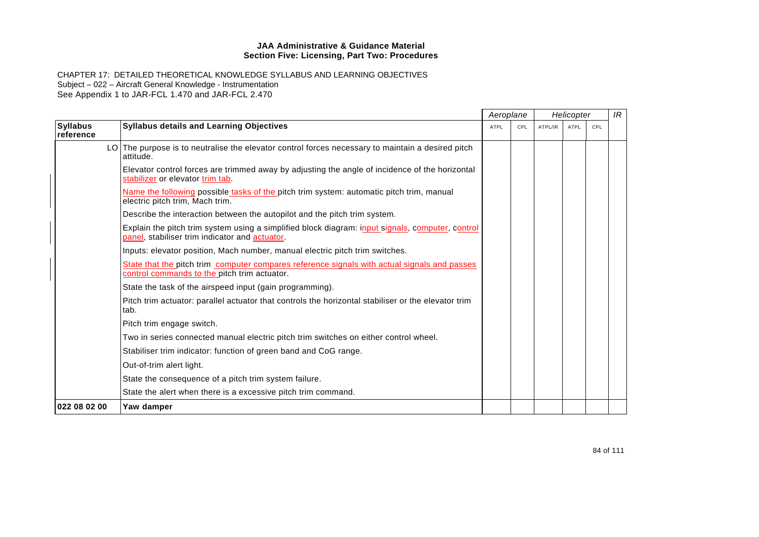|                              |                                                                                                                                                    | Aeroplane   |     | Helicopter |             | IR  |  |
|------------------------------|----------------------------------------------------------------------------------------------------------------------------------------------------|-------------|-----|------------|-------------|-----|--|
| <b>Syllabus</b><br>reference | <b>Syllabus details and Learning Objectives</b>                                                                                                    | <b>ATPL</b> | CPL | ATPL/IR    | <b>ATPL</b> | CPL |  |
|                              | LO The purpose is to neutralise the elevator control forces necessary to maintain a desired pitch<br>attitude.                                     |             |     |            |             |     |  |
|                              | Elevator control forces are trimmed away by adjusting the angle of incidence of the horizontal<br>stabilizer or elevator trim tab.                 |             |     |            |             |     |  |
|                              | Name the following possible tasks of the pitch trim system: automatic pitch trim, manual<br>electric pitch trim, Mach trim.                        |             |     |            |             |     |  |
|                              | Describe the interaction between the autopilot and the pitch trim system.                                                                          |             |     |            |             |     |  |
|                              | Explain the pitch trim system using a simplified block diagram: input signals, computer, control<br>panel, stabiliser trim indicator and actuator. |             |     |            |             |     |  |
|                              | Inputs: elevator position, Mach number, manual electric pitch trim switches.                                                                       |             |     |            |             |     |  |
|                              | State that the pitch trim computer compares reference signals with actual signals and passes<br>control commands to the pitch trim actuator.       |             |     |            |             |     |  |
|                              | State the task of the airspeed input (gain programming).                                                                                           |             |     |            |             |     |  |
|                              | Pitch trim actuator: parallel actuator that controls the horizontal stabiliser or the elevator trim<br>tab.                                        |             |     |            |             |     |  |
|                              | Pitch trim engage switch.                                                                                                                          |             |     |            |             |     |  |
|                              | Two in series connected manual electric pitch trim switches on either control wheel.                                                               |             |     |            |             |     |  |
|                              | Stabiliser trim indicator: function of green band and CoG range.                                                                                   |             |     |            |             |     |  |
|                              | Out-of-trim alert light.                                                                                                                           |             |     |            |             |     |  |
|                              | State the consequence of a pitch trim system failure.                                                                                              |             |     |            |             |     |  |
|                              | State the alert when there is a excessive pitch trim command.                                                                                      |             |     |            |             |     |  |
| 022 08 02 00                 | Yaw damper                                                                                                                                         |             |     |            |             |     |  |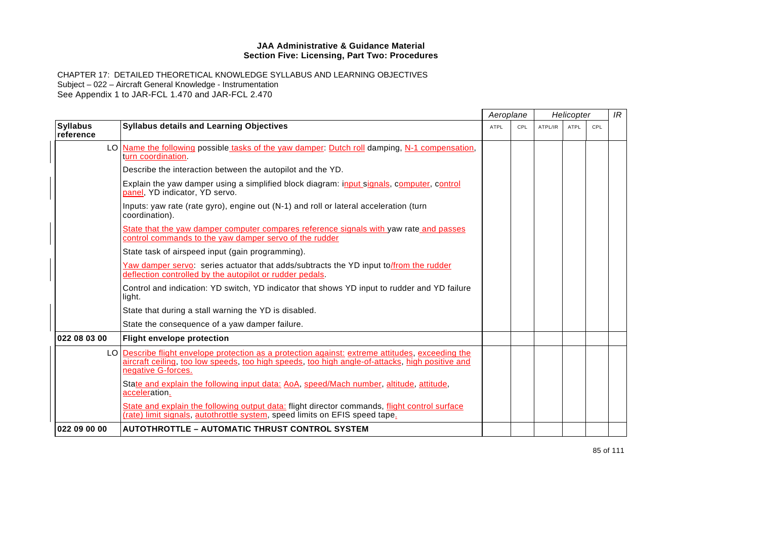CHAPTER 17: DETAILED THEORETICAL KNOWLEDGE SYLLABUS AND LEARNING OBJECTIVES Subject – 022 – Aircraft General Knowledge - Instrumentation See Appendix 1 to JAR-FCL 1.470 and JAR-FCL 2.470

|                              |                                                                                                                                                                                                                           | Aeroplane   |     | Helicopter |      | IR  |  |
|------------------------------|---------------------------------------------------------------------------------------------------------------------------------------------------------------------------------------------------------------------------|-------------|-----|------------|------|-----|--|
| <b>Syllabus</b><br>reference | <b>Syllabus details and Learning Objectives</b>                                                                                                                                                                           | <b>ATPL</b> | CPL | ATPL/IR    | ATPL | CPL |  |
|                              | LO Name the following possible tasks of the yaw damper: Dutch roll damping, N-1 compensation,<br>turn coordination.                                                                                                       |             |     |            |      |     |  |
|                              | Describe the interaction between the autopilot and the YD.                                                                                                                                                                |             |     |            |      |     |  |
|                              | Explain the yaw damper using a simplified block diagram: input signals, computer, control<br>panel, YD indicator, YD servo.                                                                                               |             |     |            |      |     |  |
|                              | Inputs: yaw rate (rate gyro), engine out (N-1) and roll or lateral acceleration (turn<br>coordination).                                                                                                                   |             |     |            |      |     |  |
|                              | State that the yaw damper computer compares reference signals with yaw rate and passes<br>control commands to the yaw damper servo of the rudder                                                                          |             |     |            |      |     |  |
|                              | State task of airspeed input (gain programming).                                                                                                                                                                          |             |     |            |      |     |  |
|                              | Yaw damper servo: series actuator that adds/subtracts the YD input to/from the rudder<br>deflection controlled by the autopilot or rudder pedals.                                                                         |             |     |            |      |     |  |
|                              | Control and indication: YD switch, YD indicator that shows YD input to rudder and YD failure<br>light.                                                                                                                    |             |     |            |      |     |  |
|                              | State that during a stall warning the YD is disabled.                                                                                                                                                                     |             |     |            |      |     |  |
|                              | State the consequence of a yaw damper failure.                                                                                                                                                                            |             |     |            |      |     |  |
| 022 08 03 00                 | <b>Flight envelope protection</b>                                                                                                                                                                                         |             |     |            |      |     |  |
|                              | LO Describe flight envelope protection as a protection against: extreme attitudes, exceeding the<br>aircraft ceiling, too low speeds, too high speeds, too high angle-of-attacks, high positive and<br>negative G-forces. |             |     |            |      |     |  |
|                              | State and explain the following input data: AoA, speed/Mach number, altitude, attitude,<br>acceleration.                                                                                                                  |             |     |            |      |     |  |
|                              | State and explain the following output data: flight director commands, flight control surface<br>(rate) limit signals, autothrottle system, speed limits on EFIS speed tape.                                              |             |     |            |      |     |  |
| 022 09 00 00                 | <b>AUTOTHROTTLE – AUTOMATIC THRUST CONTROL SYSTEM</b>                                                                                                                                                                     |             |     |            |      |     |  |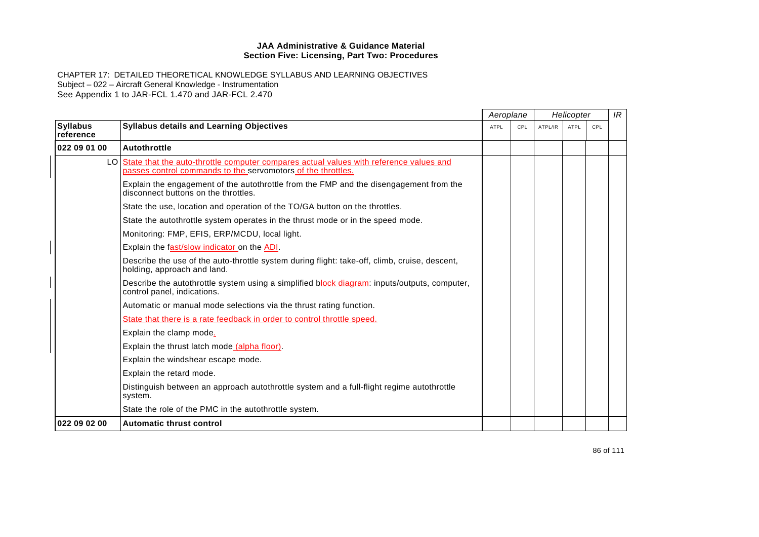|                              |                                                                                                                                                           | Aeroplane   |     | Helicopter |             |     | IR |
|------------------------------|-----------------------------------------------------------------------------------------------------------------------------------------------------------|-------------|-----|------------|-------------|-----|----|
| <b>Syllabus</b><br>reference | <b>Syllabus details and Learning Objectives</b>                                                                                                           | <b>ATPL</b> | CPL | ATPL/IR    | <b>ATPL</b> | CPL |    |
| 022 09 01 00                 | Autothrottle                                                                                                                                              |             |     |            |             |     |    |
|                              | LO State that the auto-throttle computer compares actual values with reference values and<br>passes control commands to the servomotors of the throttles. |             |     |            |             |     |    |
|                              | Explain the engagement of the autothrottle from the FMP and the disengagement from the<br>disconnect buttons on the throttles.                            |             |     |            |             |     |    |
|                              | State the use, location and operation of the TO/GA button on the throttles.                                                                               |             |     |            |             |     |    |
|                              | State the autothrottle system operates in the thrust mode or in the speed mode.                                                                           |             |     |            |             |     |    |
|                              | Monitoring: FMP, EFIS, ERP/MCDU, local light.                                                                                                             |             |     |            |             |     |    |
|                              | Explain the fast/slow indicator on the ADI.                                                                                                               |             |     |            |             |     |    |
|                              | Describe the use of the auto-throttle system during flight: take-off, climb, cruise, descent,<br>holding, approach and land.                              |             |     |            |             |     |    |
|                              | Describe the autothrottle system using a simplified block diagram: inputs/outputs, computer,<br>control panel, indications.                               |             |     |            |             |     |    |
|                              | Automatic or manual mode selections via the thrust rating function.                                                                                       |             |     |            |             |     |    |
|                              | State that there is a rate feedback in order to control throttle speed.                                                                                   |             |     |            |             |     |    |
|                              | Explain the clamp mode.                                                                                                                                   |             |     |            |             |     |    |
|                              | Explain the thrust latch mode (alpha floor).                                                                                                              |             |     |            |             |     |    |
|                              | Explain the windshear escape mode.                                                                                                                        |             |     |            |             |     |    |
|                              | Explain the retard mode.                                                                                                                                  |             |     |            |             |     |    |
|                              | Distinguish between an approach autothrottle system and a full-flight regime autothrottle<br>system.                                                      |             |     |            |             |     |    |
|                              | State the role of the PMC in the autothrottle system.                                                                                                     |             |     |            |             |     |    |
| 022 09 02 00                 | <b>Automatic thrust control</b>                                                                                                                           |             |     |            |             |     |    |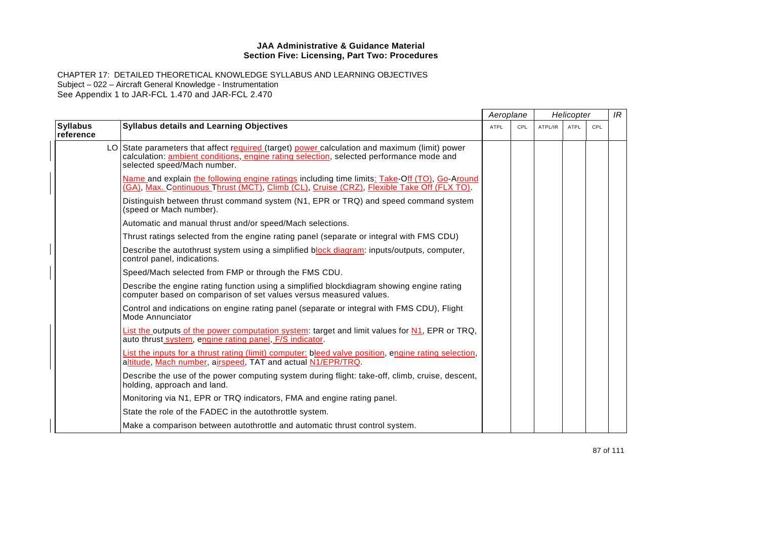|                              |                                                                                                                                                                                                                         | Aeroplane |     |         | Helicopter  |     | IR |
|------------------------------|-------------------------------------------------------------------------------------------------------------------------------------------------------------------------------------------------------------------------|-----------|-----|---------|-------------|-----|----|
| <b>Syllabus</b><br>reference | <b>Syllabus details and Learning Objectives</b>                                                                                                                                                                         | ATPL      | CPL | ATPL/IR | <b>ATPL</b> | CPL |    |
|                              | LO State parameters that affect required (target) power calculation and maximum (limit) power<br>calculation: ambient conditions, engine rating selection, selected performance mode and<br>selected speed/Mach number. |           |     |         |             |     |    |
|                              | Name and explain the following engine ratings including time limits: Take-Off (TO), Go-Around<br>(GA), Max. Continuous Thrust (MCT), Climb (CL), Cruise (CRZ), Flexible Take Off (FLX TO).                              |           |     |         |             |     |    |
|                              | Distinguish between thrust command system (N1, EPR or TRQ) and speed command system<br>(speed or Mach number).                                                                                                          |           |     |         |             |     |    |
|                              | Automatic and manual thrust and/or speed/Mach selections.                                                                                                                                                               |           |     |         |             |     |    |
|                              | Thrust ratings selected from the engine rating panel (separate or integral with FMS CDU)                                                                                                                                |           |     |         |             |     |    |
|                              | Describe the autothrust system using a simplified block diagram: inputs/outputs, computer,<br>control panel, indications.                                                                                               |           |     |         |             |     |    |
|                              | Speed/Mach selected from FMP or through the FMS CDU.                                                                                                                                                                    |           |     |         |             |     |    |
|                              | Describe the engine rating function using a simplified blockdiagram showing engine rating<br>computer based on comparison of set values versus measured values.                                                         |           |     |         |             |     |    |
|                              | Control and indications on engine rating panel (separate or integral with FMS CDU), Flight<br>Mode Annunciator                                                                                                          |           |     |         |             |     |    |
|                              | List the outputs of the power computation system: target and limit values for N1, EPR or TRQ,<br>auto thrust system, engine rating panel, F/S indicator.                                                                |           |     |         |             |     |    |
|                              | List the inputs for a thrust rating (limit) computer: bleed valve position, engine rating selection,<br>altitude, Mach number, airspeed, TAT and actual N1/EPR/TRQ.                                                     |           |     |         |             |     |    |
|                              | Describe the use of the power computing system during flight: take-off, climb, cruise, descent,<br>holding, approach and land.                                                                                          |           |     |         |             |     |    |
|                              | Monitoring via N1, EPR or TRQ indicators, FMA and engine rating panel.                                                                                                                                                  |           |     |         |             |     |    |
|                              | State the role of the FADEC in the autothrottle system.                                                                                                                                                                 |           |     |         |             |     |    |
|                              | Make a comparison between autothrottle and automatic thrust control system.                                                                                                                                             |           |     |         |             |     |    |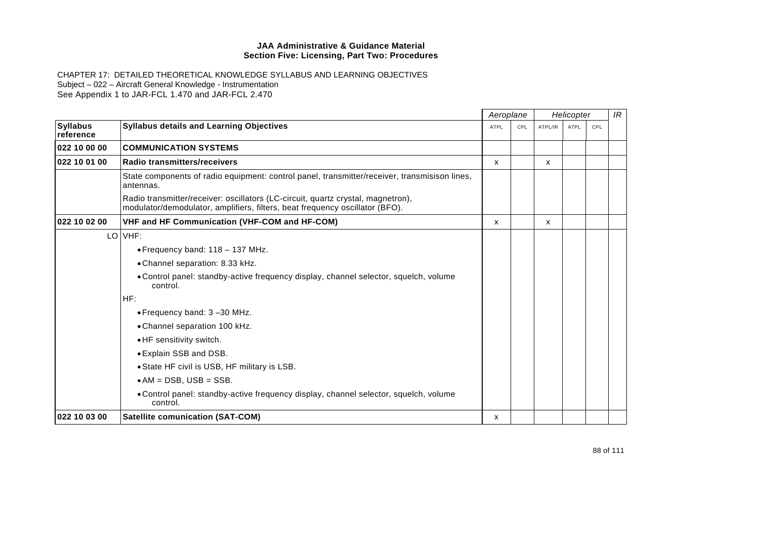CHAPTER 17: DETAILED THEORETICAL KNOWLEDGE SYLLABUS AND LEARNING OBJECTIVES Subject – 022 – Aircraft General Knowledge - Instrumentation See Appendix 1 to JAR-FCL 1.470 and JAR-FCL 2.470

|                              |                                                                                                                                                                  | Aeroplane   |     | Helicopter |             |     | IR |
|------------------------------|------------------------------------------------------------------------------------------------------------------------------------------------------------------|-------------|-----|------------|-------------|-----|----|
| <b>Syllabus</b><br>reference | <b>Syllabus details and Learning Objectives</b>                                                                                                                  | <b>ATPL</b> | CPL | ATPL/IR    | <b>ATPL</b> | CPL |    |
| 022 10 00 00                 | <b>COMMUNICATION SYSTEMS</b>                                                                                                                                     |             |     |            |             |     |    |
| 022 10 01 00                 | Radio transmitters/receivers                                                                                                                                     | x           |     | х          |             |     |    |
|                              | State components of radio equipment: control panel, transmitter/receiver, transmisison lines,<br>antennas.                                                       |             |     |            |             |     |    |
|                              | Radio transmitter/receiver: oscillators (LC-circuit, quartz crystal, magnetron),<br>modulator/demodulator, amplifiers, filters, beat frequency oscillator (BFO). |             |     |            |             |     |    |
| 022 10 02 00                 | VHF and HF Communication (VHF-COM and HF-COM)                                                                                                                    | x           |     | X          |             |     |    |
|                              | LO VHF:                                                                                                                                                          |             |     |            |             |     |    |
|                              | • Frequency band: 118 - 137 MHz.                                                                                                                                 |             |     |            |             |     |    |
|                              | • Channel separation: 8.33 kHz.                                                                                                                                  |             |     |            |             |     |    |
|                              | • Control panel: standby-active frequency display, channel selector, squelch, volume<br>control.                                                                 |             |     |            |             |     |    |
|                              | HF:                                                                                                                                                              |             |     |            |             |     |    |
|                              | $\bullet$ Frequency band: 3 -30 MHz.                                                                                                                             |             |     |            |             |     |    |
|                              | • Channel separation 100 kHz.                                                                                                                                    |             |     |            |             |     |    |
|                              | • HF sensitivity switch.                                                                                                                                         |             |     |            |             |     |    |
|                              | • Explain SSB and DSB.                                                                                                                                           |             |     |            |             |     |    |
|                              | • State HF civil is USB, HF military is LSB.                                                                                                                     |             |     |            |             |     |    |
|                              | $\bullet$ AM = DSB, USB = SSB.                                                                                                                                   |             |     |            |             |     |    |
|                              | • Control panel: standby-active frequency display, channel selector, squelch, volume<br>control.                                                                 |             |     |            |             |     |    |
| 022 10 03 00                 | <b>Satellite comunication (SAT-COM)</b>                                                                                                                          | X           |     |            |             |     |    |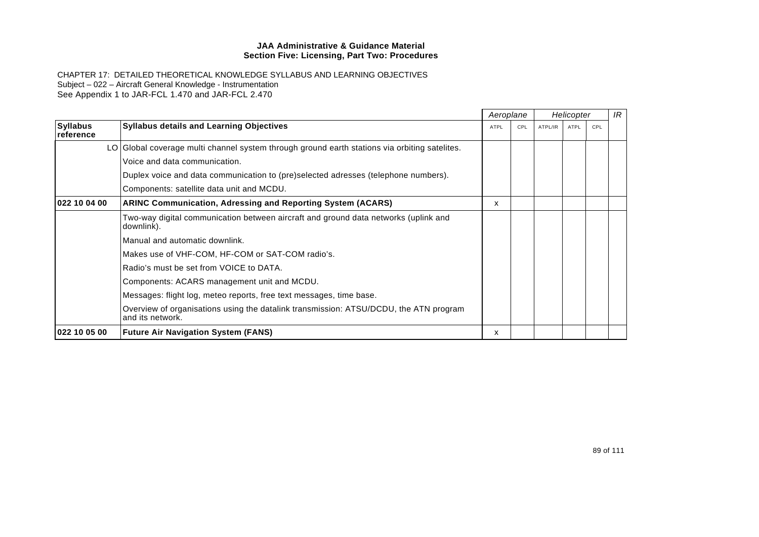|                              |                                                                                                           |      | Aeroplane |         | Helicopter |     | IR |
|------------------------------|-----------------------------------------------------------------------------------------------------------|------|-----------|---------|------------|-----|----|
| <b>Syllabus</b><br>reference | <b>Syllabus details and Learning Objectives</b>                                                           | ATPL | CPL       | ATPL/IR | ATPL       | CPL |    |
|                              | LO Global coverage multi channel system through ground earth stations via orbiting satelites.             |      |           |         |            |     |    |
|                              | Voice and data communication.                                                                             |      |           |         |            |     |    |
|                              | Duplex voice and data communication to (pre)selected adresses (telephone numbers).                        |      |           |         |            |     |    |
|                              | Components: satellite data unit and MCDU.                                                                 |      |           |         |            |     |    |
| 022 10 04 00                 | <b>ARINC Communication, Adressing and Reporting System (ACARS)</b>                                        | x    |           |         |            |     |    |
|                              | Two-way digital communication between aircraft and ground data networks (uplink and<br>downlink).         |      |           |         |            |     |    |
|                              | Manual and automatic downlink.                                                                            |      |           |         |            |     |    |
|                              | Makes use of VHF-COM, HF-COM or SAT-COM radio's.                                                          |      |           |         |            |     |    |
|                              | Radio's must be set from VOICE to DATA.                                                                   |      |           |         |            |     |    |
|                              | Components: ACARS management unit and MCDU.                                                               |      |           |         |            |     |    |
|                              | Messages: flight log, meteo reports, free text messages, time base.                                       |      |           |         |            |     |    |
|                              | Overview of organisations using the datalink transmission: ATSU/DCDU, the ATN program<br>and its network. |      |           |         |            |     |    |
| 022 10 05 00                 | <b>Future Air Navigation System (FANS)</b>                                                                | x    |           |         |            |     |    |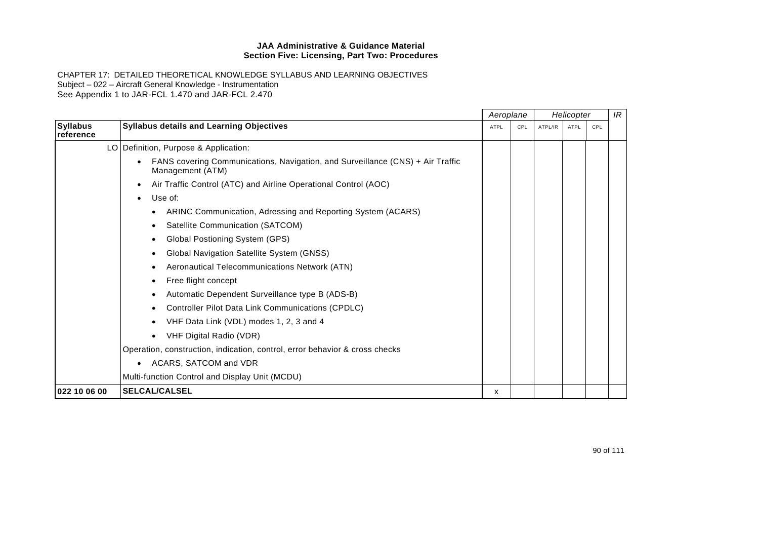|                              |                                                                                                    | Aeroplane |     | Helicopter |      |     | IR |
|------------------------------|----------------------------------------------------------------------------------------------------|-----------|-----|------------|------|-----|----|
| <b>Syllabus</b><br>reference | <b>Syllabus details and Learning Objectives</b>                                                    | ATPL      | CPL | ATPL/IR    | ATPL | CPL |    |
|                              | LO   Definition, Purpose & Application:                                                            |           |     |            |      |     |    |
|                              | FANS covering Communications, Navigation, and Surveillance (CNS) + Air Traffic<br>Management (ATM) |           |     |            |      |     |    |
|                              | Air Traffic Control (ATC) and Airline Operational Control (AOC)<br>$\bullet$                       |           |     |            |      |     |    |
|                              | Use of:<br>$\bullet$                                                                               |           |     |            |      |     |    |
|                              | ARINC Communication, Adressing and Reporting System (ACARS)                                        |           |     |            |      |     |    |
|                              | Satellite Communication (SATCOM)                                                                   |           |     |            |      |     |    |
|                              | Global Postioning System (GPS)                                                                     |           |     |            |      |     |    |
|                              | Global Navigation Satellite System (GNSS)                                                          |           |     |            |      |     |    |
|                              | Aeronautical Telecommunications Network (ATN)                                                      |           |     |            |      |     |    |
|                              | Free flight concept                                                                                |           |     |            |      |     |    |
|                              | Automatic Dependent Surveillance type B (ADS-B)                                                    |           |     |            |      |     |    |
|                              | Controller Pilot Data Link Communications (CPDLC)                                                  |           |     |            |      |     |    |
|                              | VHF Data Link (VDL) modes 1, 2, 3 and 4                                                            |           |     |            |      |     |    |
|                              | VHF Digital Radio (VDR)                                                                            |           |     |            |      |     |    |
|                              | Operation, construction, indication, control, error behavior & cross checks                        |           |     |            |      |     |    |
|                              | ACARS, SATCOM and VDR<br>$\bullet$                                                                 |           |     |            |      |     |    |
|                              | Multi-function Control and Display Unit (MCDU)                                                     |           |     |            |      |     |    |
| 022 10 06 00                 | <b>SELCAL/CALSEL</b>                                                                               | X         |     |            |      |     |    |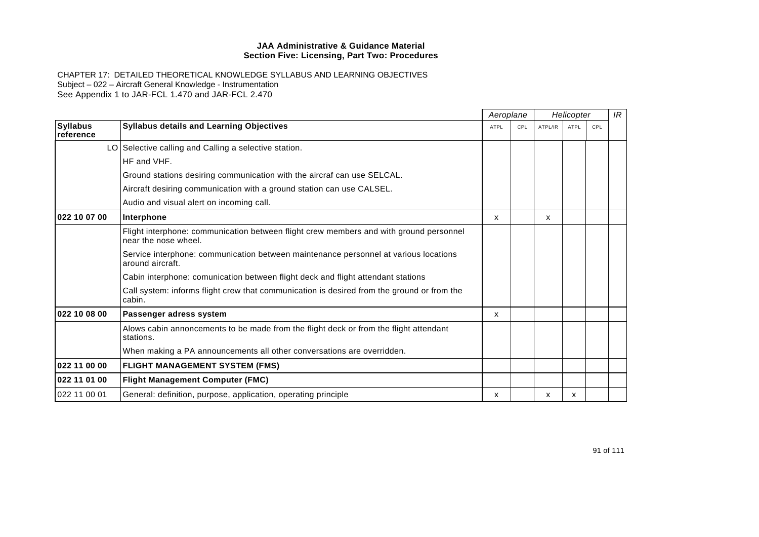|                              |                                                                                                                |             | Aeroplane | Helicopter |      |     | IR |
|------------------------------|----------------------------------------------------------------------------------------------------------------|-------------|-----------|------------|------|-----|----|
| <b>Syllabus</b><br>reference | <b>Syllabus details and Learning Objectives</b>                                                                | <b>ATPL</b> | CPL       | ATPL/IR    | ATPL | CPL |    |
|                              | LO Selective calling and Calling a selective station.                                                          |             |           |            |      |     |    |
|                              | HF and VHF.                                                                                                    |             |           |            |      |     |    |
|                              | Ground stations desiring communication with the aircraf can use SELCAL.                                        |             |           |            |      |     |    |
|                              | Aircraft desiring communication with a ground station can use CALSEL.                                          |             |           |            |      |     |    |
|                              | Audio and visual alert on incoming call.                                                                       |             |           |            |      |     |    |
| 022 10 07 00                 | Interphone                                                                                                     | x           |           | x          |      |     |    |
|                              | Flight interphone: communication between flight crew members and with ground personnel<br>near the nose wheel. |             |           |            |      |     |    |
|                              | Service interphone: communication between maintenance personnel at various locations<br>around aircraft.       |             |           |            |      |     |    |
|                              | Cabin interphone: comunication between flight deck and flight attendant stations                               |             |           |            |      |     |    |
|                              | Call system: informs flight crew that communication is desired from the ground or from the<br>cabin.           |             |           |            |      |     |    |
| 022 10 08 00                 | Passenger adress system                                                                                        | x           |           |            |      |     |    |
|                              | Alows cabin annoncements to be made from the flight deck or from the flight attendant<br>stations.             |             |           |            |      |     |    |
|                              | When making a PA announcements all other conversations are overridden.                                         |             |           |            |      |     |    |
| 022 11 00 00                 | <b>FLIGHT MANAGEMENT SYSTEM (FMS)</b>                                                                          |             |           |            |      |     |    |
| 022 11 01 00                 | <b>Flight Management Computer (FMC)</b>                                                                        |             |           |            |      |     |    |
| 022 11 00 01                 | General: definition, purpose, application, operating principle                                                 | x           |           | х          | x    |     |    |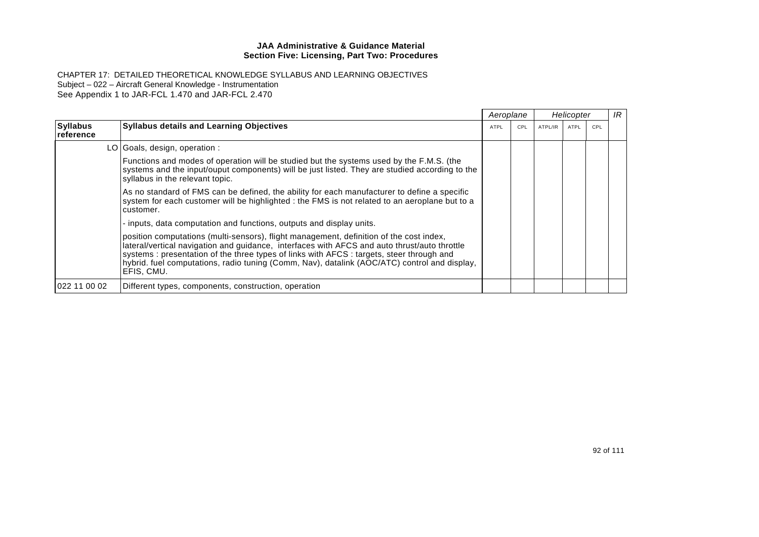|                              |                                                                                                                                                                                                                                                                                                                                                                                                  | Aeroplane   |     | Helicopter |      |     | IR |
|------------------------------|--------------------------------------------------------------------------------------------------------------------------------------------------------------------------------------------------------------------------------------------------------------------------------------------------------------------------------------------------------------------------------------------------|-------------|-----|------------|------|-----|----|
| <b>Syllabus</b><br>reference | <b>Syllabus details and Learning Objectives</b>                                                                                                                                                                                                                                                                                                                                                  | <b>ATPL</b> | CPL | ATPL/IR    | ATPL | CPL |    |
|                              | $LO$ Goals, design, operation :                                                                                                                                                                                                                                                                                                                                                                  |             |     |            |      |     |    |
|                              | Functions and modes of operation will be studied but the systems used by the F.M.S. (the<br>systems and the input/ouput components) will be just listed. They are studied according to the<br>syllabus in the relevant topic.                                                                                                                                                                    |             |     |            |      |     |    |
|                              | As no standard of FMS can be defined, the ability for each manufacturer to define a specific<br>system for each customer will be highlighted : the FMS is not related to an aeroplane but to a<br>customer.                                                                                                                                                                                      |             |     |            |      |     |    |
|                              | - inputs, data computation and functions, outputs and display units.                                                                                                                                                                                                                                                                                                                             |             |     |            |      |     |    |
|                              | position computations (multi-sensors), flight management, definition of the cost index,<br>lateral/vertical navigation and guidance, interfaces with AFCS and auto thrust/auto throttle<br>systems: presentation of the three types of links with AFCS: targets, steer through and<br>hybrid. fuel computations, radio tuning (Comm, Nav), datalink (AOC/ATC) control and display,<br>EFIS, CMU. |             |     |            |      |     |    |
| 022 11 00 02                 | Different types, components, construction, operation                                                                                                                                                                                                                                                                                                                                             |             |     |            |      |     |    |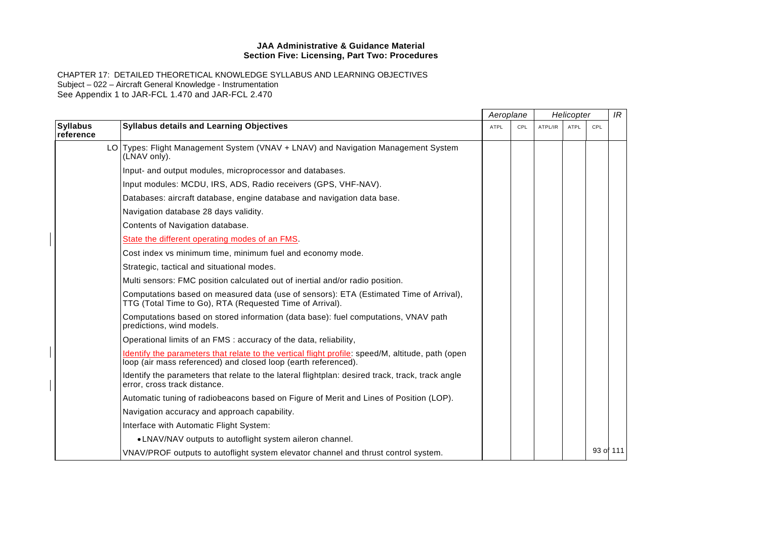|                              |                                                                                                                                                                     | Aeroplane   |     |         | Helicopter  |     | IR        |
|------------------------------|---------------------------------------------------------------------------------------------------------------------------------------------------------------------|-------------|-----|---------|-------------|-----|-----------|
| <b>Syllabus</b><br>reference | <b>Syllabus details and Learning Objectives</b>                                                                                                                     | <b>ATPL</b> | CPL | ATPL/IR | <b>ATPL</b> | CPL |           |
|                              | LO Types: Flight Management System (VNAV + LNAV) and Navigation Management System<br>(LNAV only).                                                                   |             |     |         |             |     |           |
|                              | Input- and output modules, microprocessor and databases.                                                                                                            |             |     |         |             |     |           |
|                              | Input modules: MCDU, IRS, ADS, Radio receivers (GPS, VHF-NAV).                                                                                                      |             |     |         |             |     |           |
|                              | Databases: aircraft database, engine database and navigation data base.                                                                                             |             |     |         |             |     |           |
|                              | Navigation database 28 days validity.                                                                                                                               |             |     |         |             |     |           |
|                              | Contents of Navigation database.                                                                                                                                    |             |     |         |             |     |           |
|                              | State the different operating modes of an FMS.                                                                                                                      |             |     |         |             |     |           |
|                              | Cost index vs minimum time, minimum fuel and economy mode.                                                                                                          |             |     |         |             |     |           |
|                              | Strategic, tactical and situational modes.                                                                                                                          |             |     |         |             |     |           |
|                              | Multi sensors: FMC position calculated out of inertial and/or radio position.                                                                                       |             |     |         |             |     |           |
|                              | Computations based on measured data (use of sensors): ETA (Estimated Time of Arrival),<br>TTG (Total Time to Go), RTA (Requested Time of Arrival).                  |             |     |         |             |     |           |
|                              | Computations based on stored information (data base): fuel computations, VNAV path<br>predictions, wind models.                                                     |             |     |         |             |     |           |
|                              | Operational limits of an FMS : accuracy of the data, reliability,                                                                                                   |             |     |         |             |     |           |
|                              | Identify the parameters that relate to the vertical flight profile: speed/M, altitude, path (open<br>loop (air mass referenced) and closed loop (earth referenced). |             |     |         |             |     |           |
|                              | Identify the parameters that relate to the lateral flightplan: desired track, track, track angle<br>error, cross track distance.                                    |             |     |         |             |     |           |
|                              | Automatic tuning of radiobeacons based on Figure of Merit and Lines of Position (LOP).                                                                              |             |     |         |             |     |           |
|                              | Navigation accuracy and approach capability.                                                                                                                        |             |     |         |             |     |           |
|                              | Interface with Automatic Flight System:                                                                                                                             |             |     |         |             |     |           |
|                              | • LNAV/NAV outputs to autoflight system aileron channel.                                                                                                            |             |     |         |             |     |           |
|                              | VNAV/PROF outputs to autoflight system elevator channel and thrust control system.                                                                                  |             |     |         |             |     | 93 of 111 |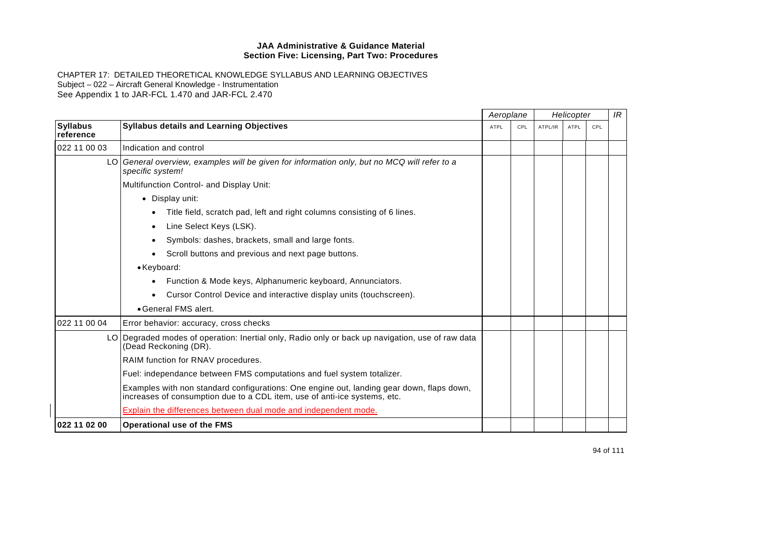|                              |                                                                                                                                                                        |             | Aeroplane |         | Helicopter  |     |  |
|------------------------------|------------------------------------------------------------------------------------------------------------------------------------------------------------------------|-------------|-----------|---------|-------------|-----|--|
| <b>Syllabus</b><br>reference | <b>Syllabus details and Learning Objectives</b>                                                                                                                        | <b>ATPL</b> | CPL       | ATPL/IR | <b>ATPL</b> | CPL |  |
| 022 11 00 03                 | Indication and control                                                                                                                                                 |             |           |         |             |     |  |
|                              | LO General overview, examples will be given for information only, but no MCQ will refer to a<br>specific system!                                                       |             |           |         |             |     |  |
|                              | Multifunction Control- and Display Unit:                                                                                                                               |             |           |         |             |     |  |
|                              | • Display unit:                                                                                                                                                        |             |           |         |             |     |  |
|                              | Title field, scratch pad, left and right columns consisting of 6 lines.                                                                                                |             |           |         |             |     |  |
|                              | Line Select Keys (LSK).<br>٠                                                                                                                                           |             |           |         |             |     |  |
|                              | Symbols: dashes, brackets, small and large fonts.                                                                                                                      |             |           |         |             |     |  |
|                              | Scroll buttons and previous and next page buttons.                                                                                                                     |             |           |         |             |     |  |
|                              | • Keyboard:                                                                                                                                                            |             |           |         |             |     |  |
|                              | Function & Mode keys, Alphanumeric keyboard, Annunciators.                                                                                                             |             |           |         |             |     |  |
|                              | Cursor Control Device and interactive display units (touchscreen).                                                                                                     |             |           |         |             |     |  |
|                              | • General FMS alert.                                                                                                                                                   |             |           |         |             |     |  |
| 022 11 00 04                 | Error behavior: accuracy, cross checks                                                                                                                                 |             |           |         |             |     |  |
|                              | LO Degraded modes of operation: Inertial only, Radio only or back up navigation, use of raw data<br>(Dead Reckoning (DR).                                              |             |           |         |             |     |  |
|                              | RAIM function for RNAV procedures.                                                                                                                                     |             |           |         |             |     |  |
|                              | Fuel: independance between FMS computations and fuel system totalizer.                                                                                                 |             |           |         |             |     |  |
|                              | Examples with non standard configurations: One engine out, landing gear down, flaps down,<br>increases of consumption due to a CDL item, use of anti-ice systems, etc. |             |           |         |             |     |  |
|                              | Explain the differences between dual mode and independent mode.                                                                                                        |             |           |         |             |     |  |
| 022 11 02 00                 | <b>Operational use of the FMS</b>                                                                                                                                      |             |           |         |             |     |  |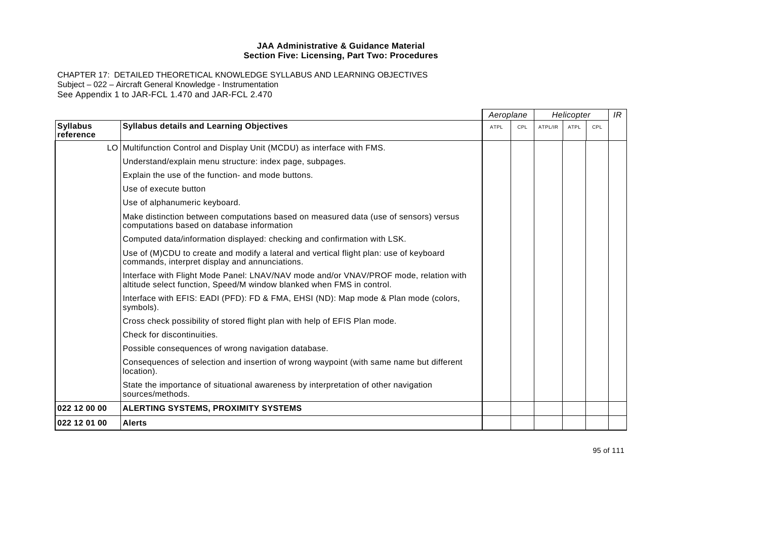|                              |                                                                                                                                                               |             | Aeroplane |         | Helicopter  |     |  |
|------------------------------|---------------------------------------------------------------------------------------------------------------------------------------------------------------|-------------|-----------|---------|-------------|-----|--|
| <b>Syllabus</b><br>reference | <b>Syllabus details and Learning Objectives</b>                                                                                                               | <b>ATPL</b> | CPL       | ATPL/IR | <b>ATPL</b> | CPL |  |
|                              | LO Multifunction Control and Display Unit (MCDU) as interface with FMS.                                                                                       |             |           |         |             |     |  |
|                              | Understand/explain menu structure: index page, subpages.                                                                                                      |             |           |         |             |     |  |
|                              | Explain the use of the function- and mode buttons.                                                                                                            |             |           |         |             |     |  |
|                              | Use of execute button                                                                                                                                         |             |           |         |             |     |  |
|                              | Use of alphanumeric keyboard.                                                                                                                                 |             |           |         |             |     |  |
|                              | Make distinction between computations based on measured data (use of sensors) versus<br>computations based on database information                            |             |           |         |             |     |  |
|                              | Computed data/information displayed: checking and confirmation with LSK.                                                                                      |             |           |         |             |     |  |
|                              | Use of (M)CDU to create and modify a lateral and vertical flight plan: use of keyboard<br>commands, interpret display and annunciations.                      |             |           |         |             |     |  |
|                              | Interface with Flight Mode Panel: LNAV/NAV mode and/or VNAV/PROF mode, relation with<br>altitude select function, Speed/M window blanked when FMS in control. |             |           |         |             |     |  |
|                              | Interface with EFIS: EADI (PFD): FD & FMA, EHSI (ND): Map mode & Plan mode (colors,<br>symbols).                                                              |             |           |         |             |     |  |
|                              | Cross check possibility of stored flight plan with help of EFIS Plan mode.                                                                                    |             |           |         |             |     |  |
|                              | Check for discontinuities.                                                                                                                                    |             |           |         |             |     |  |
|                              | Possible consequences of wrong navigation database.                                                                                                           |             |           |         |             |     |  |
|                              | Consequences of selection and insertion of wrong waypoint (with same name but different<br>location).                                                         |             |           |         |             |     |  |
|                              | State the importance of situational awareness by interpretation of other navigation<br>sources/methods.                                                       |             |           |         |             |     |  |
| 022 12 00 00                 | <b>ALERTING SYSTEMS, PROXIMITY SYSTEMS</b>                                                                                                                    |             |           |         |             |     |  |
| 022 12 01 00                 | <b>Alerts</b>                                                                                                                                                 |             |           |         |             |     |  |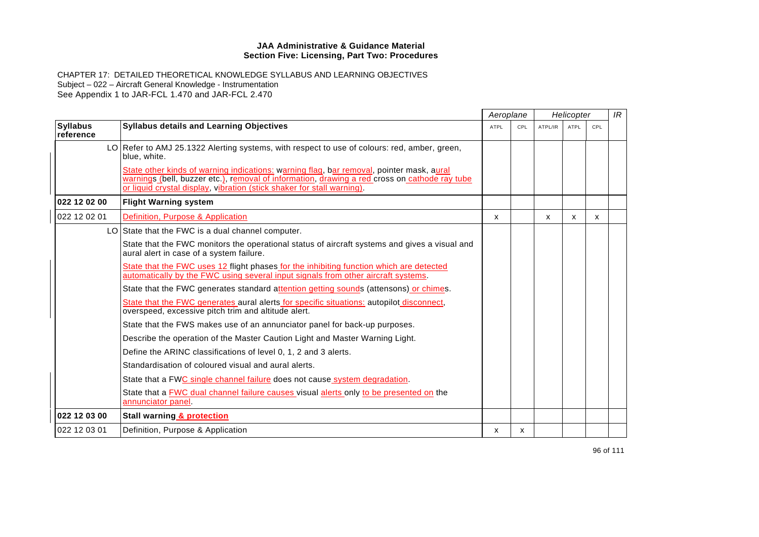CHAPTER 17: DETAILED THEORETICAL KNOWLEDGE SYLLABUS AND LEARNING OBJECTIVES Subject – 022 – Aircraft General Knowledge - Instrumentation See Appendix 1 to JAR-FCL 1.470 and JAR-FCL 2.470

|                              |                                                                                                                                                                                                                                                                     | Aeroplane |     |         | Helicopter |     | IR |
|------------------------------|---------------------------------------------------------------------------------------------------------------------------------------------------------------------------------------------------------------------------------------------------------------------|-----------|-----|---------|------------|-----|----|
| <b>Syllabus</b><br>reference | <b>Syllabus details and Learning Objectives</b>                                                                                                                                                                                                                     | ATPL      | CPL | ATPL/IR | ATPL       | CPL |    |
|                              | LO Refer to AMJ 25.1322 Alerting systems, with respect to use of colours: red, amber, green,<br>blue, white.                                                                                                                                                        |           |     |         |            |     |    |
|                              | State other kinds of warning indications: warning flag, bar removal, pointer mask, aural<br>warnings (bell, buzzer etc.), removal of information, drawing a red cross on cathode ray tube<br>or liquid crystal display, vibration (stick shaker for stall warning). |           |     |         |            |     |    |
| 022 12 02 00                 | <b>Flight Warning system</b>                                                                                                                                                                                                                                        |           |     |         |            |     |    |
| 022 12 02 01                 | Definition, Purpose & Application                                                                                                                                                                                                                                   | X         |     | X       | x          | x   |    |
|                              | LO State that the FWC is a dual channel computer.                                                                                                                                                                                                                   |           |     |         |            |     |    |
|                              | State that the FWC monitors the operational status of aircraft systems and gives a visual and<br>aural alert in case of a system failure.                                                                                                                           |           |     |         |            |     |    |
|                              | State that the FWC uses 12 flight phases for the inhibiting function which are detected<br>automatically by the FWC using several input signals from other aircraft systems.                                                                                        |           |     |         |            |     |    |
|                              | State that the FWC generates standard attention getting sounds (attensons) or chimes.                                                                                                                                                                               |           |     |         |            |     |    |
|                              | State that the FWC generates aural alerts for specific situations: autopilot disconnect,<br>overspeed, excessive pitch trim and altitude alert.                                                                                                                     |           |     |         |            |     |    |
|                              | State that the FWS makes use of an annunciator panel for back-up purposes.                                                                                                                                                                                          |           |     |         |            |     |    |
|                              | Describe the operation of the Master Caution Light and Master Warning Light.                                                                                                                                                                                        |           |     |         |            |     |    |
|                              | Define the ARINC classifications of level 0, 1, 2 and 3 alerts.                                                                                                                                                                                                     |           |     |         |            |     |    |
|                              | Standardisation of coloured visual and aural alerts.                                                                                                                                                                                                                |           |     |         |            |     |    |
|                              | State that a FWC single channel failure does not cause system degradation.                                                                                                                                                                                          |           |     |         |            |     |    |
|                              | State that a FWC dual channel failure causes visual alerts only to be presented on the<br>annunciator panel.                                                                                                                                                        |           |     |         |            |     |    |
| 022 12 03 00                 | Stall warning & protection                                                                                                                                                                                                                                          |           |     |         |            |     |    |
| 022 12 03 01                 | Definition, Purpose & Application                                                                                                                                                                                                                                   | x         | X   |         |            |     |    |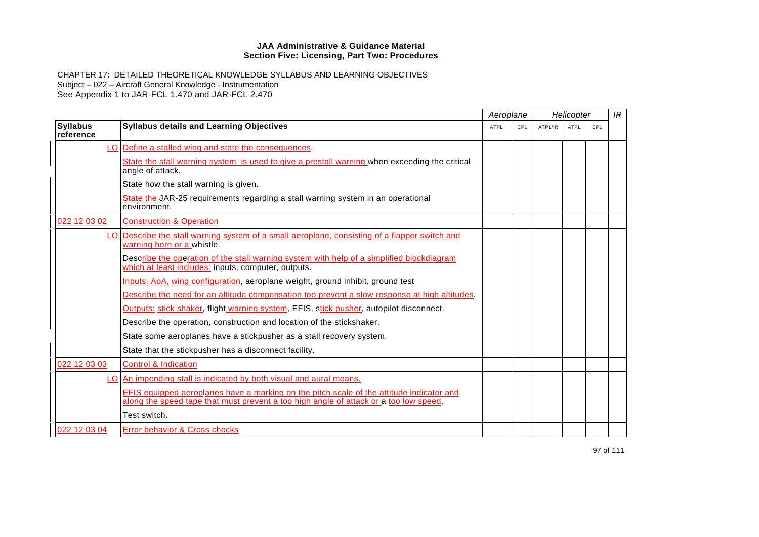CHAPTER 17: DETAILED THEORETICAL KNOWLEDGE SYLLABUS AND LEARNING OBJECTIVES Subject – 022 – Aircraft General Knowledge - Instrumentation See Appendix 1 to JAR-FCL 1.470 and JAR-FCL 2.470

|                              |                                                                                                                                                                                   | Aeroplane |     |         | Helicopter |     | IR |
|------------------------------|-----------------------------------------------------------------------------------------------------------------------------------------------------------------------------------|-----------|-----|---------|------------|-----|----|
| <b>Syllabus</b><br>reference | <b>Syllabus details and Learning Objectives</b>                                                                                                                                   | ATPL      | CPL | ATPL/IR | ATPL       | CPL |    |
|                              | LO Define a stalled wing and state the consequences.                                                                                                                              |           |     |         |            |     |    |
|                              | State the stall warning system is used to give a prestall warning when exceeding the critical<br>angle of attack.                                                                 |           |     |         |            |     |    |
|                              | State how the stall warning is given.                                                                                                                                             |           |     |         |            |     |    |
|                              | State the JAR-25 requirements regarding a stall warning system in an operational<br>environment.                                                                                  |           |     |         |            |     |    |
| 022 12 03 02                 | <b>Construction &amp; Operation</b>                                                                                                                                               |           |     |         |            |     |    |
|                              | LO Describe the stall warning system of a small aeroplane, consisting of a flapper switch and<br>warning horn or a whistle.                                                       |           |     |         |            |     |    |
|                              | Describe the operation of the stall warning system with help of a simplified blockdiagram<br>which at least includes: inputs, computer, outputs.                                  |           |     |         |            |     |    |
|                              | Inputs: AoA, wing configuration, aeroplane weight, ground inhibit, ground test                                                                                                    |           |     |         |            |     |    |
|                              | Describe the need for an altitude compensation too prevent a slow response at high altitudes.                                                                                     |           |     |         |            |     |    |
|                              | Outputs: stick shaker, flight warning system, EFIS, stick pusher, autopilot disconnect.                                                                                           |           |     |         |            |     |    |
|                              | Describe the operation, construction and location of the stickshaker.                                                                                                             |           |     |         |            |     |    |
|                              | State some aeroplanes have a stickpusher as a stall recovery system.                                                                                                              |           |     |         |            |     |    |
|                              | State that the stickpusher has a disconnect facility.                                                                                                                             |           |     |         |            |     |    |
| 022 12 03 03                 | <b>Control &amp; Indication</b>                                                                                                                                                   |           |     |         |            |     |    |
|                              | LO An impending stall is indicated by both visual and aural means.                                                                                                                |           |     |         |            |     |    |
|                              | EFIS equipped aeroplanes have a marking on the pitch scale of the attitude indicator and<br>along the speed tape that must prevent a too high angle of attack or a too low speed. |           |     |         |            |     |    |
|                              | Test switch.                                                                                                                                                                      |           |     |         |            |     |    |
| 022 12 03 04                 | <b>Error behavior &amp; Cross checks</b>                                                                                                                                          |           |     |         |            |     |    |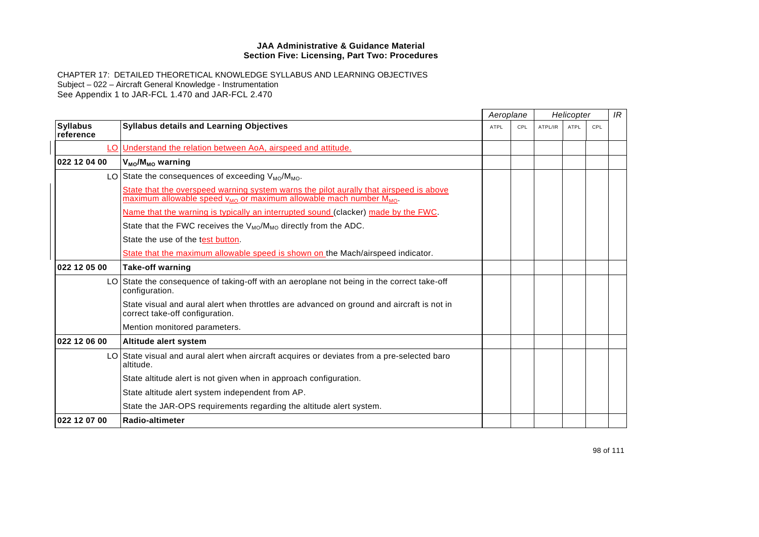|                              |                                                                                                                                                                                      | Aeroplane |     |         | Helicopter |     | IR |
|------------------------------|--------------------------------------------------------------------------------------------------------------------------------------------------------------------------------------|-----------|-----|---------|------------|-----|----|
| <b>Syllabus</b><br>reference | <b>Syllabus details and Learning Objectives</b>                                                                                                                                      | ATPL      | CPL | ATPL/IR | ATPL       | CPL |    |
|                              | LO Understand the relation between AoA, airspeed and attitude.                                                                                                                       |           |     |         |            |     |    |
| 022 12 04 00                 | V <sub>MO</sub> /M <sub>MO</sub> warning                                                                                                                                             |           |     |         |            |     |    |
|                              | LO State the consequences of exceeding $V_{MO}/M_{MO}$ .                                                                                                                             |           |     |         |            |     |    |
|                              | State that the overspeed warning system warns the pilot aurally that airspeed is above<br>maximum allowable speed v <sub>MO</sub> or maximum allowable mach number M <sub>MO</sub> . |           |     |         |            |     |    |
|                              | Name that the warning is typically an interrupted sound (clacker) made by the FWC.                                                                                                   |           |     |         |            |     |    |
|                              | State that the FWC receives the $V_{MO}/M_{MO}$ directly from the ADC.                                                                                                               |           |     |         |            |     |    |
|                              | State the use of the test button.                                                                                                                                                    |           |     |         |            |     |    |
|                              | State that the maximum allowable speed is shown on the Mach/airspeed indicator.                                                                                                      |           |     |         |            |     |    |
| 022 12 05 00                 | <b>Take-off warning</b>                                                                                                                                                              |           |     |         |            |     |    |
|                              | LO State the consequence of taking-off with an aeroplane not being in the correct take-off<br>configuration.                                                                         |           |     |         |            |     |    |
|                              | State visual and aural alert when throttles are advanced on ground and aircraft is not in<br>correct take-off configuration.                                                         |           |     |         |            |     |    |
|                              | Mention monitored parameters.                                                                                                                                                        |           |     |         |            |     |    |
| 022 12 06 00                 | Altitude alert system                                                                                                                                                                |           |     |         |            |     |    |
|                              | LO State visual and aural alert when aircraft acquires or deviates from a pre-selected baro<br>altitude.                                                                             |           |     |         |            |     |    |
|                              | State altitude alert is not given when in approach configuration.                                                                                                                    |           |     |         |            |     |    |
|                              | State altitude alert system independent from AP.                                                                                                                                     |           |     |         |            |     |    |
|                              | State the JAR-OPS requirements regarding the altitude alert system.                                                                                                                  |           |     |         |            |     |    |
| 022 12 07 00                 | Radio-altimeter                                                                                                                                                                      |           |     |         |            |     |    |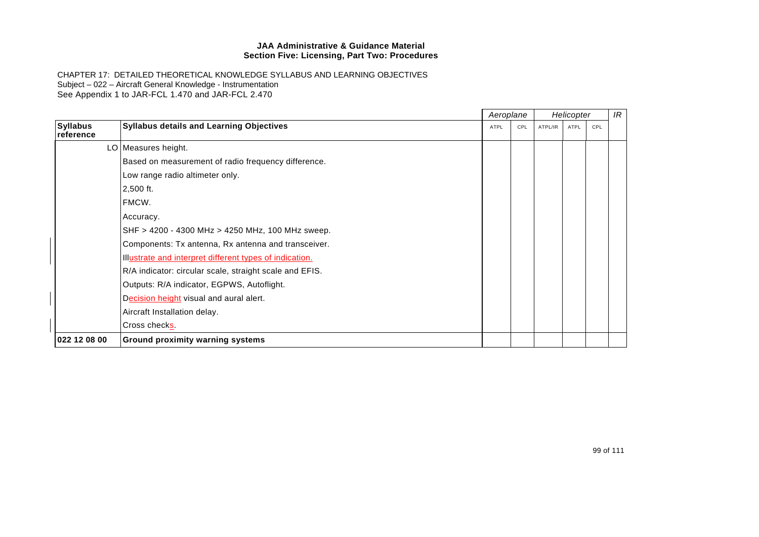|                              |                                                         | Aeroplane |     | Helicopter |      |     | IR |
|------------------------------|---------------------------------------------------------|-----------|-----|------------|------|-----|----|
| <b>Syllabus</b><br>reference | <b>Syllabus details and Learning Objectives</b>         | ATPL      | CPL | ATPL/IR    | ATPL | CPL |    |
|                              | LO Measures height.                                     |           |     |            |      |     |    |
|                              | Based on measurement of radio frequency difference.     |           |     |            |      |     |    |
|                              | Low range radio altimeter only.                         |           |     |            |      |     |    |
|                              | 2,500 ft.                                               |           |     |            |      |     |    |
|                              | FMCW.                                                   |           |     |            |      |     |    |
|                              | Accuracy.                                               |           |     |            |      |     |    |
|                              | SHF > 4200 - 4300 MHz > 4250 MHz, 100 MHz sweep.        |           |     |            |      |     |    |
|                              | Components: Tx antenna, Rx antenna and transceiver.     |           |     |            |      |     |    |
|                              | Illustrate and interpret different types of indication. |           |     |            |      |     |    |
|                              | R/A indicator: circular scale, straight scale and EFIS. |           |     |            |      |     |    |
|                              | Outputs: R/A indicator, EGPWS, Autoflight.              |           |     |            |      |     |    |
|                              | Decision height visual and aural alert.                 |           |     |            |      |     |    |
|                              | Aircraft Installation delay.                            |           |     |            |      |     |    |
|                              | Cross checks.                                           |           |     |            |      |     |    |
| 022 12 08 00                 | <b>Ground proximity warning systems</b>                 |           |     |            |      |     |    |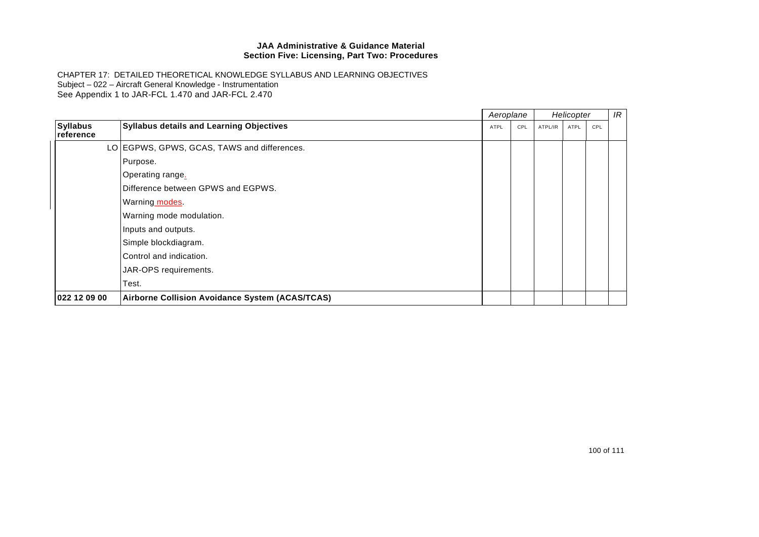|                              |                                                 | Aeroplane |     | Helicopter |      |     | IR |
|------------------------------|-------------------------------------------------|-----------|-----|------------|------|-----|----|
| <b>Syllabus</b><br>reference | <b>Syllabus details and Learning Objectives</b> | ATPL      | CPL | ATPL/IR    | ATPL | CPL |    |
|                              | LO EGPWS, GPWS, GCAS, TAWS and differences.     |           |     |            |      |     |    |
|                              | Purpose.                                        |           |     |            |      |     |    |
|                              | Operating range.                                |           |     |            |      |     |    |
|                              | Difference between GPWS and EGPWS.              |           |     |            |      |     |    |
|                              | Warning modes                                   |           |     |            |      |     |    |
|                              | Warning mode modulation.                        |           |     |            |      |     |    |
|                              | Inputs and outputs.                             |           |     |            |      |     |    |
|                              | Simple blockdiagram.                            |           |     |            |      |     |    |
|                              | Control and indication.                         |           |     |            |      |     |    |
|                              | JAR-OPS requirements.                           |           |     |            |      |     |    |
|                              | Test.                                           |           |     |            |      |     |    |
| 022 12 09 00                 | Airborne Collision Avoidance System (ACAS/TCAS) |           |     |            |      |     |    |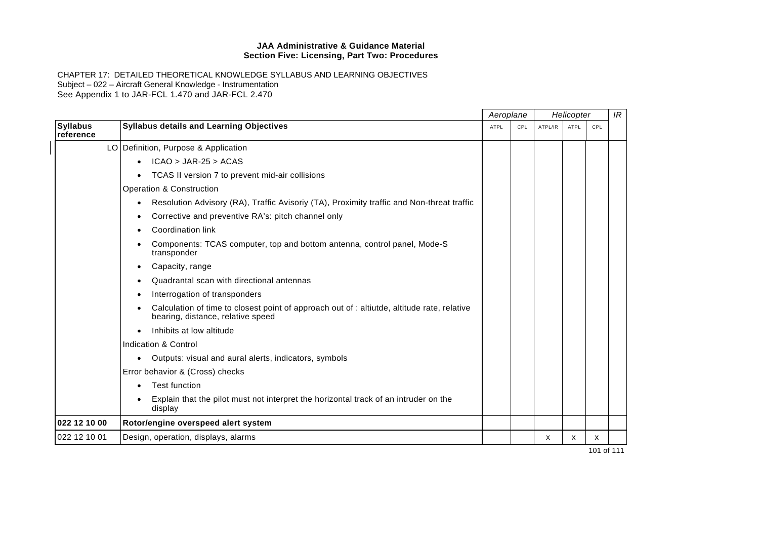|                              |                                                                                                                                  | Aeroplane   |     |         | Helicopter  |     | IR |
|------------------------------|----------------------------------------------------------------------------------------------------------------------------------|-------------|-----|---------|-------------|-----|----|
| <b>Syllabus</b><br>reference | <b>Syllabus details and Learning Objectives</b>                                                                                  | <b>ATPL</b> | CPL | ATPL/IR | <b>ATPL</b> | CPL |    |
|                              | LO Definition, Purpose & Application                                                                                             |             |     |         |             |     |    |
|                              | $ICAO > JAR-25 > ACAS$<br>$\bullet$                                                                                              |             |     |         |             |     |    |
|                              | TCAS II version 7 to prevent mid-air collisions                                                                                  |             |     |         |             |     |    |
|                              | Operation & Construction                                                                                                         |             |     |         |             |     |    |
|                              | Resolution Advisory (RA), Traffic Avisoriy (TA), Proximity traffic and Non-threat traffic                                        |             |     |         |             |     |    |
|                              | Corrective and preventive RA's: pitch channel only<br>٠                                                                          |             |     |         |             |     |    |
|                              | Coordination link<br>$\bullet$                                                                                                   |             |     |         |             |     |    |
|                              | Components: TCAS computer, top and bottom antenna, control panel, Mode-S<br>transponder                                          |             |     |         |             |     |    |
|                              | Capacity, range<br>$\bullet$                                                                                                     |             |     |         |             |     |    |
|                              | Quadrantal scan with directional antennas                                                                                        |             |     |         |             |     |    |
|                              | Interrogation of transponders<br>$\bullet$                                                                                       |             |     |         |             |     |    |
|                              | Calculation of time to closest point of approach out of : altiutde, altitude rate, relative<br>bearing, distance, relative speed |             |     |         |             |     |    |
|                              | Inhibits at low altitude                                                                                                         |             |     |         |             |     |    |
|                              | Indication & Control                                                                                                             |             |     |         |             |     |    |
|                              | Outputs: visual and aural alerts, indicators, symbols<br>$\bullet$                                                               |             |     |         |             |     |    |
|                              | Error behavior & (Cross) checks                                                                                                  |             |     |         |             |     |    |
|                              | <b>Test function</b>                                                                                                             |             |     |         |             |     |    |
|                              | Explain that the pilot must not interpret the horizontal track of an intruder on the<br>display                                  |             |     |         |             |     |    |
| 022 12 10 00                 | Rotor/engine overspeed alert system                                                                                              |             |     |         |             |     |    |
| 022 12 10 01                 | Design, operation, displays, alarms                                                                                              |             |     | x       | X           | x   |    |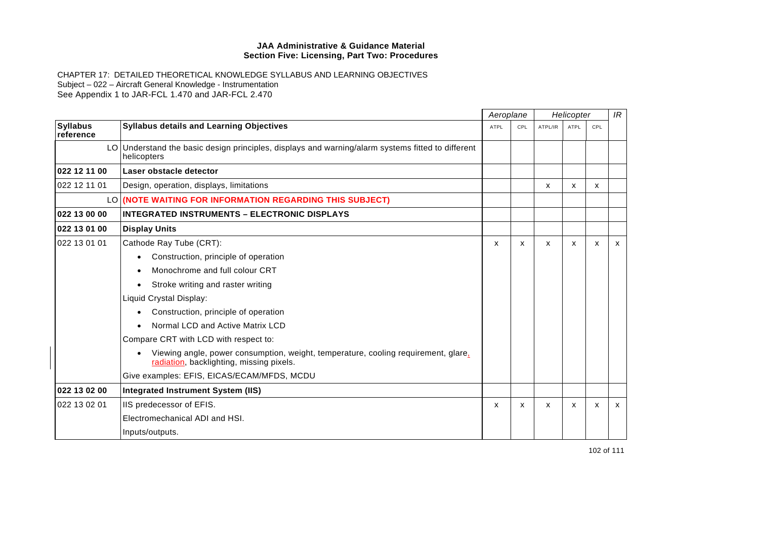CHAPTER 17: DETAILED THEORETICAL KNOWLEDGE SYLLABUS AND LEARNING OBJECTIVES Subject – 022 – Aircraft General Knowledge - Instrumentation See Appendix 1 to JAR-FCL 1.470 and JAR-FCL 2.470

|                              |                                                                                                                                             | Aeroplane   |     | Helicopter |              | IR  |              |
|------------------------------|---------------------------------------------------------------------------------------------------------------------------------------------|-------------|-----|------------|--------------|-----|--------------|
| <b>Syllabus</b><br>reference | <b>Syllabus details and Learning Objectives</b>                                                                                             | <b>ATPL</b> | CPL | ATPL/IR    | <b>ATPL</b>  | CPL |              |
| LO I                         | Understand the basic design principles, displays and warning/alarm systems fitted to different<br>helicopters                               |             |     |            |              |     |              |
| 022 12 11 00                 | Laser obstacle detector                                                                                                                     |             |     |            |              |     |              |
| 022 12 11 01                 | Design, operation, displays, limitations                                                                                                    |             |     | x          | x            | X   |              |
|                              | LO (NOTE WAITING FOR INFORMATION REGARDING THIS SUBJECT)                                                                                    |             |     |            |              |     |              |
| 022 13 00 00                 | <b>INTEGRATED INSTRUMENTS - ELECTRONIC DISPLAYS</b>                                                                                         |             |     |            |              |     |              |
| 022 13 01 00                 | <b>Display Units</b>                                                                                                                        |             |     |            |              |     |              |
| 022 13 01 01                 | Cathode Ray Tube (CRT):                                                                                                                     | x           | x   | X          | X            | X   | $\mathsf{x}$ |
|                              | Construction, principle of operation<br>$\bullet$                                                                                           |             |     |            |              |     |              |
|                              | Monochrome and full colour CRT<br>$\bullet$                                                                                                 |             |     |            |              |     |              |
|                              | Stroke writing and raster writing<br>$\bullet$                                                                                              |             |     |            |              |     |              |
|                              | Liquid Crystal Display:                                                                                                                     |             |     |            |              |     |              |
|                              | Construction, principle of operation<br>$\bullet$                                                                                           |             |     |            |              |     |              |
|                              | Normal LCD and Active Matrix LCD                                                                                                            |             |     |            |              |     |              |
|                              | Compare CRT with LCD with respect to:                                                                                                       |             |     |            |              |     |              |
|                              | Viewing angle, power consumption, weight, temperature, cooling requirement, glare,<br>$\bullet$<br>radiation, backlighting, missing pixels. |             |     |            |              |     |              |
|                              | Give examples: EFIS, EICAS/ECAM/MFDS, MCDU                                                                                                  |             |     |            |              |     |              |
| 022 13 02 00                 | <b>Integrated Instrument System (IIS)</b>                                                                                                   |             |     |            |              |     |              |
| 022 13 02 01                 | IIS predecessor of EFIS.                                                                                                                    | x           | X   | X          | $\mathsf{x}$ | X   | $\mathsf{x}$ |
|                              | Electromechanical ADI and HSI.                                                                                                              |             |     |            |              |     |              |
|                              | Inputs/outputs.                                                                                                                             |             |     |            |              |     |              |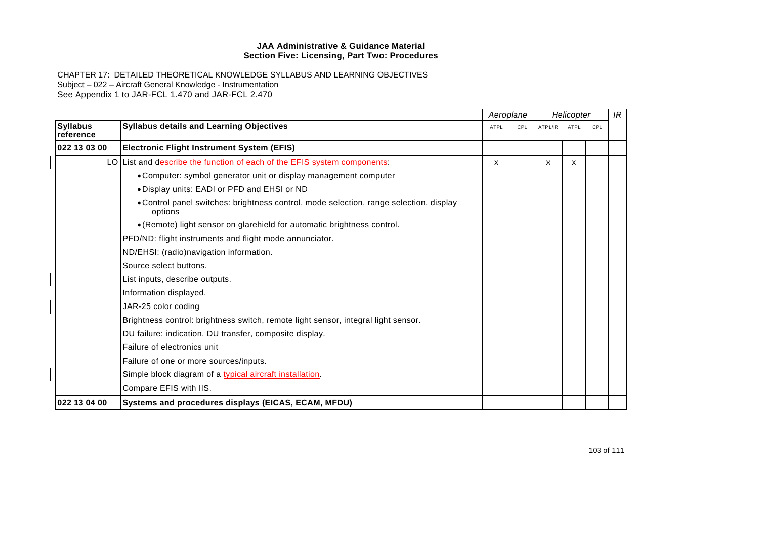|                              |                                                                                                   | Aeroplane   |     | Helicopter |      | IR  |  |
|------------------------------|---------------------------------------------------------------------------------------------------|-------------|-----|------------|------|-----|--|
| <b>Syllabus</b><br>reference | <b>Syllabus details and Learning Objectives</b>                                                   | <b>ATPL</b> | CPL | ATPL/IR    | ATPL | CPL |  |
| 022 13 03 00                 | <b>Electronic Flight Instrument System (EFIS)</b>                                                 |             |     |            |      |     |  |
|                              | LO List and describe the function of each of the EFIS system components:                          | X           |     | X          | X    |     |  |
|                              | • Computer: symbol generator unit or display management computer                                  |             |     |            |      |     |  |
|                              | . Display units: EADI or PFD and EHSI or ND                                                       |             |     |            |      |     |  |
|                              | • Control panel switches: brightness control, mode selection, range selection, display<br>options |             |     |            |      |     |  |
|                              | • (Remote) light sensor on glarehield for automatic brightness control.                           |             |     |            |      |     |  |
|                              | PFD/ND: flight instruments and flight mode annunciator.                                           |             |     |            |      |     |  |
|                              | ND/EHSI: (radio)navigation information.                                                           |             |     |            |      |     |  |
|                              | Source select buttons.                                                                            |             |     |            |      |     |  |
|                              | List inputs, describe outputs.                                                                    |             |     |            |      |     |  |
|                              | Information displayed.                                                                            |             |     |            |      |     |  |
|                              | JAR-25 color coding                                                                               |             |     |            |      |     |  |
|                              | Brightness control: brightness switch, remote light sensor, integral light sensor.                |             |     |            |      |     |  |
|                              | DU failure: indication, DU transfer, composite display.                                           |             |     |            |      |     |  |
|                              | Failure of electronics unit                                                                       |             |     |            |      |     |  |
|                              | Failure of one or more sources/inputs.                                                            |             |     |            |      |     |  |
|                              | Simple block diagram of a typical aircraft installation.                                          |             |     |            |      |     |  |
|                              | Compare EFIS with IIS.                                                                            |             |     |            |      |     |  |
| 022 13 04 00                 | Systems and procedures displays (EICAS, ECAM, MFDU)                                               |             |     |            |      |     |  |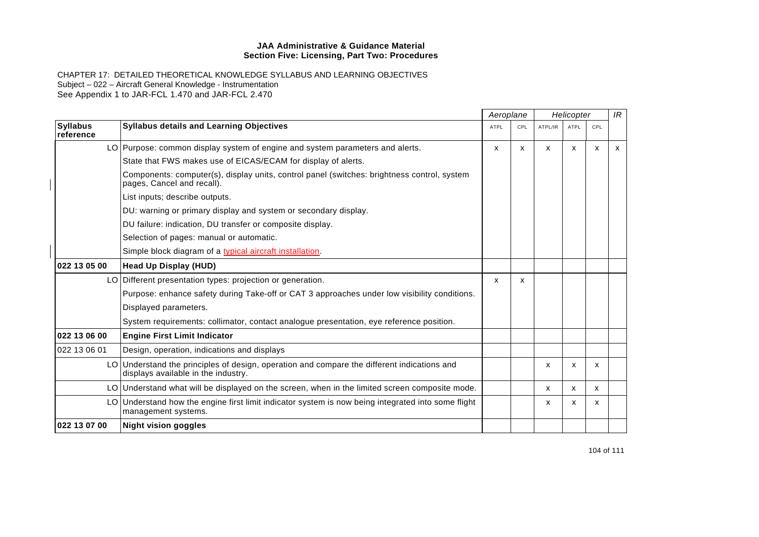|                              |                                                                                                                                    | Aeroplane   |              | Helicopter |      |              | IR |
|------------------------------|------------------------------------------------------------------------------------------------------------------------------------|-------------|--------------|------------|------|--------------|----|
| <b>Syllabus</b><br>reference | <b>Syllabus details and Learning Objectives</b>                                                                                    | <b>ATPL</b> | CPL          | ATPL/IR    | ATPL | CPL          |    |
|                              | LO Purpose: common display system of engine and system parameters and alerts.                                                      | X           | $\mathsf{x}$ | X          | X    | X            | X  |
|                              | State that FWS makes use of EICAS/ECAM for display of alerts.                                                                      |             |              |            |      |              |    |
|                              | Components: computer(s), display units, control panel (switches: brightness control, system<br>pages, Cancel and recall).          |             |              |            |      |              |    |
|                              | List inputs; describe outputs.                                                                                                     |             |              |            |      |              |    |
|                              | DU: warning or primary display and system or secondary display.                                                                    |             |              |            |      |              |    |
|                              | DU failure: indication, DU transfer or composite display.                                                                          |             |              |            |      |              |    |
|                              | Selection of pages: manual or automatic.                                                                                           |             |              |            |      |              |    |
|                              | Simple block diagram of a typical aircraft installation.                                                                           |             |              |            |      |              |    |
| 022 13 05 00                 | <b>Head Up Display (HUD)</b>                                                                                                       |             |              |            |      |              |    |
|                              | LO Different presentation types: projection or generation.                                                                         | X           | X            |            |      |              |    |
|                              | Purpose: enhance safety during Take-off or CAT 3 approaches under low visibility conditions.                                       |             |              |            |      |              |    |
|                              | Displayed parameters.                                                                                                              |             |              |            |      |              |    |
|                              | System requirements: collimator, contact analogue presentation, eye reference position.                                            |             |              |            |      |              |    |
| 022 13 06 00                 | <b>Engine First Limit Indicator</b>                                                                                                |             |              |            |      |              |    |
| 022 13 06 01                 | Design, operation, indications and displays                                                                                        |             |              |            |      |              |    |
|                              | LO Understand the principles of design, operation and compare the different indications and<br>displays available in the industry. |             |              | х          | x    | x            |    |
|                              | LO Understand what will be displayed on the screen, when in the limited screen composite mode.                                     |             |              | X          | x    | $\mathsf{x}$ |    |
|                              | LO Understand how the engine first limit indicator system is now being integrated into some flight<br>management systems.          |             |              | X          | x    | x            |    |
| 022 13 07 00                 | <b>Night vision goggles</b>                                                                                                        |             |              |            |      |              |    |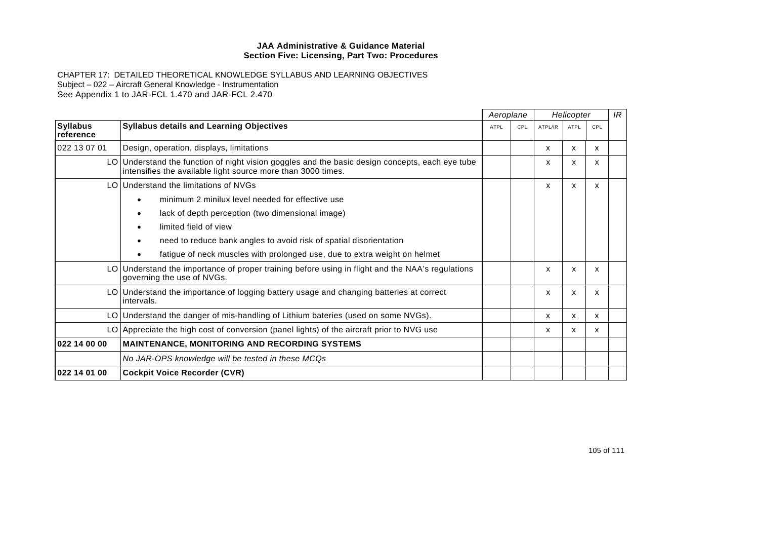|                              |                                                                                                                                                                 | Aeroplane |     | Helicopter |      |                           | IR. |
|------------------------------|-----------------------------------------------------------------------------------------------------------------------------------------------------------------|-----------|-----|------------|------|---------------------------|-----|
| <b>Syllabus</b><br>reference | <b>Syllabus details and Learning Objectives</b>                                                                                                                 | ATPL      | CPL | ATPL/IR    | ATPL | CPL                       |     |
| 022 13 07 01                 | Design, operation, displays, limitations                                                                                                                        |           |     | X          | x    | x                         |     |
|                              | LO Understand the function of night vision goggles and the basic design concepts, each eye tube<br>intensifies the available light source more than 3000 times. |           |     | x          | X    | x                         |     |
|                              | LO Understand the limitations of NVGs                                                                                                                           |           |     | x          | X    | x                         |     |
|                              | minimum 2 minilux level needed for effective use<br>$\bullet$                                                                                                   |           |     |            |      |                           |     |
|                              | lack of depth perception (two dimensional image)<br>$\bullet$                                                                                                   |           |     |            |      |                           |     |
|                              | limited field of view<br>$\bullet$                                                                                                                              |           |     |            |      |                           |     |
|                              | need to reduce bank angles to avoid risk of spatial disorientation<br>$\bullet$                                                                                 |           |     |            |      |                           |     |
|                              | fatigue of neck muscles with prolonged use, due to extra weight on helmet                                                                                       |           |     |            |      |                           |     |
|                              | LO Understand the importance of proper training before using in flight and the NAA's regulations<br>governing the use of NVGs.                                  |           |     | x          | x    | x                         |     |
|                              | LO Understand the importance of logging battery usage and changing batteries at correct<br>intervals.                                                           |           |     | X          | X    | X                         |     |
|                              | LO Understand the danger of mis-handling of Lithium bateries (used on some NVGs).                                                                               |           |     | X          | x    | $\boldsymbol{\mathsf{x}}$ |     |
|                              | LO Appreciate the high cost of conversion (panel lights) of the aircraft prior to NVG use                                                                       |           |     | x          | X    | X                         |     |
| 1022 14 00 00                | <b>MAINTENANCE, MONITORING AND RECORDING SYSTEMS</b>                                                                                                            |           |     |            |      |                           |     |
|                              | No JAR-OPS knowledge will be tested in these MCQs                                                                                                               |           |     |            |      |                           |     |
| 022 14 01 00                 | <b>Cockpit Voice Recorder (CVR)</b>                                                                                                                             |           |     |            |      |                           |     |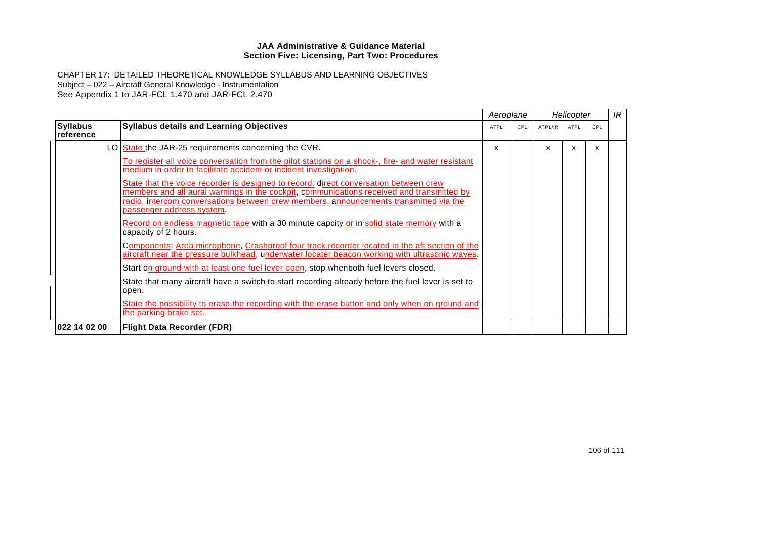|                              |                                                                                                                                                                                                                                                                                                          | Aeroplane |     | Helicopter |      |     | IR |
|------------------------------|----------------------------------------------------------------------------------------------------------------------------------------------------------------------------------------------------------------------------------------------------------------------------------------------------------|-----------|-----|------------|------|-----|----|
| <b>Syllabus</b><br>reference | <b>Syllabus details and Learning Objectives</b>                                                                                                                                                                                                                                                          | ATPL      | CPL | ATPL/IR    | ATPL | CPL |    |
|                              | LO State the JAR-25 requirements concerning the CVR.                                                                                                                                                                                                                                                     | x         |     | x          | x    | x   |    |
|                              | To register all voice conversation from the pilot stations on a shock-, fire- and water resistant<br>medium in order to facilitate accident or incident investigation.                                                                                                                                   |           |     |            |      |     |    |
|                              | State that the voice recorder is designed to record: direct conversation between crew<br>members and all aural warnings in the cockpit, communications received and transmitted by<br>radio, intercom conversations between crew members, announcements transmitted via the<br>passenger address system. |           |     |            |      |     |    |
|                              | Record on endless magnetic tape with a 30 minute capcity or in solid state memory with a<br>capacity of 2 hours.                                                                                                                                                                                         |           |     |            |      |     |    |
|                              | Components: Area microphone, Crashproof four track recorder located in the aft section of the<br>aircraft near the pressure bulkhead, underwater locater beacon working with ultrasonic waves.                                                                                                           |           |     |            |      |     |    |
|                              | Start on ground with at least one fuel lever open, stop whenboth fuel levers closed.                                                                                                                                                                                                                     |           |     |            |      |     |    |
|                              | State that many aircraft have a switch to start recording already before the fuel lever is set to<br>open.                                                                                                                                                                                               |           |     |            |      |     |    |
|                              | State the possibility to erase the recording with the erase button and only when on ground and<br>the parking brake set.                                                                                                                                                                                 |           |     |            |      |     |    |
| 022 14 02 00                 | <b>Flight Data Recorder (FDR)</b>                                                                                                                                                                                                                                                                        |           |     |            |      |     |    |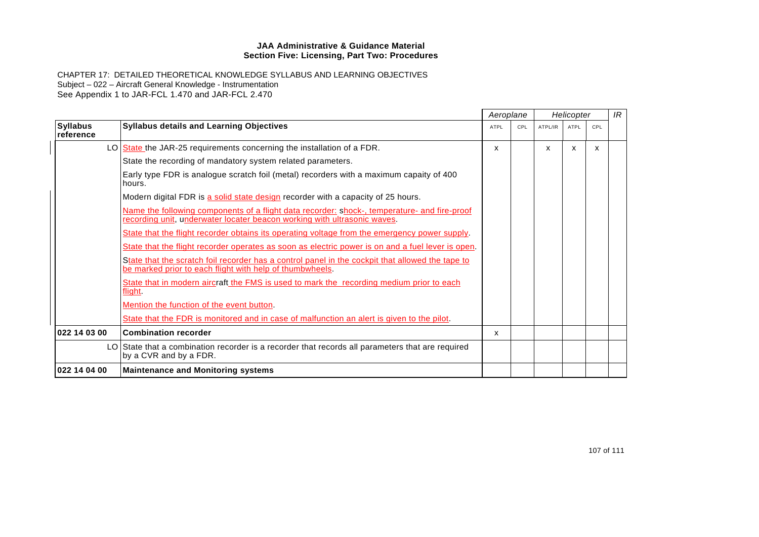CHAPTER 17: DETAILED THEORETICAL KNOWLEDGE SYLLABUS AND LEARNING OBJECTIVES Subject – 022 – Aircraft General Knowledge - Instrumentation See Appendix 1 to JAR-FCL 1.470 and JAR-FCL 2.470

|                              |                                                                                                                                                                                 | Aeroplane   |     | Helicopter |      |     | IR |
|------------------------------|---------------------------------------------------------------------------------------------------------------------------------------------------------------------------------|-------------|-----|------------|------|-----|----|
| <b>Syllabus</b><br>reference | <b>Syllabus details and Learning Objectives</b>                                                                                                                                 | <b>ATPL</b> | CPL | ATPL/IR    | ATPL | CPL |    |
|                              | LO   State the JAR-25 requirements concerning the installation of a FDR.                                                                                                        | x           |     | X          | x    | X   |    |
|                              | State the recording of mandatory system related parameters.                                                                                                                     |             |     |            |      |     |    |
|                              | Early type FDR is analogue scratch foil (metal) recorders with a maximum capaity of 400<br>hours.                                                                               |             |     |            |      |     |    |
|                              | Modern digital FDR is a solid state design recorder with a capacity of 25 hours.                                                                                                |             |     |            |      |     |    |
|                              | <u>Name the following components of a flight data recorder: shock-, temperature- and fire-proof</u><br>recording unit, underwater locater beacon working with ultrasonic waves. |             |     |            |      |     |    |
|                              | State that the flight recorder obtains its operating voltage from the emergency power supply.                                                                                   |             |     |            |      |     |    |
|                              | State that the flight recorder operates as soon as electric power is on and a fuel lever is open.                                                                               |             |     |            |      |     |    |
|                              | State that the scratch foil recorder has a control panel in the cockpit that allowed the tape to<br>be marked prior to each flight with help of thumbwheels.                    |             |     |            |      |     |    |
|                              | State that in modern aircraft the FMS is used to mark the recording medium prior to each<br>flight                                                                              |             |     |            |      |     |    |
|                              | Mention the function of the event button.                                                                                                                                       |             |     |            |      |     |    |
|                              | State that the FDR is monitored and in case of malfunction an alert is given to the pilot.                                                                                      |             |     |            |      |     |    |
| 022 14 03 00                 | <b>Combination recorder</b>                                                                                                                                                     | x           |     |            |      |     |    |
|                              | LO State that a combination recorder is a recorder that records all parameters that are required<br>by a CVR and by a FDR.                                                      |             |     |            |      |     |    |
| 022 14 04 00                 | <b>Maintenance and Monitoring systems</b>                                                                                                                                       |             |     |            |      |     |    |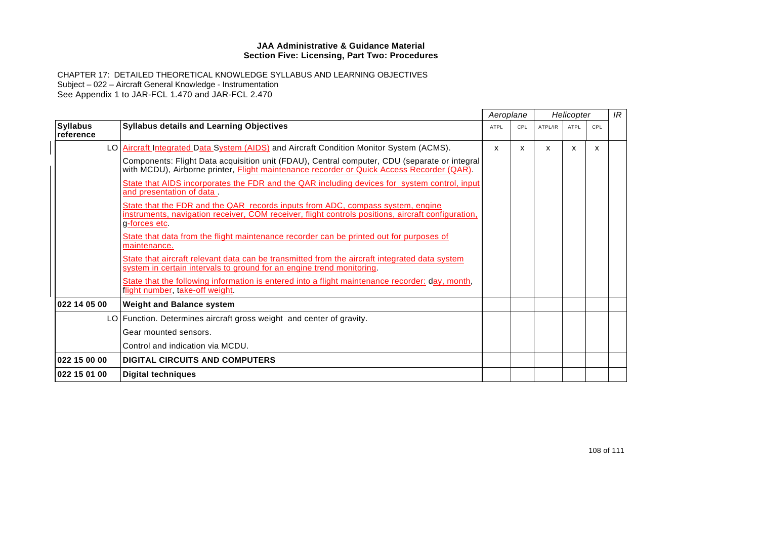CHAPTER 17: DETAILED THEORETICAL KNOWLEDGE SYLLABUS AND LEARNING OBJECTIVES Subject – 022 – Aircraft General Knowledge - Instrumentation See Appendix 1 to JAR-FCL 1.470 and JAR-FCL 2.470

|                              |                                                                                                                                                                                                               | Aeroplane |     | Helicopter |      | IR           |  |
|------------------------------|---------------------------------------------------------------------------------------------------------------------------------------------------------------------------------------------------------------|-----------|-----|------------|------|--------------|--|
| <b>Syllabus</b><br>reference | <b>Syllabus details and Learning Objectives</b>                                                                                                                                                               | ATPL      | CPL | ATPL/IR    | ATPL | CPL          |  |
|                              | LO <b>Aircraft Integrated Data System (AIDS)</b> and Aircraft Condition Monitor System (ACMS).                                                                                                                | x         | x   | x          | x    | $\mathsf{x}$ |  |
|                              | Components: Flight Data acquisition unit (FDAU), Central computer, CDU (separate or integral<br>with MCDU), Airborne printer, <i>Flight maintenance recorder or Quick Access Recorder (QAR)</i> .             |           |     |            |      |              |  |
|                              | State that AIDS incorporates the FDR and the QAR including devices for system control, input<br>and presentation of data.                                                                                     |           |     |            |      |              |  |
|                              | State that the FDR and the QAR records inputs from ADC, compass system, engine<br>instruments, navigation receiver, COM receiver, flight controls positions, aircraft configuration,<br><u>g-forces etc</u> . |           |     |            |      |              |  |
|                              | State that data from the flight maintenance recorder can be printed out for purposes of<br>maintenance.                                                                                                       |           |     |            |      |              |  |
|                              | State that aircraft relevant data can be transmitted from the aircraft integrated data system<br>system in certain intervals to ground for an engine trend monitoring.                                        |           |     |            |      |              |  |
|                              | State that the following information is entered into a flight maintenance recorder: day, month,<br>flight number, take-off weight.                                                                            |           |     |            |      |              |  |
| 022 14 05 00                 | <b>Weight and Balance system</b>                                                                                                                                                                              |           |     |            |      |              |  |
|                              | LO Function. Determines aircraft gross weight and center of gravity.                                                                                                                                          |           |     |            |      |              |  |
|                              | Gear mounted sensors.                                                                                                                                                                                         |           |     |            |      |              |  |
|                              | Control and indication via MCDU.                                                                                                                                                                              |           |     |            |      |              |  |
| 022 15 00 00                 | <b>DIGITAL CIRCUITS AND COMPUTERS</b>                                                                                                                                                                         |           |     |            |      |              |  |
| 022 15 01 00                 | <b>Digital techniques</b>                                                                                                                                                                                     |           |     |            |      |              |  |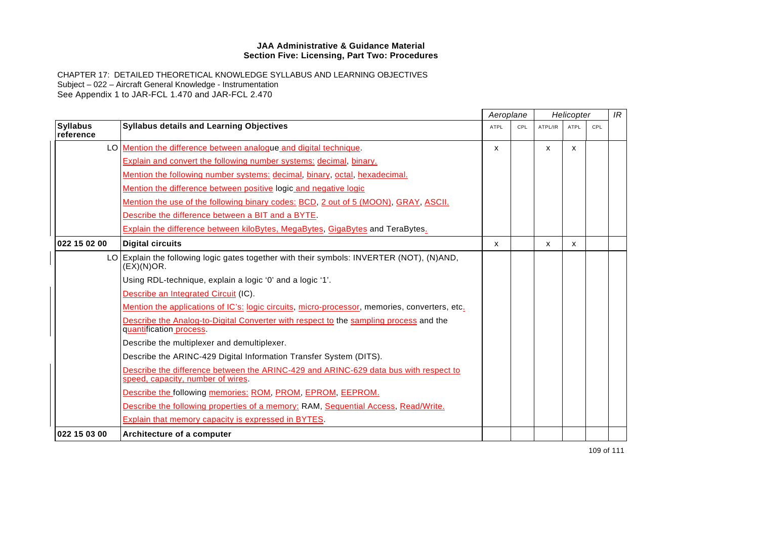## **JAA Administrative & Guidance Material Section Five: Licensing, Part Two: Procedures**

CHAPTER 17: DETAILED THEORETICAL KNOWLEDGE SYLLABUS AND LEARNING OBJECTIVES Subject – 022 – Aircraft General Knowledge - Instrumentation See Appendix 1 to JAR-FCL 1.470 and JAR-FCL 2.470

|                              |                                                                                                                           | Aeroplane   |     | Helicopter |      |     | IR |
|------------------------------|---------------------------------------------------------------------------------------------------------------------------|-------------|-----|------------|------|-----|----|
| <b>Syllabus</b><br>reference | <b>Syllabus details and Learning Objectives</b>                                                                           | <b>ATPL</b> | CPL | ATPL/IR    | ATPL | CPL |    |
|                              | LO Mention the difference between analogue and digital technique.                                                         | X           |     | X          | X    |     |    |
|                              | <b>Explain and convert the following number systems: decimal, binary.</b>                                                 |             |     |            |      |     |    |
|                              | <u>Mention the following number systems: decimal, binary, octal, hexadecimal.</u>                                         |             |     |            |      |     |    |
|                              | Mention the difference between positive logic and negative logic                                                          |             |     |            |      |     |    |
|                              | Mention the use of the following binary codes: BCD, 2 out of 5 (MOON), GRAY, ASCII.                                       |             |     |            |      |     |    |
|                              | Describe the difference between a BIT and a BYTE.                                                                         |             |     |            |      |     |    |
|                              | <b>Explain the difference between kiloBytes, MegaBytes, GigaBytes and TeraBytes.</b>                                      |             |     |            |      |     |    |
| 022 15 02 00                 | <b>Digital circuits</b>                                                                                                   | X           |     | X          | X    |     |    |
|                              | LO Explain the following logic gates together with their symbols: INVERTER (NOT), (N)AND,<br>(EX)(N)OR.                   |             |     |            |      |     |    |
|                              | Using RDL-technique, explain a logic '0' and a logic '1'.                                                                 |             |     |            |      |     |    |
|                              | Describe an Integrated Circuit (IC).                                                                                      |             |     |            |      |     |    |
|                              | Mention the applications of IC's: logic circuits, micro-processor, memories, converters, etc.                             |             |     |            |      |     |    |
|                              | Describe the Analog-to-Digital Converter with respect to the sampling process and the<br>quantification process.          |             |     |            |      |     |    |
|                              | Describe the multiplexer and demultiplexer.                                                                               |             |     |            |      |     |    |
|                              | Describe the ARINC-429 Digital Information Transfer System (DITS).                                                        |             |     |            |      |     |    |
|                              | Describe the difference between the ARINC-429 and ARINC-629 data bus with respect to<br>speed, capacity, number of wires. |             |     |            |      |     |    |
|                              | Describe the following memories: ROM, PROM, EPROM, EEPROM.                                                                |             |     |            |      |     |    |
|                              | Describe the following properties of a memory: RAM, Sequential Access, Read/Write.                                        |             |     |            |      |     |    |
|                              | Explain that memory capacity is expressed in BYTES.                                                                       |             |     |            |      |     |    |
| 022 15 03 00                 | Architecture of a computer                                                                                                |             |     |            |      |     |    |

109 of 111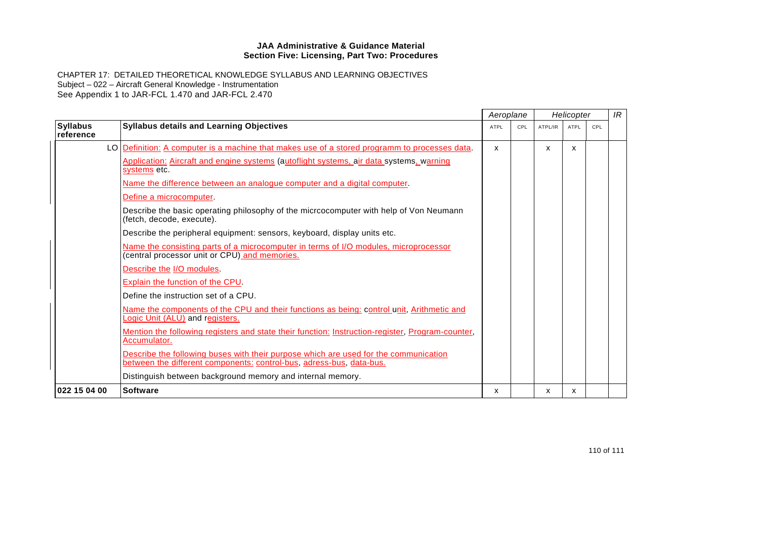## **JAA Administrative & Guidance Material Section Five: Licensing, Part Two: Procedures**

CHAPTER 17: DETAILED THEORETICAL KNOWLEDGE SYLLABUS AND LEARNING OBJECTIVES Subject – 022 – Aircraft General Knowledge - Instrumentation See Appendix 1 to JAR-FCL 1.470 and JAR-FCL 2.470

|                              |                                                                                                                                                              | Aeroplane   |     | Helicopter |      |     | IR |
|------------------------------|--------------------------------------------------------------------------------------------------------------------------------------------------------------|-------------|-----|------------|------|-----|----|
| <b>Syllabus</b><br>reference | <b>Syllabus details and Learning Objectives</b>                                                                                                              | <b>ATPL</b> | CPL | ATPL/IR    | ATPL | CPL |    |
|                              | LO <b>Definition:</b> A computer is a machine that makes use of a stored programm to processes data.                                                         | x           |     | X          | X    |     |    |
|                              | Application: Aircraft and engine systems (autoflight systems, air data systems, warning<br>systems etc.                                                      |             |     |            |      |     |    |
|                              | Name the difference between an analogue computer and a digital computer.                                                                                     |             |     |            |      |     |    |
|                              | Define a microcomputer.                                                                                                                                      |             |     |            |      |     |    |
|                              | Describe the basic operating philosophy of the micrcocomputer with help of Von Neumann<br>(fetch, decode, execute).                                          |             |     |            |      |     |    |
|                              | Describe the peripheral equipment: sensors, keyboard, display units etc.                                                                                     |             |     |            |      |     |    |
|                              | Name the consisting parts of a microcomputer in terms of I/O modules, microprocessor<br>(central processor unit or CPU) and memories.                        |             |     |            |      |     |    |
|                              | Describe the I/O modules.                                                                                                                                    |             |     |            |      |     |    |
|                              | <b>Explain the function of the CPU.</b>                                                                                                                      |             |     |            |      |     |    |
|                              | Define the instruction set of a CPU.                                                                                                                         |             |     |            |      |     |    |
|                              | Name the components of the CPU and their functions as being: control unit, Arithmetic and<br>Logic Unit (ALU) and registers.                                 |             |     |            |      |     |    |
|                              | Mention the following registers and state their function: Instruction-register, Program-counter,<br>Accumulator.                                             |             |     |            |      |     |    |
|                              | Describe the following buses with their purpose which are used for the communication<br>between the different components: control-bus, adress-bus, data-bus. |             |     |            |      |     |    |
|                              | Distinguish between background memory and internal memory.                                                                                                   |             |     |            |      |     |    |
| 022 15 04 00                 | <b>Software</b>                                                                                                                                              | х           |     | х          | x    |     |    |